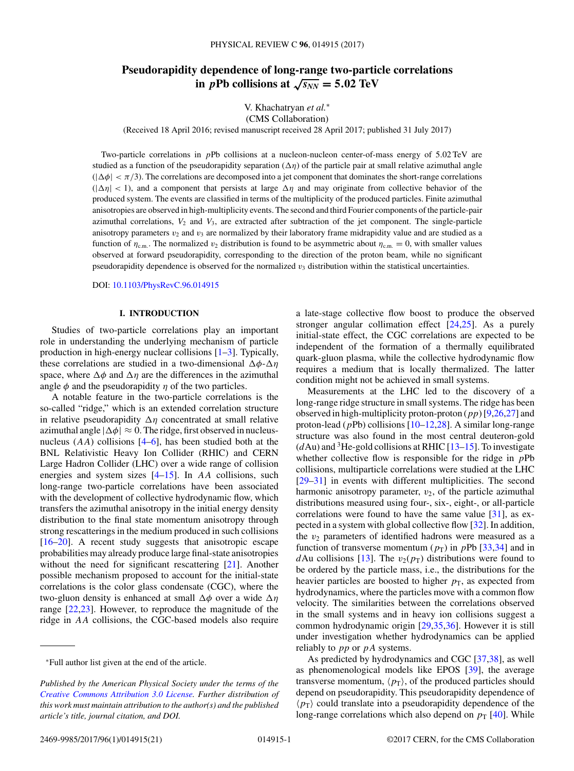# <span id="page-0-0"></span>**Pseudorapidity dependence of long-range two-particle correlations in** *p***Pb** collisions at  $\sqrt{s_{NN}} = 5.02$  TeV

V. Khachatryan *et al.*<sup>∗</sup> (CMS Collaboration)

(Received 18 April 2016; revised manuscript received 28 April 2017; published 31 July 2017)

Two-particle correlations in pPb collisions at a nucleon-nucleon center-of-mass energy of 5.02 TeV are studied as a function of the pseudorapidity separation  $(\Delta \eta)$  of the particle pair at small relative azimuthal angle  $(|\Delta\phi| < \pi/3)$ . The correlations are decomposed into a jet component that dominates the short-range correlations  $(|\Delta \eta| < 1)$ , and a component that persists at large  $\Delta \eta$  and may originate from collective behavior of the produced system. The events are classified in terms of the multiplicity of the produced particles. Finite azimuthal anisotropies are observed in high-multiplicity events. The second and third Fourier components of the particle-pair azimuthal correlations,  $V_2$  and  $V_3$ , are extracted after subtraction of the jet component. The single-particle anisotropy parameters  $v_2$  and  $v_3$  are normalized by their laboratory frame midrapidity value and are studied as a function of  $\eta_{\rm c.m.}$ . The normalized  $v_2$  distribution is found to be asymmetric about  $\eta_{\rm c.m.} = 0$ , with smaller values observed at forward pseudorapidity, corresponding to the direction of the proton beam, while no significant pseudorapidity dependence is observed for the normalized  $v_3$  distribution within the statistical uncertainties.

DOI: [10.1103/PhysRevC.96.014915](https://doi.org/10.1103/PhysRevC.96.014915)

### **I. INTRODUCTION**

Studies of two-particle correlations play an important role in understanding the underlying mechanism of particle production in high-energy nuclear collisions [\[1–3\]](#page-9-0). Typically, these correlations are studied in a two-dimensional  $\Delta \phi$ - $\Delta \eta$ space, where  $\Delta \phi$  and  $\Delta \eta$  are the differences in the azimuthal angle  $\phi$  and the pseudorapidity  $\eta$  of the two particles.

A notable feature in the two-particle correlations is the so-called "ridge," which is an extended correlation structure in relative pseudorapidity  $\Delta \eta$  concentrated at small relative azimuthal angle  $|\Delta \phi| \approx 0$ . The ridge, first observed in nucleusnucleus  $(AA)$  collisions  $[4–6]$ , has been studied both at the BNL Relativistic Heavy Ion Collider (RHIC) and CERN Large Hadron Collider (LHC) over a wide range of collision energies and system sizes  $[4–15]$ . In AA collisions, such long-range two-particle correlations have been associated with the development of collective hydrodynamic flow, which transfers the azimuthal anisotropy in the initial energy density distribution to the final state momentum anisotropy through strong rescatterings in the medium produced in such collisions [\[16](#page-9-0)[–20\]](#page-10-0). A recent study suggests that anisotropic escape probabilities may already produce large final-state anisotropies without the need for significant rescattering [\[21\]](#page-10-0). Another possible mechanism proposed to account for the initial-state correlations is the color glass condensate (CGC), where the two-gluon density is enhanced at small  $\Delta \phi$  over a wide  $\Delta \eta$ range [\[22,23\]](#page-10-0). However, to reproduce the magnitude of the ridge in AA collisions, the CGC-based models also require a late-stage collective flow boost to produce the observed stronger angular collimation effect [\[24,25\]](#page-10-0). As a purely initial-state effect, the CGC correlations are expected to be independent of the formation of a thermally equilibrated quark-gluon plasma, while the collective hydrodynamic flow requires a medium that is locally thermalized. The latter condition might not be achieved in small systems.

Measurements at the LHC led to the discovery of a long-range ridge structure in small systems. The ridge has been observed in high-multiplicity proton-proton  $(pp)$  [\[9,](#page-9-0)[26,27\]](#page-10-0) and proton-lead ( $pPb$ ) collisions  $[10-12,28]$  $[10-12,28]$ . A similar long-range structure was also found in the most central deuteron-gold (dAu) and <sup>3</sup>He-gold collisions at RHIC [\[13–15\]](#page-9-0). To investigate whether collective flow is responsible for the ridge in  $pPb$ collisions, multiparticle correlations were studied at the LHC [\[29–31\]](#page-10-0) in events with different multiplicities. The second harmonic anisotropy parameter,  $v_2$ , of the particle azimuthal distributions measured using four-, six-, eight-, or all-particle correlations were found to have the same value [\[31\]](#page-10-0), as expected in a system with global collective flow [\[32\]](#page-10-0). In addition, the  $v_2$  parameters of identified hadrons were measured as a function of transverse momentum  $(p_T)$  in pPb [\[33,34\]](#page-10-0) and in dAu collisions [\[13\]](#page-9-0). The  $v_2(p_T)$  distributions were found to be ordered by the particle mass, i.e., the distributions for the heavier particles are boosted to higher  $p<sub>T</sub>$ , as expected from hydrodynamics, where the particles move with a common flow velocity. The similarities between the correlations observed in the small systems and in heavy ion collisions suggest a common hydrodynamic origin [\[29,35,36\]](#page-10-0). However it is still under investigation whether hydrodynamics can be applied reliably to  $pp$  or  $pA$  systems.

As predicted by hydrodynamics and CGC [\[37,38\]](#page-10-0), as well as phenomenological models like EPOS [\[39\]](#page-10-0), the average transverse momentum,  $\langle p_T \rangle$ , of the produced particles should depend on pseudorapidity. This pseudorapidity dependence of  $\langle p_{\rm T} \rangle$  could translate into a pseudorapidity dependence of the long-range correlations which also depend on  $p_T$  [\[40\]](#page-10-0). While

<sup>∗</sup>Full author list given at the end of the article.

*Published by the American Physical Society under the terms of the [Creative Commons Attribution 3.0 License.](http://creativecommons.org/licenses/by/3.0/) Further distribution of this work must maintain attribution to the author(s) and the published article's title, journal citation, and DOI.*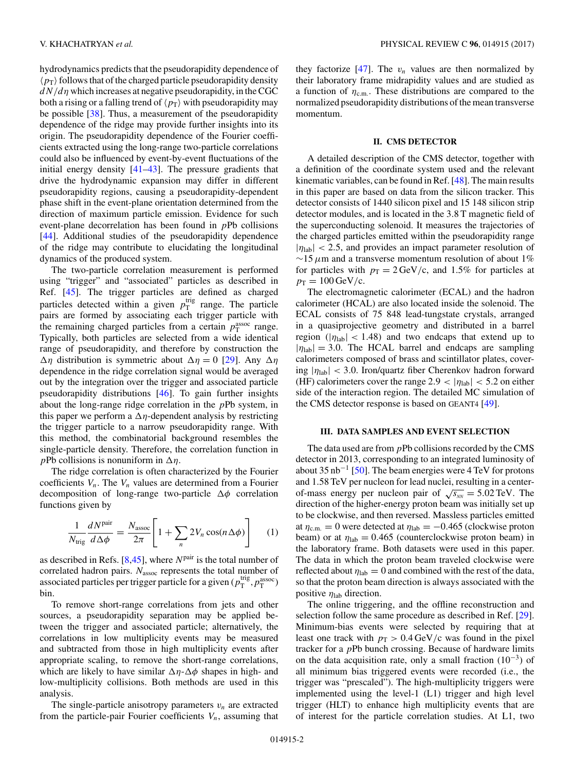hydrodynamics predicts that the pseudorapidity dependence of  $\langle p_T \rangle$  follows that of the charged particle pseudorapidity density  $dN/d\eta$  which increases at negative pseudorapidity, in the CGC both a rising or a falling trend of  $\langle p_T \rangle$  with pseudorapidity may be possible [\[38\]](#page-10-0). Thus, a measurement of the pseudorapidity dependence of the ridge may provide further insights into its origin. The pseudorapidity dependence of the Fourier coefficients extracted using the long-range two-particle correlations could also be influenced by event-by-event fluctuations of the initial energy density [\[41–43\]](#page-10-0). The pressure gradients that drive the hydrodynamic expansion may differ in different pseudorapidity regions, causing a pseudorapidity-dependent phase shift in the event-plane orientation determined from the direction of maximum particle emission. Evidence for such event-plane decorrelation has been found in  $pPb$  collisions [\[44\]](#page-10-0). Additional studies of the pseudorapidity dependence of the ridge may contribute to elucidating the longitudinal dynamics of the produced system.

The two-particle correlation measurement is performed using "trigger" and "associated" particles as described in Ref. [\[45\]](#page-10-0). The trigger particles are defined as charged particles detected within a given  $p_T^{\text{trig}}$  range. The particle pairs are formed by associating each trigger particle with the remaining charged particles from a certain  $p_T^{\text{assoc}}$  range. Typically, both particles are selected from a wide identical range of pseudorapidity, and therefore by construction the  $\Delta \eta$  distribution is symmetric about  $\Delta \eta = 0$  [\[29\]](#page-10-0). Any  $\Delta \eta$ dependence in the ridge correlation signal would be averaged out by the integration over the trigger and associated particle pseudorapidity distributions [\[46\]](#page-10-0). To gain further insights about the long-range ridge correlation in the  $pPb$  system, in this paper we perform a  $\Delta \eta$ -dependent analysis by restricting the trigger particle to a narrow pseudorapidity range. With this method, the combinatorial background resembles the single-particle density. Therefore, the correlation function in pPb collisions is nonuniform in  $\Delta \eta$ .

The ridge correlation is often characterized by the Fourier coefficients  $V_n$ . The  $V_n$  values are determined from a Fourier decomposition of long-range two-particle  $\Delta \phi$  correlation functions given by

$$
\frac{1}{N_{\text{trig}}} \frac{dN^{\text{pair}}}{d\Delta\phi} = \frac{N_{\text{assoc}}}{2\pi} \left[ 1 + \sum_{n} 2V_n \cos(n\Delta\phi) \right] \tag{1}
$$

as described in Refs.  $[8,45]$  $[8,45]$ , where  $N<sup>pair</sup>$  is the total number of correlated hadron pairs.  $N_{\text{assoc}}$  represents the total number of associated particles per trigger particle for a given  $(p_T^{\text{trig}}, p_T^{\text{assoc}})$ bin.

To remove short-range correlations from jets and other sources, a pseudorapidity separation may be applied between the trigger and associated particle; alternatively, the correlations in low multiplicity events may be measured and subtracted from those in high multiplicity events after appropriate scaling, to remove the short-range correlations, which are likely to have similar  $\Delta \eta$ - $\Delta \phi$  shapes in high- and low-multiplicity collisions. Both methods are used in this analysis.

The single-particle anisotropy parameters  $v_n$  are extracted from the particle-pair Fourier coefficients  $V_n$ , assuming that

they factorize [\[47\]](#page-10-0). The  $v_n$  values are then normalized by their laboratory frame midrapidity values and are studied as a function of  $\eta_{\rm c.m.}$ . These distributions are compared to the normalized pseudorapidity distributions of the mean transverse momentum.

#### **II. CMS DETECTOR**

A detailed description of the CMS detector, together with a definition of the coordinate system used and the relevant kinematic variables, can be found in Ref. [\[48\]](#page-10-0). The main results in this paper are based on data from the silicon tracker. This detector consists of 1440 silicon pixel and 15 148 silicon strip detector modules, and is located in the 3.8 T magnetic field of the superconducting solenoid. It measures the trajectories of the charged particles emitted within the pseudorapidity range  $|\eta_{lab}| < 2.5$ , and provides an impact parameter resolution of  $\sim$ 15 µm and a transverse momentum resolution of about 1% for particles with  $p_T = 2 \text{ GeV}/c$ , and 1.5% for particles at  $p_T = 100 \,\text{GeV/c}.$ 

The electromagnetic calorimeter (ECAL) and the hadron calorimeter (HCAL) are also located inside the solenoid. The ECAL consists of 75 848 lead-tungstate crystals, arranged in a quasiprojective geometry and distributed in a barrel region ( $|\eta_{\text{lab}}|$  < 1.48) and two endcaps that extend up to  $|\eta_{lab}| = 3.0$ . The HCAL barrel and endcaps are sampling calorimeters composed of brass and scintillator plates, covering  $|\eta_{lab}| < 3.0$ . Iron/quartz fiber Cherenkov hadron forward (HF) calorimeters cover the range  $2.9 < |\eta_{lab}| < 5.2$  on either side of the interaction region. The detailed MC simulation of the CMS detector response is based on GEANT4 [\[49\]](#page-10-0).

#### **III. DATA SAMPLES AND EVENT SELECTION**

The data used are from  $pPb$  collisions recorded by the CMS detector in 2013, corresponding to an integrated luminosity of about 35 nb<sup>-1</sup> [\[50\]](#page-10-0). The beam energies were 4 TeV for protons and 1.58 TeV per nucleon for lead nuclei, resulting in a centerof-mass energy per nucleon pair of  $\sqrt{s_{NN}} = 5.02 \text{ TeV}$ . The direction of the higher-energy proton beam was initially set up to be clockwise, and then reversed. Massless particles emitted at  $\eta_{\rm c.m.} = 0$  were detected at  $\eta_{\rm lab} = -0.465$  (clockwise proton beam) or at  $\eta_{\text{lab}} = 0.465$  (counterclockwise proton beam) in the laboratory frame. Both datasets were used in this paper. The data in which the proton beam traveled clockwise were reflected about  $\eta_{\text{lab}} = 0$  and combined with the rest of the data, so that the proton beam direction is always associated with the positive  $\eta_{\text{lab}}$  direction.

The online triggering, and the offline reconstruction and selection follow the same procedure as described in Ref. [\[29\]](#page-10-0). Minimum-bias events were selected by requiring that at least one track with  $p_T > 0.4 \,\text{GeV/c}$  was found in the pixel tracker for a pPb bunch crossing. Because of hardware limits on the data acquisition rate, only a small fraction  $(10^{-3})$  of all minimum bias triggered events were recorded (i.e., the trigger was "prescaled"). The high-multiplicity triggers were implemented using the level-1 (L1) trigger and high level trigger (HLT) to enhance high multiplicity events that are of interest for the particle correlation studies. At L1, two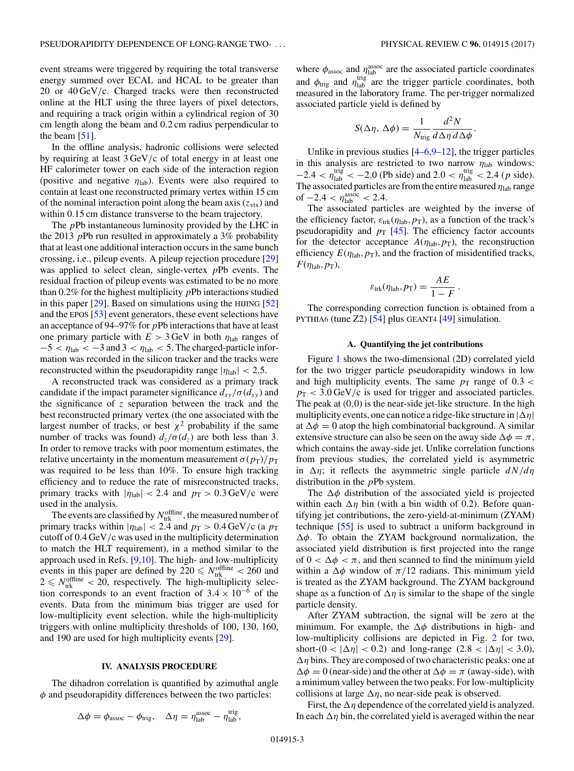event streams were triggered by requiring the total transverse energy summed over ECAL and HCAL to be greater than 20 or 40 GeV/c. Charged tracks were then reconstructed online at the HLT using the three layers of pixel detectors, and requiring a track origin within a cylindrical region of 30 cm length along the beam and 0.2 cm radius perpendicular to the beam [\[51\]](#page-10-0).

In the offline analysis, hadronic collisions were selected by requiring at least 3 GeV/c of total energy in at least one HF calorimeter tower on each side of the interaction region (positive and negative  $\eta_{\text{lab}}$ ). Events were also required to contain at least one reconstructed primary vertex within 15 cm of the nominal interaction point along the beam axis  $(z_{\text{vtx}})$  and within 0.15 cm distance transverse to the beam trajectory.

The *pPb* instantaneous luminosity provided by the LHC in the 2013 pPb run resulted in approximately a 3% probability that at least one additional interaction occurs in the same bunch crossing, i.e., pileup events. A pileup rejection procedure [\[29\]](#page-10-0) was applied to select clean, single-vertex  $pPb$  events. The residual fraction of pileup events was estimated to be no more than  $0.2\%$  for the highest multiplicity pPb interactions studied in this paper  $[29]$ . Based on simulations using the HIJING  $[52]$ and the EPOS [\[53\]](#page-10-0) event generators, these event selections have an acceptance of 94–97% for  $pPb$  interactions that have at least one primary particle with  $E > 3$  GeV in both  $\eta_{\text{lab}}$  ranges of  $-5 < \eta_{\text{lab}} < -3$  and  $3 < \eta_{\text{lab}} < 5$ . The charged-particle information was recorded in the silicon tracker and the tracks were reconstructed within the pseudorapidity range  $|\eta_{lab}| < 2.5$ .

A reconstructed track was considered as a primary track candidate if the impact parameter significance  $d_{xy}/\sigma(d_{xy})$  and the significance of  $z$  separation between the track and the best reconstructed primary vertex (the one associated with the largest number of tracks, or best  $\chi^2$  probability if the same number of tracks was found)  $d_z/\sigma(d_z)$  are both less than 3. In order to remove tracks with poor momentum estimates, the relative uncertainty in the momentum measurement  $\sigma(p_T)/p_T$ was required to be less than 10%. To ensure high tracking efficiency and to reduce the rate of misreconstructed tracks, primary tracks with  $|\eta_{lab}| < 2.4$  and  $p_T > 0.3$  GeV/c were used in the analysis.

The events are classified by  $N_{\text{trk}}^{\text{offline}}$ , the measured number of primary tracks within  $|\eta_{lab}| < 2.4$  and  $p_T > 0.4$  GeV/c (a  $p_T$ cutoff of 0.4 GeV/c was used in the multiplicity determination to match the HLT requirement), in a method similar to the approach used in Refs. [\[9,10\]](#page-9-0). The high- and low-multiplicity events in this paper are defined by  $220 \le N_{\text{trk}}^{\text{offline}} < 260$  and  $2 \leq N_{\text{trk}}^{\text{offline}} < 20$ , respectively. The high-multiplicity selection corresponds to an event fraction of  $3.4 \times 10^{-6}$  of the events. Data from the minimum bias trigger are used for low-multiplicity event selection, while the high-multiplicity triggers with online multiplicity thresholds of 100, 130, 160, and 190 are used for high multiplicity events [\[29\]](#page-10-0).

### **IV. ANALYSIS PROCEDURE**

The dihadron correlation is quantified by azimuthal angle  $\phi$  and pseudorapidity differences between the two particles:

$$
\Delta \phi = \phi_{\rm assoc} - \phi_{\rm trig}, \quad \Delta \eta = \eta_{\rm lab}^{\rm assoc} - \eta_{\rm lab}^{\rm trig},
$$

where  $\phi_{\text{assoc}}$  and  $\eta_{\text{lab}}^{\text{assoc}}$  are the associated particle coordinates and  $\phi_{\text{trig}}$  and  $\eta_{\text{lab}}^{\text{trig}}$  are the trigger particle coordinates, both measured in the laboratory frame. The per-trigger normalized associated particle yield is defined by

$$
S(\Delta \eta, \Delta \phi) = \frac{1}{N_{\text{trig}}} \frac{d^2 N}{d \Delta \eta \, d \Delta \phi}.
$$

Unlike in previous studies  $[4-6,9-12]$ , the trigger particles in this analysis are restricted to two narrow  $\eta_{\text{lab}}$  windows:  $-2.4 < \eta_{\text{lab}}^{\text{trig}} < -2.0$  (Pb side) and  $2.0 < \eta_{\text{lab}}^{\text{trig}} < 2.4$  (*p* side). The associated particles are from the entire measured  $\eta_{\rm lab}$  range of  $-2.4 < \eta_{\rm lab}^{\rm assoc} < 2.4$ .

The associated particles are weighted by the inverse of the efficiency factor,  $\varepsilon_{trk}(\eta_{lab},p_T)$ , as a function of the track's pseudorapidity and  $p_T$  [\[45\]](#page-10-0). The efficiency factor accounts for the detector acceptance  $A(\eta_{\text{lab}}, p_{\text{T}})$ , the reconstruction efficiency  $E(\eta_{lab},p_T)$ , and the fraction of misidentified tracks,  $F(\eta_{\text{lab}},p_{\text{T}}),$ 

$$
\varepsilon_{\text{trk}}(\eta_{\text{lab}}, p_{\text{T}}) = \frac{AE}{1 - F}.
$$

The corresponding correction function is obtained from a PYTHIA6 (tune Z2)  $[54]$  plus GEANT4  $[49]$  simulation.

### **A. Quantifying the jet contributions**

Figure [1](#page-3-0) shows the two-dimensional (2D) correlated yield for the two trigger particle pseudorapidity windows in low and high multiplicity events. The same  $p<sub>T</sub>$  range of 0.3 <  $p_T < 3.0$  GeV/c is used for trigger and associated particles. The peak at  $(0,0)$  is the near-side jet-like structure. In the high multiplicity events, one can notice a ridge-like structure in  $|\Delta \eta|$ at  $\Delta \phi = 0$  atop the high combinatorial background. A similar extensive structure can also be seen on the away side  $\Delta \phi = \pi$ , which contains the away-side jet. Unlike correlation functions from previous studies, the correlated yield is asymmetric in  $\Delta \eta$ ; it reflects the asymmetric single particle  $dN/d\eta$ distribution in the  $pPb$  system.

The  $\Delta \phi$  distribution of the associated yield is projected within each  $\Delta \eta$  bin (with a bin width of 0.2). Before quantifying jet contributions, the zero-yield-at-minimum (ZYAM) technique [\[55\]](#page-10-0) is used to subtract a uniform background in  $\Delta \phi$ . To obtain the ZYAM background normalization, the associated yield distribution is first projected into the range of  $0 < \Delta \phi < \pi$ , and then scanned to find the minimum yield within a  $\Delta \phi$  window of  $\pi/12$  radians. This minimum yield is treated as the ZYAM background. The ZYAM background shape as a function of  $\Delta \eta$  is similar to the shape of the single particle density.

After ZYAM subtraction, the signal will be zero at the minimum. For example, the  $\Delta \phi$  distributions in high- and low-multiplicity collisions are depicted in Fig. [2](#page-4-0) for two, short- $(0 < |\Delta \eta| < 0.2)$  and long-range  $(2.8 < |\Delta \eta| < 3.0)$ ,  $\Delta \eta$  bins. They are composed of two characteristic peaks: one at  $\Delta \phi = 0$  (near-side) and the other at  $\Delta \phi = \pi$  (away-side), with a minimum valley between the two peaks. For low-multiplicity collisions at large  $\Delta \eta$ , no near-side peak is observed.

First, the  $\Delta \eta$  dependence of the correlated yield is analyzed. In each  $\Delta \eta$  bin, the correlated yield is averaged within the near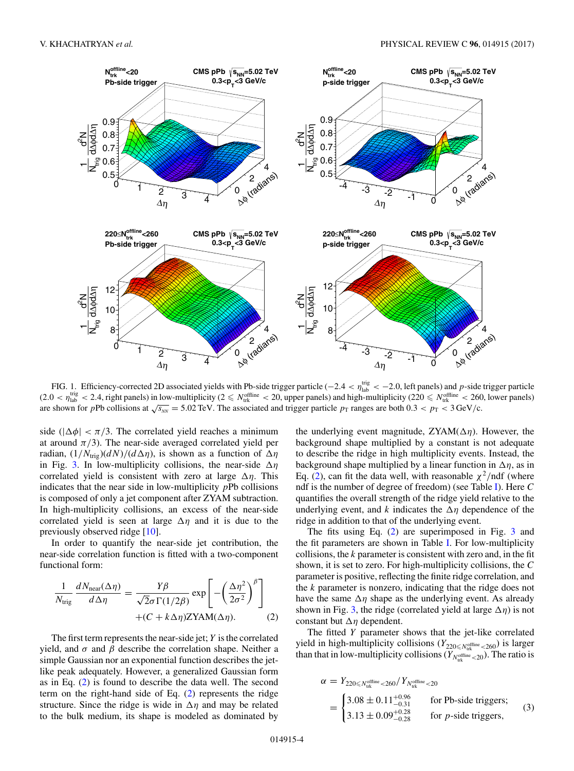<span id="page-3-0"></span>

FIG. 1. Efficiency-corrected 2D associated yields with Pb-side trigger particle ( $-2.4 < \eta_{\text{lab}}^{\text{trig}} < -2.0$ , left panels) and p-side trigger particle  $(2.0 < \eta_{\text{lab}}^{\text{trig}} < 2.4$ , right panels) in low-multiplicity ( $2 \leq N_{\text{trk}}^{\text{offline}} < 20$ , upper panels) and high-multiplicity ( $220 \leq N_{\text{trk}}^{\text{offline}} < 260$ , lower panels) are shown for pPb collisions at  $\sqrt{s_{NN}}$  = 5.02 TeV. The associated and trigger particle p<sub>T</sub> ranges are both 0.3 < p<sub>T</sub> < 3 GeV/c.

side ( $|\Delta \phi| < \pi/3$ . The correlated yield reaches a minimum at around  $\pi/3$ ). The near-side averaged correlated yield per radian,  $\left(\frac{1}{N_{\text{trig}}}\right)\left(\frac{dN}{d\Delta\eta}\right)$ , is shown as a function of  $\Delta\eta$ in Fig. [3.](#page-5-0) In low-multiplicity collisions, the near-side  $\Delta \eta$ correlated yield is consistent with zero at large  $\Delta \eta$ . This indicates that the near side in low-multiplicity  $pPb$  collisions is composed of only a jet component after ZYAM subtraction. In high-multiplicity collisions, an excess of the near-side correlated yield is seen at large  $\Delta \eta$  and it is due to the previously observed ridge [\[10\]](#page-9-0).

In order to quantify the near-side jet contribution, the near-side correlation function is fitted with a two-component functional form:

$$
\frac{1}{N_{\text{trig}}} \frac{dN_{\text{near}}(\Delta \eta)}{d\Delta \eta} = \frac{Y\beta}{\sqrt{2}\sigma \Gamma(1/2\beta)} \exp\left[-\left(\frac{\Delta \eta^2}{2\sigma^2}\right)^{\beta}\right] + (C + k\Delta \eta) Z \text{YAM}(\Delta \eta). \tag{2}
$$

The first term represents the near-side jet;  $Y$  is the correlated yield, and  $σ$  and  $β$  describe the correlation shape. Neither a simple Gaussian nor an exponential function describes the jetlike peak adequately. However, a generalized Gaussian form as in Eq. (2) is found to describe the data well. The second term on the right-hand side of Eq. (2) represents the ridge structure. Since the ridge is wide in  $\Delta \eta$  and may be related to the bulk medium, its shape is modeled as dominated by

the underlying event magnitude,  $ZYAM(\Delta \eta)$ . However, the background shape multiplied by a constant is not adequate to describe the ridge in high multiplicity events. Instead, the background shape multiplied by a linear function in  $\Delta \eta$ , as in Eq. (2), can fit the data well, with reasonable  $\chi^2$ /ndf (where ndf is the number of degree of freedom) (see Table [I\)](#page-5-0). Here C quantifies the overall strength of the ridge yield relative to the underlying event, and k indicates the  $\Delta \eta$  dependence of the ridge in addition to that of the underlying event.

The fits using Eq.  $(2)$  are superimposed in Fig. [3](#page-5-0) and the fit parameters are shown in Table [I.](#page-5-0) For low-multiplicity collisions, the k parameter is consistent with zero and, in the fit shown, it is set to zero. For high-multiplicity collisions, the C parameter is positive, reflecting the finite ridge correlation, and the  $k$  parameter is nonzero, indicating that the ridge does not have the same  $\Delta \eta$  shape as the underlying event. As already shown in Fig. [3,](#page-5-0) the ridge (correlated yield at large  $\Delta \eta$ ) is not constant but  $\Delta \eta$  dependent.

The fitted  $Y$  parameter shows that the jet-like correlated yield in high-multiplicity collisions  $(Y_{220 \le N_{\text{trk}}^{\text{offline}} < 260})$  is larger than that in low-multiplicity collisions  $(Y_{N_{\text{trk}}^{\text{offline}} \le 20})$ . The ratio is

$$
\alpha = Y_{220 \le N_{\text{trk}}^{\text{offline}} < 260} / Y_{N_{\text{trk}}^{\text{offline}} < 20}
$$
  
= 
$$
\begin{cases} 3.08 \pm 0.11_{-0.31}^{+0.96} & \text{for Pb-side triggers;} \\ 3.13 \pm 0.09_{-0.28}^{+0.28} & \text{for p-side triggers,} \end{cases}
$$
 (3)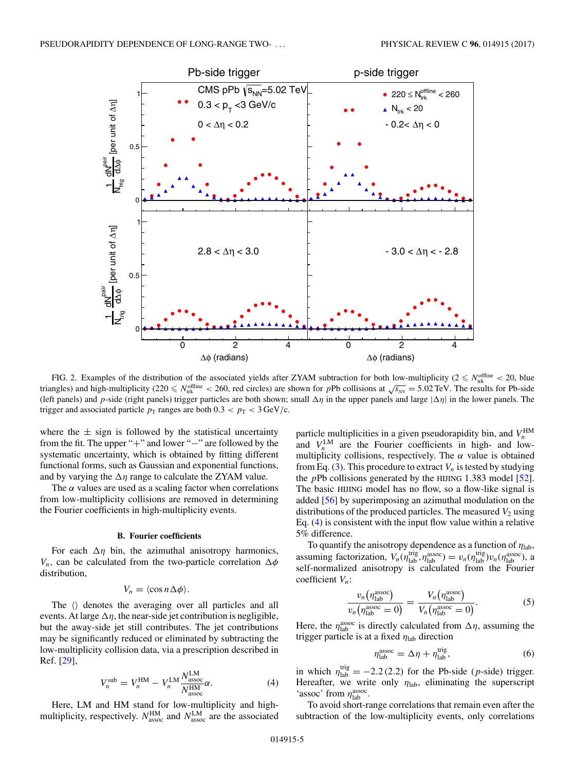<span id="page-4-0"></span>

FIG. 2. Examples of the distribution of the associated yields after ZYAM subtraction for both low-multiplicity ( $2 \le N_{trk}^{\text{offline}} < 20$ , blue triangles) and high-multiplicity (220  $\leq N_{trk}^{offline} < 260$ , red circles) are shown for pPb collisions at  $\sqrt{s_{NN}} = 5.02$  TeV. The results for Pb-side (left panels) and p-side (right panels) trigger particles are both shown; small  $\Delta \eta$  in the upper panels and large  $|\Delta \eta|$  in the lower panels. The trigger and associated particle  $p_T$  ranges are both  $0.3 < p_T < 3 \text{ GeV/c}$ .

where the  $\pm$  sign is followed by the statistical uncertainty from the fit. The upper "+" and lower "−" are followed by the systematic uncertainty, which is obtained by fitting different functional forms, such as Gaussian and exponential functions, and by varying the  $\Delta \eta$  range to calculate the ZYAM value.

The  $\alpha$  values are used as a scaling factor when correlations from low-multiplicity collisions are removed in determining the Fourier coefficients in high-multiplicity events.

## **B. Fourier coefficients**

For each  $\Delta \eta$  bin, the azimuthal anisotropy harmonics,  $V_n$ , can be calculated from the two-particle correlation  $\Delta \phi$ distribution,

$$
V_n = \langle \cos n \Delta \phi \rangle.
$$

The  $\langle \rangle$  denotes the averaging over all particles and all events. At large  $\Delta \eta$ , the near-side jet contribution is negligible, but the away-side jet still contributes. The jet contributions may be significantly reduced or eliminated by subtracting the low-multiplicity collision data, via a prescription described in Ref. [\[29\]](#page-10-0),

$$
V_n^{\text{sub}} = V_n^{\text{HM}} - V_n^{\text{LM}} \frac{N_{\text{assoc}}^{\text{LM}}}{N_{\text{assoc}}^{\text{HM}}} \alpha. \tag{4}
$$

Here, LM and HM stand for low-multiplicity and highmultiplicity, respectively.  $N_{\text{assoc}}^{\text{HM}}$  and  $N_{\text{assoc}}^{\text{LM}}$  are the associated

particle multiplicities in a given pseudorapidity bin, and  $V_n^{\text{HM}}$ and  $V_n^{\text{LM}}$  are the Fourier coefficients in high- and lowmultiplicity collisions, respectively. The  $\alpha$  value is obtained from Eq. [\(3\)](#page-3-0). This procedure to extract  $V_n$  is tested by studying the *pPb* collisions generated by the HIJING 1.383 model  $[52]$ . The basic HIJING model has no flow, so a flow-like signal is added [\[56\]](#page-10-0) by superimposing an azimuthal modulation on the distributions of the produced particles. The measured  $V_2$  using Eq. (4) is consistent with the input flow value within a relative 5% difference.

To quantify the anisotropy dependence as a function of  $\eta_{\rm lab}$ , assuming factorization,  $V_n(\eta_{\text{lab}}^{\text{trig}}, \eta_{\text{lab}}^{\text{assoc}}) = v_n(\eta_{\text{lab}}^{\text{trig}})v_n(\eta_{\text{lab}}^{\text{assoc}})$ , a self-normalized anisotropy is calculated from the Fourier coefficient  $V_n$ :

nassocial<sub>is</sub>

$$
\frac{v_n(\eta_{\text{lab}}^{\text{assoc}})}{v_n(\eta_{\text{lab}}^{\text{assoc}} = 0)} = \frac{V_n(\eta_{\text{lab}}^{\text{assoc}})}{V_n(\eta_{\text{lab}}^{\text{assoc}} = 0)}.
$$
(5)

Here, the  $\eta_{\text{lab}}^{\text{assoc}}$  is directly calculated from  $\Delta \eta$ , assuming the trigger particle is at a fixed  $\eta_{\text{lab}}$  direction

$$
\eta_{\text{lab}}^{\text{assoc}} = \Delta \eta + \eta_{\text{lab}}^{\text{trig}},\tag{6}
$$

in which  $\eta_{\text{lab}}^{\text{trig}} = -2.2(2.2)$  for the Pb-side (*p*-side) trigger. Hereafter, we write only  $\eta_{\text{lab}}$ , eliminating the superscript 'assoc' from  $\eta_{\rm lab}^{\rm assoc}$ .

To avoid short-range correlations that remain even after the subtraction of the low-multiplicity events, only correlations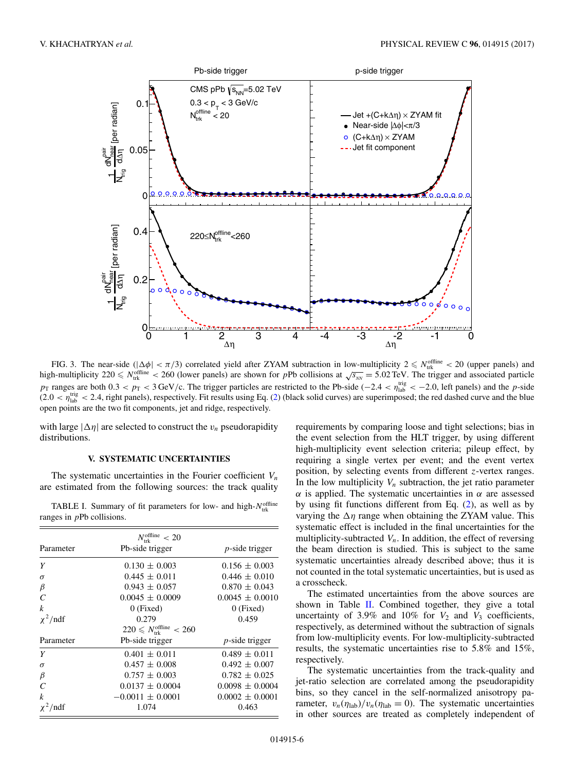<span id="page-5-0"></span>

FIG. 3. The near-side ( $|\Delta \phi| < \pi/3$ ) correlated yield after ZYAM subtraction in low-multiplicity  $2 \le N_{\text{trk}}^{\text{offline}} < 20$  (upper panels) and high-multiplicity  $220 \le N_{\text{trk}}^{\text{offline}} < 260$  (lower panels) are shown for pPb collisions at  $\sqrt{s_{NN}} = 5.02 \text{ TeV}$ . The trigger and associated particle  $p_{\text{T}}$  ranges are both 0.3 <  $p_{\text{T}}$  < 3 GeV/c. The trigger particles are restricted to the Pb-side (-2.4 <  $\eta_{\text{lab}}^{\text{trig}}$  < -2.0, left panels) and the p-side  $(2.0 < \eta_{\text{lab}}^{\text{trig}} < 2.4$ , right panels), respectively. Fit results using Eq. [\(2\)](#page-3-0) (black solid curves) are superimposed; the red dashed curve and the blue open points are the two fit components, jet and ridge, respectively.

with large  $|\Delta \eta|$  are selected to construct the  $v_n$  pseudorapidity distributions.

## **V. SYSTEMATIC UNCERTAINTIES**

The systematic uncertainties in the Fourier coefficient  $V_n$ are estimated from the following sources: the track quality

TABLE I. Summary of fit parameters for low- and high- $N_{\text{trk}}^{\text{offline}}$ ranges in pPb collisions.

| $N_{\text{trk}}^{\text{offline}} < 20$ |                                                  |                     |  |  |  |
|----------------------------------------|--------------------------------------------------|---------------------|--|--|--|
| Parameter                              | Pb-side trigger                                  | $p$ -side trigger   |  |  |  |
| Y                                      | $0.130 \pm 0.003$                                | $0.156 \pm 0.003$   |  |  |  |
| $\sigma$                               | $0.445 \pm 0.011$                                | $0.446 \pm 0.010$   |  |  |  |
| β                                      | $0.943 \pm 0.057$                                | $0.870 \pm 0.043$   |  |  |  |
|                                        | $0.0045 \pm 0.0009$                              | $0.0045 \pm 0.0010$ |  |  |  |
| $\boldsymbol{k}$                       | $0$ (Fixed)                                      | $0$ (Fixed)         |  |  |  |
| $\chi^2$ /ndf                          | 0.279                                            | 0.459               |  |  |  |
|                                        | $220 \leq N_{\text{trk}}^{\text{offline}} < 260$ |                     |  |  |  |
| Parameter                              | Pb-side trigger                                  | $p$ -side trigger   |  |  |  |
| Y                                      | $0.401 \pm 0.011$                                | $0.489 \pm 0.011$   |  |  |  |
| $\sigma$                               | $0.457 \pm 0.008$                                | $0.492 \pm 0.007$   |  |  |  |
| $_{\beta}$                             | $0.757 \pm 0.003$                                | $0.782 \pm 0.025$   |  |  |  |
| C                                      | $0.0137 \pm 0.0004$                              | $0.0098 \pm 0.0004$ |  |  |  |
| k                                      | $-0.0011 \pm 0.0001$                             | $0.0002 \pm 0.0001$ |  |  |  |
| $\chi^2$ /ndf                          | 1.074                                            | 0.463               |  |  |  |

requirements by comparing loose and tight selections; bias in the event selection from the HLT trigger, by using different high-multiplicity event selection criteria; pileup effect, by requiring a single vertex per event; and the event vertex position, by selecting events from different z-vertex ranges. In the low multiplicity  $V_n$  subtraction, the jet ratio parameter α is applied. The systematic uncertainties in α are assessed by using fit functions different from Eq. [\(2\)](#page-3-0), as well as by varying the  $\Delta \eta$  range when obtaining the ZYAM value. This systematic effect is included in the final uncertainties for the multiplicity-subtracted  $V_n$ . In addition, the effect of reversing the beam direction is studied. This is subject to the same systematic uncertainties already described above; thus it is not counted in the total systematic uncertainties, but is used as a crosscheck.

The estimated uncertainties from the above sources are shown in Table [II.](#page-6-0) Combined together, they give a total uncertainty of 3.9% and 10% for  $V_2$  and  $V_3$  coefficients, respectively, as determined without the subtraction of signals from low-multiplicity events. For low-multiplicity-subtracted results, the systematic uncertainties rise to 5.8% and 15%, respectively.

The systematic uncertainties from the track-quality and jet-ratio selection are correlated among the pseudorapidity bins, so they cancel in the self-normalized anisotropy parameter,  $v_n(\eta_{\text{lab}})/v_n(\eta_{\text{lab}} = 0)$ . The systematic uncertainties in other sources are treated as completely independent of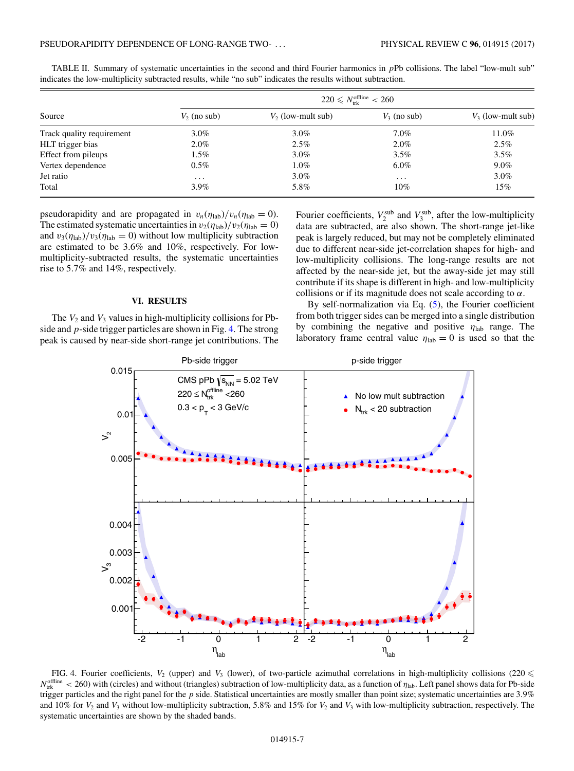| Source                    | $220 \leq N_{\text{trk}}^{\text{offline}} < 260$ |                      |                |                      |
|---------------------------|--------------------------------------------------|----------------------|----------------|----------------------|
|                           | $V_2$ (no sub)                                   | $V_2$ (low-mult sub) | $V_3$ (no sub) | $V_3$ (low-mult sub) |
| Track quality requirement | $3.0\%$                                          | $3.0\%$              | 7.0%           | 11.0%                |
| HLT trigger bias          | $2.0\%$                                          | $2.5\%$              | 2.0%           | $2.5\%$              |
| Effect from pileups       | $1.5\%$                                          | $3.0\%$              | $3.5\%$        | $3.5\%$              |
| Vertex dependence         | $0.5\%$                                          | $1.0\%$              | $6.0\%$        | $9.0\%$              |
| Jet ratio                 | $\cdots$                                         | $3.0\%$              | $\cdots$       | $3.0\%$              |
| Total                     | $3.9\%$                                          | 5.8%                 | $10\%$         | $15\%$               |

<span id="page-6-0"></span>TABLE II. Summary of systematic uncertainties in the second and third Fourier harmonics in pPb collisions. The label "low-mult sub" indicates the low-multiplicity subtracted results, while "no sub" indicates the results without subtraction.

pseudorapidity and are propagated in  $v_n(\eta_{lab})/v_n(\eta_{lab} = 0)$ . The estimated systematic uncertainties in  $v_2(\eta_{lab})/v_2(\eta_{lab} = 0)$ and  $v_3(\eta_{lab})/v_3(\eta_{lab} = 0)$  without low multiplicity subtraction are estimated to be 3.6% and 10%, respectively. For lowmultiplicity-subtracted results, the systematic uncertainties rise to 5.7% and 14%, respectively.

## **VI. RESULTS**

The  $V_2$  and  $V_3$  values in high-multiplicity collisions for Pbside and p-side trigger particles are shown in Fig. 4. The strong peak is caused by near-side short-range jet contributions. The

Fourier coefficients,  $V_2^{\text{sub}}$  and  $V_3^{\text{sub}}$ , after the low-multiplicity data are subtracted, are also shown. The short-range jet-like peak is largely reduced, but may not be completely eliminated due to different near-side jet-correlation shapes for high- and low-multiplicity collisions. The long-range results are not affected by the near-side jet, but the away-side jet may still contribute if its shape is different in high- and low-multiplicity collisions or if its magnitude does not scale according to  $\alpha$ .

By self-normalization via Eq.  $(5)$ , the Fourier coefficient from both trigger sides can be merged into a single distribution by combining the negative and positive  $\eta_{lab}$  range. The laboratory frame central value  $\eta_{\text{lab}} = 0$  is used so that the



FIG. 4. Fourier coefficients,  $V_2$  (upper) and  $V_3$  (lower), of two-particle azimuthal correlations in high-multiplicity collisions (220  $\leq$  $N_{\text{trk}}^{\text{offline}}$  < 260) with (circles) and without (triangles) subtraction of low-multiplicity data, as a function of  $\eta_{\text{lab}}$ . Left panel shows data for Pb-side trigger particles and the right panel for the p side. Statistical uncertainties are mostly smaller than point size; systematic uncertainties are 3.9% and 10% for  $V_2$  and  $V_3$  without low-multiplicity subtraction, 5.8% and 15% for  $V_2$  and  $V_3$  with low-multiplicity subtraction, respectively. The systematic uncertainties are shown by the shaded bands.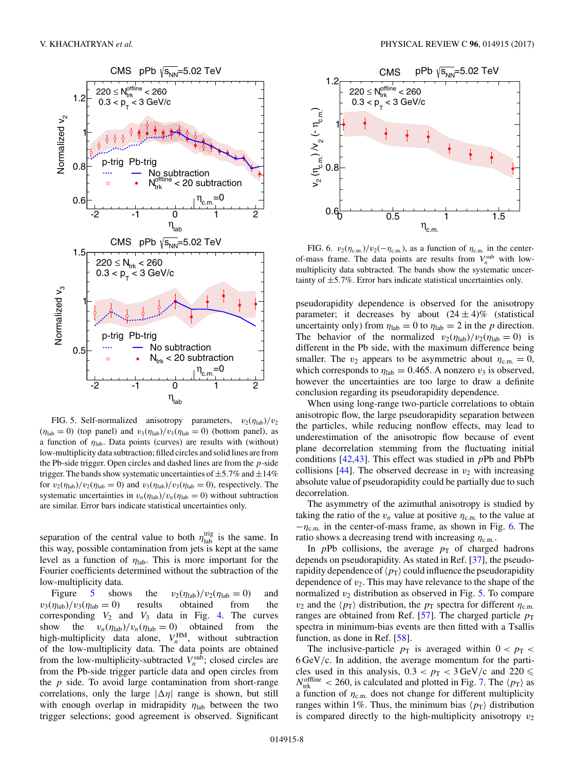

FIG. 5. Self-normalized anisotropy parameters,  $v_2(\eta_{\text{lab}})/v_2$  $(\eta_{\text{lab}} = 0)$  (top panel) and  $v_3(\eta_{\text{lab}})/v_3(\eta_{\text{lab}} = 0)$  (bottom panel), as a function of  $\eta_{lab}$ . Data points (curves) are results with (without) low-multiplicity data subtraction; filled circles and solid lines are from the Pb-side trigger. Open circles and dashed lines are from the  $p$ -side trigger. The bands show systematic uncertainties of  $\pm$ 5.7% and  $\pm$ 14% for  $v_2(\eta_{\text{lab}})/v_2(\eta_{\text{lab}} = 0)$  and  $v_3(\eta_{\text{lab}})/v_3(\eta_{\text{lab}} = 0)$ , respectively. The systematic uncertainties in  $v_n(\eta_{lab})/v_n(\eta_{lab} = 0)$  without subtraction are similar. Error bars indicate statistical uncertainties only.

separation of the central value to both  $\eta_{\text{lab}}^{\text{trig}}$  is the same. In this way, possible contamination from jets is kept at the same level as a function of  $\eta_{lab}$ . This is more important for the Fourier coefficients determined without the subtraction of the low-multiplicity data.

Figure 5 shows the  $v_2(\eta_{\text{lab}})/v_2(\eta_{\text{lab}} = 0)$  and  $(\eta_{\text{lab}})/v_3(\eta_{\text{lab}} = 0)$  results obtained from the  $v_3(\eta_{\text{lab}})/v_3(\eta_{\text{lab}} = 0)$ corresponding  $V_2$  and  $V_3$  data in Fig. [4.](#page-6-0) The curves show the  $v_n(\eta_{\text{lab}})/v_n(\eta_{\text{lab}} = 0)$  obtained from the high-multiplicity data alone,  $V_n^{\text{HM}}$ , without subtraction of the low-multiplicity data. The data points are obtained from the low-multiplicity-subtracted  $V_n^{\text{sub}}$ ; closed circles are from the Pb-side trigger particle data and open circles from the  $p$  side. To avoid large contamination from short-range correlations, only the large  $|\Delta \eta|$  range is shown, but still with enough overlap in midrapidity  $\eta_{lab}$  between the two trigger selections; good agreement is observed. Significant



FIG. 6.  $v_2(\eta_{\text{c.m.}})/v_2(-\eta_{\text{c.m.}})$ , as a function of  $\eta_{\text{c.m.}}$  in the centerof-mass frame. The data points are results from  $V_n^{\text{sub}}$  with lowmultiplicity data subtracted. The bands show the systematic uncertainty of  $\pm$ 5.7%. Error bars indicate statistical uncertainties only.

pseudorapidity dependence is observed for the anisotropy parameter; it decreases by about  $(24 \pm 4)\%$  (statistical uncertainty only) from  $\eta_{\text{lab}} = 0$  to  $\eta_{\text{lab}} = 2$  in the p direction. The behavior of the normalized  $v_2(\eta_{\text{lab}})/v_2(\eta_{\text{lab}} = 0)$  is different in the Pb side, with the maximum difference being smaller. The  $v_2$  appears to be asymmetric about  $\eta_{c.m.} = 0$ , which corresponds to  $\eta_{\text{lab}} = 0.465$ . A nonzero  $v_3$  is observed, however the uncertainties are too large to draw a definite conclusion regarding its pseudorapidity dependence.

When using long-range two-particle correlations to obtain anisotropic flow, the large pseudorapidity separation between the particles, while reducing nonflow effects, may lead to underestimation of the anisotropic flow because of event plane decorrelation stemming from the fluctuating initial conditions  $[42, 43]$ . This effect was studied in pPb and PbPb collisions [\[44\]](#page-10-0). The observed decrease in  $v_2$  with increasing absolute value of pseudorapidity could be partially due to such decorrelation.

The asymmetry of the azimuthal anisotropy is studied by taking the ratio of the  $v_n$  value at positive  $\eta_{c,m}$  to the value at  $-\eta_{\rm c.m.}$  in the center-of-mass frame, as shown in Fig. 6. The ratio shows a decreasing trend with increasing  $\eta_{\text{c.m.}}$ .

In pPb collisions, the average  $p<sub>T</sub>$  of charged hadrons depends on pseudorapidity. As stated in Ref. [\[37\]](#page-10-0), the pseudorapidity dependence of  $\langle p_T \rangle$  could influence the pseudorapidity dependence of  $v_2$ . This may have relevance to the shape of the normalized  $v_2$  distribution as observed in Fig. 5. To compare  $v_2$  and the  $\langle p_{\rm T} \rangle$  distribution, the  $p_{\rm T}$  spectra for different  $\eta_{\rm c.m.}$ ranges are obtained from Ref. [\[57\]](#page-11-0). The charged particle  $p_T$ spectra in minimum-bias events are then fitted with a Tsallis function, as done in Ref. [\[58\]](#page-11-0).

The inclusive-particle  $p_T$  is averaged within  $0 < p_T <$ 6 GeV/c. In addition, the average momentum for the particles used in this analysis,  $0.3 < p_T < 3 \,\text{GeV/c}$  and  $220 \leq$  $N_{\text{trk}}^{\text{offline}}$  < 260, is calculated and plotted in Fig. [7.](#page-8-0) The  $\langle p_{\text{T}} \rangle$  as a function of  $\eta_{\rm c.m.}$  does not change for different multiplicity ranges within 1%. Thus, the minimum bias  $\langle p_T \rangle$  distribution is compared directly to the high-multiplicity anisotropy  $v_2$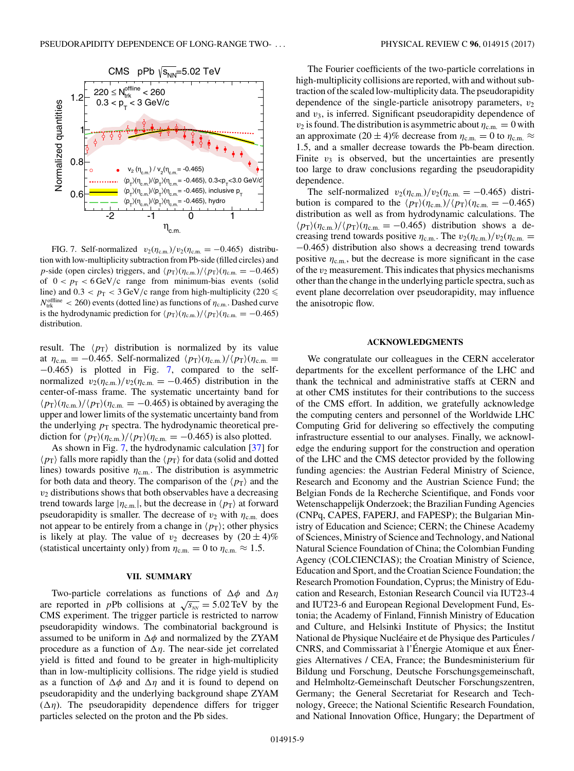<span id="page-8-0"></span>

FIG. 7. Self-normalized  $v_2(\eta_{\text{c.m.}})/v_2(\eta_{\text{c.m.}} = -0.465)$  distribution with low-multiplicity subtraction from Pb-side (filled circles) and *p*-side (open circles) triggers, and  $\langle p_{\text{T}} \rangle(\eta_{\text{c.m.}})/\langle p_{\text{T}} \rangle(\eta_{\text{c.m.}} = -0.465)$ of  $0 < p_T < 6 \text{ GeV/c}$  range from minimum-bias events (solid line) and  $0.3 < p_T < 3$  GeV/c range from high-multiplicity (220  $\leq$  $N_{\text{trk}}^{\text{offline}} < 260$ ) events (dotted line) as functions of  $\eta_{\text{c.m.}}$ . Dashed curve is the hydrodynamic prediction for  $\langle p_T \rangle(\eta_{c.m.})/\langle p_T \rangle(\eta_{c.m.} = -0.465)$ distribution.

result. The  $\langle p_{\rm T} \rangle$  distribution is normalized by its value at  $\eta_{\rm c.m.} = -0.465$ . Self-normalized  $\langle p_{\rm T} \rangle(\eta_{\rm c.m.})/\langle p_{\rm T} \rangle(\eta_{\rm c.m.} =$ <sup>−</sup>0.465) is plotted in Fig. 7, compared to the selfnormalized  $v_2(\eta_{\text{c.m.}})/v_2(\eta_{\text{c.m.}} = -0.465)$  distribution in the center-of-mass frame. The systematic uncertainty band for  $\langle p_{\rm T} \rangle(\eta_{\rm c.m.})/\langle p_{\rm T} \rangle(\eta_{\rm c.m.} = -0.465)$  is obtained by averaging the upper and lower limits of the systematic uncertainty band from the underlying  $p<sub>T</sub>$  spectra. The hydrodynamic theoretical prediction for  $\langle p_{\text{T}}\rangle(\eta_{\text{c.m.}})/\langle p_{\text{T}}\rangle(\eta_{\text{c.m.}} = -0.465)$  is also plotted.

As shown in Fig. 7, the hydrodynamic calculation [\[37\]](#page-10-0) for  $\langle p_T \rangle$  falls more rapidly than the  $\langle p_T \rangle$  for data (solid and dotted lines) towards positive  $\eta_{\text{c.m.}}$ . The distribution is asymmetric for both data and theory. The comparison of the  $\langle p_T \rangle$  and the  $v<sub>2</sub>$  distributions shows that both observables have a decreasing trend towards large  $|\eta_{\text{c.m.}}|$ , but the decrease in  $\langle p_{\text{T}} \rangle$  at forward pseudorapidity is smaller. The decrease of  $v_2$  with  $\eta_{c.m.}$  does not appear to be entirely from a change in  $\langle p_T \rangle$ ; other physics is likely at play. The value of  $v_2$  decreases by  $(20 \pm 4)\%$ (statistical uncertainty only) from  $\eta_{\rm c.m.} = 0$  to  $\eta_{\rm c.m.} \approx 1.5$ .

## **VII. SUMMARY**

Two-particle correlations as functions of  $\Delta \phi$  and  $\Delta \eta$ are reported in *pPb* collisions at  $\sqrt{s_{NN}} = 5.02 \text{ TeV}$  by the CMS experiment. The trigger particle is restricted to narrow pseudorapidity windows. The combinatorial background is assumed to be uniform in  $\Delta \phi$  and normalized by the ZYAM procedure as a function of  $\Delta \eta$ . The near-side jet correlated yield is fitted and found to be greater in high-multiplicity than in low-multiplicity collisions. The ridge yield is studied as a function of  $\Delta \phi$  and  $\Delta \eta$  and it is found to depend on pseudorapidity and the underlying background shape ZYAM  $(\Delta \eta)$ . The pseudorapidity dependence differs for trigger particles selected on the proton and the Pb sides.

The Fourier coefficients of the two-particle correlations in high-multiplicity collisions are reported, with and without subtraction of the scaled low-multiplicity data. The pseudorapidity dependence of the single-particle anisotropy parameters,  $v_2$ and  $v_3$ , is inferred. Significant pseudorapidity dependence of  $v_2$  is found. The distribution is asymmetric about  $\eta_{c.m.} = 0$  with an approximate (20  $\pm$  4)% decrease from  $\eta_{\rm c.m.} = 0$  to  $\eta_{\rm c.m.} \approx$ 1.5, and a smaller decrease towards the Pb-beam direction. Finite  $v_3$  is observed, but the uncertainties are presently too large to draw conclusions regarding the pseudorapidity dependence.

The self-normalized  $v_2(\eta_{\rm c.m.})/v_2(\eta_{\rm c.m.} = -0.465)$  distribution is compared to the  $\langle p_T \rangle(\eta_{\text{c.m.}})/\langle p_T \rangle(\eta_{\text{c.m.}} = -0.465)$ distribution as well as from hydrodynamic calculations. The  $\langle p_{\rm T}\rangle(\eta_{\rm c.m.})/\langle p_{\rm T}\rangle(\eta_{\rm c.m.} = -0.465)$  distribution shows a decreasing trend towards positive  $\eta_{\rm c.m.}$ . The  $v_2(\eta_{\rm c.m.})/v_2(\eta_{\rm c.m.})$ <sup>−</sup>0.465) distribution also shows a decreasing trend towards positive  $\eta_{\rm cm}$ , but the decrease is more significant in the case of the  $v_2$  measurement. This indicates that physics mechanisms other than the change in the underlying particle spectra, such as event plane decorrelation over pseudorapidity, may influence the anisotropic flow.

## **ACKNOWLEDGMENTS**

We congratulate our colleagues in the CERN accelerator departments for the excellent performance of the LHC and thank the technical and administrative staffs at CERN and at other CMS institutes for their contributions to the success of the CMS effort. In addition, we gratefully acknowledge the computing centers and personnel of the Worldwide LHC Computing Grid for delivering so effectively the computing infrastructure essential to our analyses. Finally, we acknowledge the enduring support for the construction and operation of the LHC and the CMS detector provided by the following funding agencies: the Austrian Federal Ministry of Science, Research and Economy and the Austrian Science Fund; the Belgian Fonds de la Recherche Scientifique, and Fonds voor Wetenschappelijk Onderzoek; the Brazilian Funding Agencies (CNPq, CAPES, FAPERJ, and FAPESP); the Bulgarian Ministry of Education and Science; CERN; the Chinese Academy of Sciences, Ministry of Science and Technology, and National Natural Science Foundation of China; the Colombian Funding Agency (COLCIENCIAS); the Croatian Ministry of Science, Education and Sport, and the Croatian Science Foundation; the Research Promotion Foundation, Cyprus; the Ministry of Education and Research, Estonian Research Council via IUT23-4 and IUT23-6 and European Regional Development Fund, Estonia; the Academy of Finland, Finnish Ministry of Education and Culture, and Helsinki Institute of Physics; the Institut National de Physique Nucléaire et de Physique des Particules / CNRS, and Commissariat à l'Énergie Atomique et aux Énergies Alternatives / CEA, France; the Bundesministerium für Bildung und Forschung, Deutsche Forschungsgemeinschaft, and Helmholtz-Gemeinschaft Deutscher Forschungszentren, Germany; the General Secretariat for Research and Technology, Greece; the National Scientific Research Foundation, and National Innovation Office, Hungary; the Department of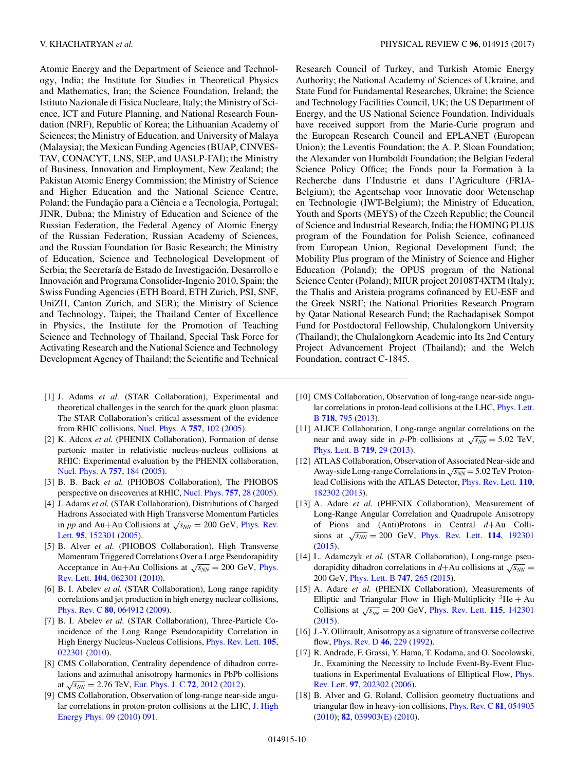<span id="page-9-0"></span>Atomic Energy and the Department of Science and Technology, India; the Institute for Studies in Theoretical Physics and Mathematics, Iran; the Science Foundation, Ireland; the Istituto Nazionale di Fisica Nucleare, Italy; the Ministry of Science, ICT and Future Planning, and National Research Foundation (NRF), Republic of Korea; the Lithuanian Academy of Sciences; the Ministry of Education, and University of Malaya (Malaysia); the Mexican Funding Agencies (BUAP, CINVES-TAV, CONACYT, LNS, SEP, and UASLP-FAI); the Ministry of Business, Innovation and Employment, New Zealand; the Pakistan Atomic Energy Commission; the Ministry of Science and Higher Education and the National Science Centre, Poland; the Fundação para a Ciência e a Tecnologia, Portugal; JINR, Dubna; the Ministry of Education and Science of the Russian Federation, the Federal Agency of Atomic Energy of the Russian Federation, Russian Academy of Sciences, and the Russian Foundation for Basic Research; the Ministry of Education, Science and Technological Development of Serbia; the Secretaría de Estado de Investigación, Desarrollo e Innovación and Programa Consolider-Ingenio 2010, Spain; the Swiss Funding Agencies (ETH Board, ETH Zurich, PSI, SNF, UniZH, Canton Zurich, and SER); the Ministry of Science and Technology, Taipei; the Thailand Center of Excellence in Physics, the Institute for the Promotion of Teaching Science and Technology of Thailand, Special Task Force for Activating Research and the National Science and Technology Development Agency of Thailand; the Scientific and Technical

- [1] J. Adams *et al.* (STAR Collaboration), Experimental and theoretical challenges in the search for the quark gluon plasma: The STAR Collaboration's critical assessment of the evidence from RHIC collisions, [Nucl. Phys. A](https://doi.org/10.1016/j.nuclphysa.2005.03.085) **[757](https://doi.org/10.1016/j.nuclphysa.2005.03.085)**, [102](https://doi.org/10.1016/j.nuclphysa.2005.03.085) [\(2005\)](https://doi.org/10.1016/j.nuclphysa.2005.03.085).
- [2] K. Adcox *et al.* (PHENIX Collaboration), Formation of dense partonic matter in relativistic nucleus-nucleus collisions at RHIC: Experimental evaluation by the PHENIX collaboration, [Nucl. Phys. A](https://doi.org/10.1016/j.nuclphysa.2005.03.086) **[757](https://doi.org/10.1016/j.nuclphysa.2005.03.086)**, [184](https://doi.org/10.1016/j.nuclphysa.2005.03.086) [\(2005\)](https://doi.org/10.1016/j.nuclphysa.2005.03.086).
- [3] B. B. Back *et al.* (PHOBOS Collaboration), The PHOBOS perspective on discoveries at RHIC, [Nucl. Phys.](https://doi.org/10.1016/j.nuclphysa.2005.03.084) **[757](https://doi.org/10.1016/j.nuclphysa.2005.03.084)**, [28](https://doi.org/10.1016/j.nuclphysa.2005.03.084) [\(2005\)](https://doi.org/10.1016/j.nuclphysa.2005.03.084).
- [4] J. Adams *et al.* (STAR Collaboration), Distributions of Charged Hadrons Associated with High Transverse Momentum Particles in *pp* and Au+[Au Collisions at](https://doi.org/10.1103/PhysRevLett.95.152301)  $\sqrt{s_{NN}}$  = 200 GeV, Phys. Rev. Lett. **[95](https://doi.org/10.1103/PhysRevLett.95.152301)**, [152301](https://doi.org/10.1103/PhysRevLett.95.152301) [\(2005\)](https://doi.org/10.1103/PhysRevLett.95.152301).
- [5] B. Alver *et al.* (PHOBOS Collaboration), High Transverse Momentum Triggered Correlations Over a Large Pseudorapidity [Acceptance in Au](https://doi.org/10.1103/PhysRevLett.104.062301)+Au Collisions at  $\sqrt{s_{NN}}$  = 200 GeV, Phys. Rev. Lett. **[104](https://doi.org/10.1103/PhysRevLett.104.062301)**, [062301](https://doi.org/10.1103/PhysRevLett.104.062301) [\(2010\)](https://doi.org/10.1103/PhysRevLett.104.062301).
- [6] B. I. Abelev *et al.* (STAR Collaboration), Long range rapidity correlations and jet production in high energy nuclear collisions, [Phys. Rev. C](https://doi.org/10.1103/PhysRevC.80.064912) **[80](https://doi.org/10.1103/PhysRevC.80.064912)**, [064912](https://doi.org/10.1103/PhysRevC.80.064912) [\(2009\)](https://doi.org/10.1103/PhysRevC.80.064912).
- [7] B. I. Abelev *et al.* (STAR Collaboration), Three-Particle Coincidence of the Long Range Pseudorapidity Correlation in High Energy Nucleus-Nucleus Collisions, [Phys. Rev. Lett.](https://doi.org/10.1103/PhysRevLett.105.022301) **[105](https://doi.org/10.1103/PhysRevLett.105.022301)**, [022301](https://doi.org/10.1103/PhysRevLett.105.022301) [\(2010\)](https://doi.org/10.1103/PhysRevLett.105.022301).
- [8] CMS Collaboration, Centrality dependence of dihadron correlations and azimuthal anisotropy harmonics in PbPb collisions at  $\sqrt{s_{NN}}$  = 2.76 TeV, [Eur. Phys. J. C](https://doi.org/10.1140/epjc/s10052-012-2012-3) [72](https://doi.org/10.1140/epjc/s10052-012-2012-3), [2012](https://doi.org/10.1140/epjc/s10052-012-2012-3) [\(2012\)](https://doi.org/10.1140/epjc/s10052-012-2012-3).
- [9] CMS Collaboration, Observation of long-range near-side angu[lar correlations in proton-proton collisions at the LHC,](https://doi.org/10.1007/JHEP09(2010)091) J. High Energy Phys. [09](https://doi.org/10.1007/JHEP09(2010)091) [\(2010\)](https://doi.org/10.1007/JHEP09(2010)091) [091.](https://doi.org/10.1007/JHEP09(2010)091)

Research Council of Turkey, and Turkish Atomic Energy Authority; the National Academy of Sciences of Ukraine, and State Fund for Fundamental Researches, Ukraine; the Science and Technology Facilities Council, UK; the US Department of Energy, and the US National Science Foundation. Individuals have received support from the Marie-Curie program and the European Research Council and EPLANET (European Union); the Leventis Foundation; the A. P. Sloan Foundation; the Alexander von Humboldt Foundation; the Belgian Federal Science Policy Office; the Fonds pour la Formation à la Recherche dans l'Industrie et dans l'Agriculture (FRIA-Belgium); the Agentschap voor Innovatie door Wetenschap en Technologie (IWT-Belgium); the Ministry of Education, Youth and Sports (MEYS) of the Czech Republic; the Council of Science and Industrial Research, India; the HOMING PLUS program of the Foundation for Polish Science, cofinanced from European Union, Regional Development Fund; the Mobility Plus program of the Ministry of Science and Higher Education (Poland); the OPUS program of the National Science Center (Poland); MIUR project 20108T4XTM (Italy); the Thalis and Aristeia programs cofinanced by EU-ESF and the Greek NSRF; the National Priorities Research Program by Qatar National Research Fund; the Rachadapisek Sompot Fund for Postdoctoral Fellowship, Chulalongkorn University (Thailand); the Chulalongkorn Academic into Its 2nd Century Project Advancement Project (Thailand); and the Welch Foundation, contract C-1845.

- [10] CMS Collaboration, Observation of long-range near-side angu[lar correlations in proton-lead collisions at the LHC,](https://doi.org/10.1016/j.physletb.2012.11.025) Phys. Lett. B **[718](https://doi.org/10.1016/j.physletb.2012.11.025)**, [795](https://doi.org/10.1016/j.physletb.2012.11.025) [\(2013\)](https://doi.org/10.1016/j.physletb.2012.11.025).
- [11] ALICE Collaboration, Long-range angular correlations on the near and away side in p-Pb collisions at  $\sqrt{s_{NN}} = 5.02$  TeV, [Phys. Lett. B](https://doi.org/10.1016/j.physletb.2013.01.012) **[719](https://doi.org/10.1016/j.physletb.2013.01.012)**, [29](https://doi.org/10.1016/j.physletb.2013.01.012) [\(2013\)](https://doi.org/10.1016/j.physletb.2013.01.012).
- [12] ATLAS Collaboration, Observation of Associated Near-side and Away-side Long-range Correlations in  $\sqrt{s_{NN}}$  = 5.02 TeV Protonlead Collisions with the ATLAS Detector, [Phys. Rev. Lett.](https://doi.org/10.1103/PhysRevLett.110.182302) **[110](https://doi.org/10.1103/PhysRevLett.110.182302)**, [182302](https://doi.org/10.1103/PhysRevLett.110.182302) [\(2013\)](https://doi.org/10.1103/PhysRevLett.110.182302).
- [13] A. Adare et al. (PHENIX Collaboration), Measurement of Long-Range Angular Correlation and Quadrupole Anisotropy of Pions and (Anti)Protons in Central *d*+Au Collisions at  $\sqrt{s_{NN}}$  = 200 GeV, [Phys. Rev. Lett.](https://doi.org/10.1103/PhysRevLett.114.192301) [114](https://doi.org/10.1103/PhysRevLett.114.192301), [192301](https://doi.org/10.1103/PhysRevLett.114.192301) [\(2015\)](https://doi.org/10.1103/PhysRevLett.114.192301).
- [14] L. Adamczyk *et al.* (STAR Collaboration), Long-range pseudorapidity dihadron correlations in *d*+Au collisions at  $\sqrt{s_{NN}}$  = 200 GeV, [Phys. Lett. B](https://doi.org/10.1016/j.physletb.2015.05.075) **[747](https://doi.org/10.1016/j.physletb.2015.05.075)**, [265](https://doi.org/10.1016/j.physletb.2015.05.075) [\(2015\)](https://doi.org/10.1016/j.physletb.2015.05.075).
- [15] A. Adare *et al.* (PHENIX Collaboration), Measurements of Elliptic and Triangular Flow in High-Multiplicity  ${}^{3}$ He + Au Collisions at  $\sqrt{s_{NN}}$  = 200 GeV, [Phys. Rev. Lett.](https://doi.org/10.1103/PhysRevLett.115.142301) [115](https://doi.org/10.1103/PhysRevLett.115.142301), [142301](https://doi.org/10.1103/PhysRevLett.115.142301) [\(2015\)](https://doi.org/10.1103/PhysRevLett.115.142301).
- [16] J.-Y. Ollitrault, Anisotropy as a signature of transverse collective flow, [Phys. Rev. D](https://doi.org/10.1103/PhysRevD.46.229) **[46](https://doi.org/10.1103/PhysRevD.46.229)**, [229](https://doi.org/10.1103/PhysRevD.46.229) [\(1992\)](https://doi.org/10.1103/PhysRevD.46.229).
- [17] R. Andrade, F. Grassi, Y. Hama, T. Kodama, and O. Socolowski, Jr., Examining the Necessity to Include Event-By-Event Fluc[tuations in Experimental Evaluations of Elliptical Flow,](https://doi.org/10.1103/PhysRevLett.97.202302) Phys. Rev. Lett. **[97](https://doi.org/10.1103/PhysRevLett.97.202302)**, [202302](https://doi.org/10.1103/PhysRevLett.97.202302) [\(2006\)](https://doi.org/10.1103/PhysRevLett.97.202302).
- [18] B. Alver and G. Roland, Collision geometry fluctuations and triangular flow in heavy-ion collisions, [Phys. Rev. C](https://doi.org/10.1103/PhysRevC.81.054905) **[81](https://doi.org/10.1103/PhysRevC.81.054905)**, [054905](https://doi.org/10.1103/PhysRevC.81.054905) [\(2010\)](https://doi.org/10.1103/PhysRevC.81.054905); **[82](https://doi.org/10.1103/PhysRevC.82.039903)**, [039903\(E\)](https://doi.org/10.1103/PhysRevC.82.039903) [\(2010\)](https://doi.org/10.1103/PhysRevC.82.039903).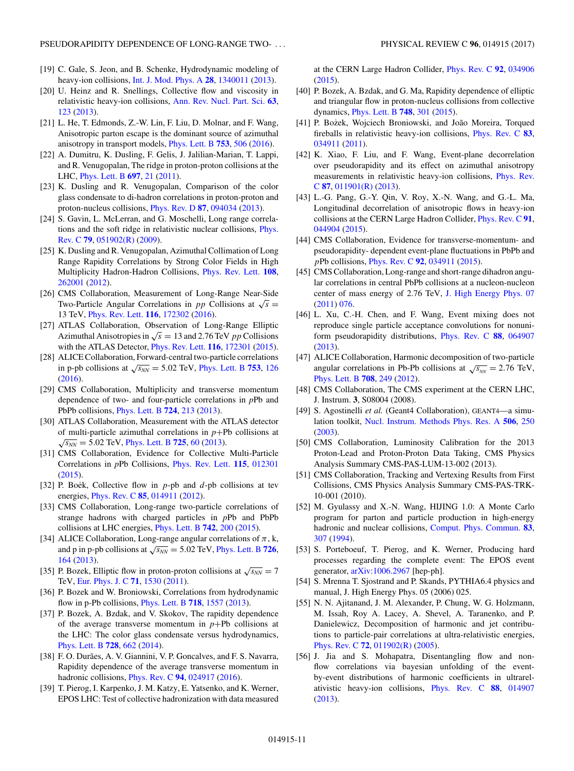- <span id="page-10-0"></span>[19] C. Gale, S. Jeon, and B. Schenke, Hydrodynamic modeling of heavy-ion collisions, [Int. J. Mod. Phys. A](https://doi.org/10.1142/S0217751X13400113) **[28](https://doi.org/10.1142/S0217751X13400113)**, [1340011](https://doi.org/10.1142/S0217751X13400113) [\(2013\)](https://doi.org/10.1142/S0217751X13400113).
- [20] U. Heinz and R. Snellings, Collective flow and viscosity in relativistic heavy-ion collisions, [Ann. Rev. Nucl. Part. Sci.](https://doi.org/10.1146/annurev-nucl-102212-170540) **[63](https://doi.org/10.1146/annurev-nucl-102212-170540)**, [123](https://doi.org/10.1146/annurev-nucl-102212-170540) [\(2013\)](https://doi.org/10.1146/annurev-nucl-102212-170540).
- [21] L. He, T. Edmonds, Z.-W. Lin, F. Liu, D. Molnar, and F. Wang, Anisotropic parton escape is the dominant source of azimuthal anisotropy in transport models, [Phys. Lett. B](https://doi.org/10.1016/j.physletb.2015.12.051) **[753](https://doi.org/10.1016/j.physletb.2015.12.051)**, [506](https://doi.org/10.1016/j.physletb.2015.12.051) [\(2016\)](https://doi.org/10.1016/j.physletb.2015.12.051).
- [22] A. Dumitru, K. Dusling, F. Gelis, J. Jalilian-Marian, T. Lappi, and R. Venugopalan, The ridge in proton-proton collisions at the LHC, [Phys. Lett. B](https://doi.org/10.1016/j.physletb.2011.01.024) **[697](https://doi.org/10.1016/j.physletb.2011.01.024)**, [21](https://doi.org/10.1016/j.physletb.2011.01.024) [\(2011\)](https://doi.org/10.1016/j.physletb.2011.01.024).
- [23] K. Dusling and R. Venugopalan, Comparison of the color glass condensate to di-hadron correlations in proton-proton and proton-nucleus collisions, [Phys. Rev. D](https://doi.org/10.1103/PhysRevD.87.094034) **[87](https://doi.org/10.1103/PhysRevD.87.094034)**, [094034](https://doi.org/10.1103/PhysRevD.87.094034) [\(2013\)](https://doi.org/10.1103/PhysRevD.87.094034).
- [24] S. Gavin, L. McLerran, and G. Moschelli, Long range correla[tions and the soft ridge in relativistic nuclear collisions,](https://doi.org/10.1103/PhysRevC.79.051902) Phys. Rev. C **[79](https://doi.org/10.1103/PhysRevC.79.051902)**, [051902\(R\)](https://doi.org/10.1103/PhysRevC.79.051902) [\(2009\)](https://doi.org/10.1103/PhysRevC.79.051902).
- [25] K. Dusling and R. Venugopalan, Azimuthal Collimation of Long Range Rapidity Correlations by Strong Color Fields in High Multiplicity Hadron-Hadron Collisions, [Phys. Rev. Lett.](https://doi.org/10.1103/PhysRevLett.108.262001) **[108](https://doi.org/10.1103/PhysRevLett.108.262001)**, [262001](https://doi.org/10.1103/PhysRevLett.108.262001) [\(2012\)](https://doi.org/10.1103/PhysRevLett.108.262001).
- [26] CMS Collaboration, Measurement of Long-Range Near-Side Two-Particle Angular Correlations in *pp* Collisions at  $\sqrt{s}$  = 13 TeV, [Phys. Rev. Lett.](https://doi.org/10.1103/PhysRevLett.116.172302) **[116](https://doi.org/10.1103/PhysRevLett.116.172302)**, [172302](https://doi.org/10.1103/PhysRevLett.116.172302) [\(2016\)](https://doi.org/10.1103/PhysRevLett.116.172302).
- [27] ATLAS Collaboration, Observation of Long-Range Elliptic Azimuthal Anisotropies in  $\sqrt{s} = 13$  and 2.76 TeV pp Collisions with the ATLAS Detector, [Phys. Rev. Lett.](https://doi.org/10.1103/PhysRevLett.116.172301) **[116](https://doi.org/10.1103/PhysRevLett.116.172301)**, [172301](https://doi.org/10.1103/PhysRevLett.116.172301) [\(2015\)](https://doi.org/10.1103/PhysRevLett.116.172301).
- [28] ALICE Collaboration, Forward-central two-particle correlations in p-pb collisions at  $\sqrt{s_{NN}}$  = 5.02 TeV, [Phys. Lett. B](https://doi.org/10.1016/j.physletb.2015.12.010) [753](https://doi.org/10.1016/j.physletb.2015.12.010), [126](https://doi.org/10.1016/j.physletb.2015.12.010) [\(2016\)](https://doi.org/10.1016/j.physletb.2015.12.010).
- [29] CMS Collaboration, Multiplicity and transverse momentum dependence of two- and four-particle correlations in *p*Pb and PbPb collisions, [Phys. Lett. B](https://doi.org/10.1016/j.physletb.2013.06.028) **[724](https://doi.org/10.1016/j.physletb.2013.06.028)**, [213](https://doi.org/10.1016/j.physletb.2013.06.028) [\(2013\)](https://doi.org/10.1016/j.physletb.2013.06.028).
- [30] ATLAS Collaboration, Measurement with the ATLAS detector of multi-particle azimuthal correlations in *p*+Pb collisions at  $\sqrt{s_{NN}}$  = 5.02 TeV, [Phys. Lett. B](https://doi.org/10.1016/j.physletb.2013.06.057) [725](https://doi.org/10.1016/j.physletb.2013.06.057), [60](https://doi.org/10.1016/j.physletb.2013.06.057) [\(2013\)](https://doi.org/10.1016/j.physletb.2013.06.057).
- [31] CMS Collaboration, Evidence for Collective Multi-Particle Correlations in *p*Pb Collisions, [Phys. Rev. Lett.](https://doi.org/10.1103/PhysRevLett.115.012301) **[115](https://doi.org/10.1103/PhysRevLett.115.012301)**, [012301](https://doi.org/10.1103/PhysRevLett.115.012301) [\(2015\)](https://doi.org/10.1103/PhysRevLett.115.012301).
- [32] P. Boek, Collective flow in  $p$ -pb and  $d$ -pb collisions at tev energies, [Phys. Rev. C](https://doi.org/10.1103/PhysRevC.85.014911) **[85](https://doi.org/10.1103/PhysRevC.85.014911)**, [014911](https://doi.org/10.1103/PhysRevC.85.014911) [\(2012\)](https://doi.org/10.1103/PhysRevC.85.014911).
- [33] CMS Collaboration, Long-range two-particle correlations of strange hadrons with charged particles in *p*Pb and PbPb collisions at LHC energies, [Phys. Lett. B](https://doi.org/10.1016/j.physletb.2015.01.034) **[742](https://doi.org/10.1016/j.physletb.2015.01.034)**, [200](https://doi.org/10.1016/j.physletb.2015.01.034) [\(2015\)](https://doi.org/10.1016/j.physletb.2015.01.034).
- [34] ALICE Collaboration, Long-range angular correlations of  $\pi$ , k, and p in p-pb collisions at  $\sqrt{s_{NN}}$  = 5.02 TeV, [Phys. Lett. B](https://doi.org/10.1016/j.physletb.2013.08.024) [726](https://doi.org/10.1016/j.physletb.2013.08.024), [164](https://doi.org/10.1016/j.physletb.2013.08.024) [\(2013\)](https://doi.org/10.1016/j.physletb.2013.08.024).
- [35] P. Bozek, Elliptic flow in proton-proton collisions at  $\sqrt{s_{NN}} = 7$ TeV, [Eur. Phys. J. C](https://doi.org/10.1140/epjc/s10052-010-1530-0) **[71](https://doi.org/10.1140/epjc/s10052-010-1530-0)**, [1530](https://doi.org/10.1140/epjc/s10052-010-1530-0) [\(2011\)](https://doi.org/10.1140/epjc/s10052-010-1530-0).
- [36] P. Bozek and W. Broniowski, Correlations from hydrodynamic flow in p-Pb collisions, [Phys. Lett. B](https://doi.org/10.1016/j.physletb.2012.12.051) **[718](https://doi.org/10.1016/j.physletb.2012.12.051)**, [1557](https://doi.org/10.1016/j.physletb.2012.12.051) [\(2013\)](https://doi.org/10.1016/j.physletb.2012.12.051).
- [37] P. Bozek, A. Bzdak, and V. Skokov, The rapidity dependence of the average transverse momentum in  $p+Pb$  collisions at the LHC: The color glass condensate versus hydrodynamics, [Phys. Lett. B](https://doi.org/10.1016/j.physletb.2013.12.034) **[728](https://doi.org/10.1016/j.physletb.2013.12.034)**, [662](https://doi.org/10.1016/j.physletb.2013.12.034) [\(2014\)](https://doi.org/10.1016/j.physletb.2013.12.034).
- [38] F. O. Durães, A. V. Giannini, V. P. Goncalves, and F. S. Navarra, Rapidity dependence of the average transverse momentum in hadronic collisions, [Phys. Rev. C](https://doi.org/10.1103/PhysRevC.94.024917) **[94](https://doi.org/10.1103/PhysRevC.94.024917)**, [024917](https://doi.org/10.1103/PhysRevC.94.024917) [\(2016\)](https://doi.org/10.1103/PhysRevC.94.024917).
- [39] T. Pierog, I. Karpenko, J. M. Katzy, E. Yatsenko, and K. Werner, EPOS LHC: Test of collective hadronization with data measured

at the CERN Large Hadron Collider, [Phys. Rev. C](https://doi.org/10.1103/PhysRevC.92.034906) **[92](https://doi.org/10.1103/PhysRevC.92.034906)**, [034906](https://doi.org/10.1103/PhysRevC.92.034906) [\(2015\)](https://doi.org/10.1103/PhysRevC.92.034906).

- [40] P. Bozek, A. Bzdak, and G. Ma, Rapidity dependence of elliptic and triangular flow in proton-nucleus collisions from collective dynamics, [Phys. Lett. B](https://doi.org/10.1016/j.physletb.2015.06.007) **[748](https://doi.org/10.1016/j.physletb.2015.06.007)**, [301](https://doi.org/10.1016/j.physletb.2015.06.007) [\(2015\)](https://doi.org/10.1016/j.physletb.2015.06.007).
- [41] P. Bożek, Wojciech Broniowski, and João Moreira, Torqued fireballs in relativistic heavy-ion collisions, [Phys. Rev. C](https://doi.org/10.1103/PhysRevC.83.034911) **[83](https://doi.org/10.1103/PhysRevC.83.034911)**, [034911](https://doi.org/10.1103/PhysRevC.83.034911) [\(2011\)](https://doi.org/10.1103/PhysRevC.83.034911).
- [42] K. Xiao, F. Liu, and F. Wang, Event-plane decorrelation over pseudorapidity and its effect on azimuthal anisotropy [measurements in relativistic heavy-ion collisions,](https://doi.org/10.1103/PhysRevC.87.011901) Phys. Rev. C **[87](https://doi.org/10.1103/PhysRevC.87.011901)**, [011901\(R\)](https://doi.org/10.1103/PhysRevC.87.011901) [\(2013\)](https://doi.org/10.1103/PhysRevC.87.011901).
- [43] L.-G. Pang, G.-Y. Qin, V. Roy, X.-N. Wang, and G.-L. Ma, Longitudinal decorrelation of anisotropic flows in heavy-ion collisions at the CERN Large Hadron Collider, [Phys. Rev. C](https://doi.org/10.1103/PhysRevC.91.044904) **[91](https://doi.org/10.1103/PhysRevC.91.044904)**, [044904](https://doi.org/10.1103/PhysRevC.91.044904) [\(2015\)](https://doi.org/10.1103/PhysRevC.91.044904).
- [44] CMS Collaboration, Evidence for transverse-momentum- and pseudorapidity- dependent event-plane fluctuations in PbPb and pPb collisions, [Phys. Rev. C](https://doi.org/10.1103/PhysRevC.92.034911) **[92](https://doi.org/10.1103/PhysRevC.92.034911)**, [034911](https://doi.org/10.1103/PhysRevC.92.034911) [\(2015\)](https://doi.org/10.1103/PhysRevC.92.034911).
- [45] CMS Collaboration, Long-range and short-range dihadron angular correlations in central PbPb collisions at a nucleon-nucleon center of mass energy of 2.76 TeV, [J. High Energy Phys. 07](https://doi.org/10.1007/JHEP07(2011)076) [\(2011\)](https://doi.org/10.1007/JHEP07(2011)076) [076.](https://doi.org/10.1007/JHEP07(2011)076)
- [46] L. Xu, C.-H. Chen, and F. Wang, Event mixing does not reproduce single particle acceptance convolutions for nonuniform pseudorapidity distributions, [Phys. Rev. C](https://doi.org/10.1103/PhysRevC.88.064907) **[88](https://doi.org/10.1103/PhysRevC.88.064907)**, [064907](https://doi.org/10.1103/PhysRevC.88.064907) [\(2013\)](https://doi.org/10.1103/PhysRevC.88.064907).
- [47] ALICE Collaboration, Harmonic decomposition of two-particle angular correlations in Pb-Pb collisions at  $\sqrt{s_{NN}} = 2.76$  TeV, [Phys. Lett. B](https://doi.org/10.1016/j.physletb.2012.01.060) **[708](https://doi.org/10.1016/j.physletb.2012.01.060)**, [249](https://doi.org/10.1016/j.physletb.2012.01.060) [\(2012\)](https://doi.org/10.1016/j.physletb.2012.01.060).
- [48] CMS Collaboration, The CMS experiment at the CERN LHC, J. Instrum. **3**, S08004 (2008).
- [49] S. Agostinelli *et al.* (Geant4 Collaboration), GEANT4—a simulation toolkit, [Nucl. Instrum. Methods Phys. Res. A](https://doi.org/10.1016/S0168-9002(03)01368-8) **[506](https://doi.org/10.1016/S0168-9002(03)01368-8)**, [250](https://doi.org/10.1016/S0168-9002(03)01368-8) [\(2003\)](https://doi.org/10.1016/S0168-9002(03)01368-8).
- [50] CMS Collaboration, Luminosity Calibration for the 2013 Proton-Lead and Proton-Proton Data Taking, CMS Physics Analysis Summary CMS-PAS-LUM-13-002 (2013).
- [51] CMS Collaboration, Tracking and Vertexing Results from First Collisions, CMS Physics Analysis Summary CMS-PAS-TRK-10-001 (2010).
- [52] M. Gyulassy and X.-N. Wang, HIJING 1.0: A Monte Carlo program for parton and particle production in high-energy hadronic and nuclear collisions, [Comput. Phys. Commun.](https://doi.org/10.1016/0010-4655(94)90057-4) **[83](https://doi.org/10.1016/0010-4655(94)90057-4)**, [307](https://doi.org/10.1016/0010-4655(94)90057-4) [\(1994\)](https://doi.org/10.1016/0010-4655(94)90057-4).
- [53] S. Porteboeuf, T. Pierog, and K. Werner, Producing hard processes regarding the complete event: The EPOS event generator, [arXiv:1006.2967](http://arxiv.org/abs/arXiv:1006.2967) [hep-ph].
- [54] S. Mrenna T. Sjostrand and P. Skands, PYTHIA6.4 physics and manual, J. High Energy Phys. 05 (2006) 025.
- [55] N. N. Ajitanand, J. M. Alexander, P. Chung, W. G. Holzmann, M. Issah, Roy A. Lacey, A. Shevel, A. Taranenko, and P. Danielewicz, Decomposition of harmonic and jet contributions to particle-pair correlations at ultra-relativistic energies, [Phys. Rev. C](https://doi.org/10.1103/PhysRevC.72.011902) **[72](https://doi.org/10.1103/PhysRevC.72.011902)**, [011902\(R\)](https://doi.org/10.1103/PhysRevC.72.011902) [\(2005\)](https://doi.org/10.1103/PhysRevC.72.011902).
- [56] J. Jia and S. Mohapatra, Disentangling flow and nonflow correlations via bayesian unfolding of the eventby-event distributions of harmonic coefficients in ultrarelativistic heavy-ion collisions, [Phys. Rev. C](https://doi.org/10.1103/PhysRevC.88.014907) **[88](https://doi.org/10.1103/PhysRevC.88.014907)**, [014907](https://doi.org/10.1103/PhysRevC.88.014907) [\(2013\)](https://doi.org/10.1103/PhysRevC.88.014907).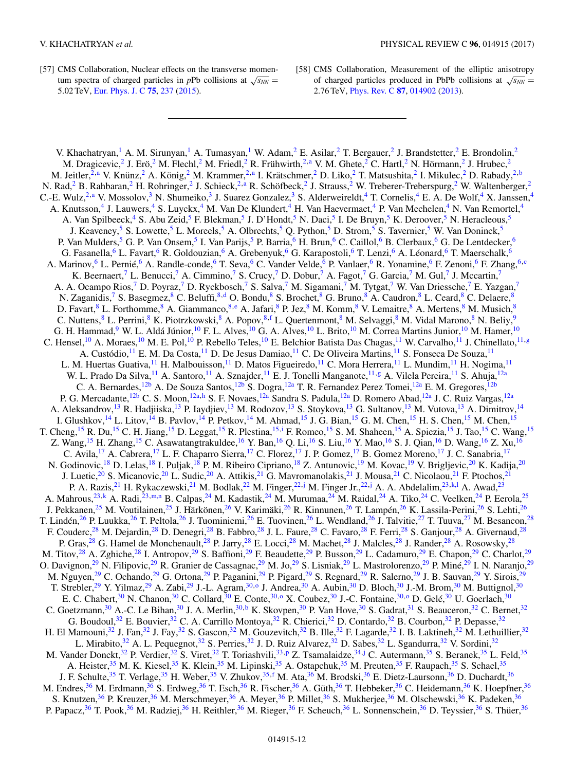- <span id="page-11-0"></span>[57] CMS Collaboration, Nuclear effects on the transverse momentum spectra of charged particles in *pPb* collisions at  $\sqrt{s_{NN}}$  = 5.02 TeV, [Eur. Phys. J. C](https://doi.org/10.1140/epjc/s10052-015-3435-4) **[75](https://doi.org/10.1140/epjc/s10052-015-3435-4)**, [237](https://doi.org/10.1140/epjc/s10052-015-3435-4) [\(2015\)](https://doi.org/10.1140/epjc/s10052-015-3435-4).
- [58] CMS Collaboration, Measurement of the elliptic anisotropy of charged particles produced in PbPb collisions at  $\sqrt{s_{NN}}$  = 2.76 TeV, [Phys. Rev. C](https://doi.org/10.1103/PhysRevC.87.014902) **[87](https://doi.org/10.1103/PhysRevC.87.014902)**, [014902](https://doi.org/10.1103/PhysRevC.87.014902) [\(2013\)](https://doi.org/10.1103/PhysRevC.87.014902).

V. Khachatryan,<sup>[1](#page-16-0)</sup> A. M. Sirunyan,<sup>1</sup> A. Tumasyan,<sup>1</sup> W. Adam,<sup>[2](#page-16-0)</sup> E. Asilar,<sup>2</sup> T. Bergauer,<sup>2</sup> J. Brandstetter,<sup>2</sup> E. Brondolin,<sup>2</sup> M. Dragicevic,<sup>[2](#page-16-0)</sup> J. Erö,<sup>2</sup> M. Flechl,<sup>2</sup> M. Friedl,<sup>2</sup> R. Frühwirth,<sup>2[,a](#page-19-0)</sup> V. M. Ghete,<sup>2</sup> C. Hartl,<sup>2</sup> N. Hörmann,<sup>2</sup> J. Hrubec,<sup>2</sup> M. Jeitler,<sup>2,[a](#page-19-0)</sup> V. Knünz,<sup>[2](#page-16-0)</sup> A. König,<sup>2</sup> M. Krammer,<sup>[2,](#page-16-0)a</sup> I. Krätschmer,<sup>2</sup> D. Liko,<sup>2</sup> T. Matsushita,<sup>2</sup> I. Mikulec,<sup>2</sup> D. Ra[b](#page-19-0)ady,<sup>2,b</sup> N. Rad,<sup>[2](#page-16-0)</sup> B. Rahbaran,<sup>2</sup> H. Rohringer,<sup>2</sup> J. Schieck,<sup>2[,a](#page-19-0)</sup> R. Schöfbeck,<sup>2</sup> J. Strauss,<sup>2</sup> W. Treberer-Treberspurg,<sup>2</sup> W. Waltenberger,<sup>2</sup> C.-E. Wulz,<sup>[2,](#page-16-0)[a](#page-19-0)</sup> V. Mossolov,<sup>[3](#page-16-0)</sup> N. Shumeiko,<sup>3</sup> J. Suarez Gonzalez,<sup>3</sup> S. Alderweireldt,<sup>[4](#page-16-0)</sup> T. Cornelis,<sup>4</sup> E. A. De Wolf,<sup>4</sup> X. Janssen,<sup>4</sup> A. Knutsson,<sup>[4](#page-16-0)</sup> J. Lauwers,<sup>4</sup> S. Luyckx,<sup>4</sup> M. Van De Klundert,<sup>4</sup> H. Van Haevermaet,<sup>4</sup> P. Van Mechelen,<sup>4</sup> N. Van Remortel,<sup>4</sup> A. Van Spilbeeck,<sup>[4](#page-16-0)</sup> S. Abu Zeid,<sup>[5](#page-16-0)</sup> F. Blekman,<sup>5</sup> J. D'Hondt,<sup>5</sup> N. Daci,<sup>5</sup> I. De Bruyn,<sup>5</sup> K. Deroover,<sup>5</sup> N. Heracleous,<sup>5</sup> J. Keaveney,<sup>[5](#page-16-0)</sup> S. Lowette,<sup>5</sup> L. Moreels,<sup>5</sup> A. Olbrechts,<sup>5</sup> Q. Python,<sup>5</sup> D. Strom,<sup>5</sup> S. Tavernier,<sup>5</sup> W. Van Doninck,<sup>5</sup> P. Van Mulders,<sup>[5](#page-16-0)</sup> G. P. Van Onsem,<sup>5</sup> I. Van Parijs,<sup>5</sup> P. Barria,<sup>[6](#page-16-0)</sup> H. Brun,<sup>6</sup> C. Caillol,<sup>6</sup> B. Clerbaux,<sup>6</sup> G. De Lentdecker,<sup>6</sup> G. Fasanella,<sup>[6](#page-16-0)</sup> L. Favart,<sup>6</sup> R. Goldouzian,<sup>6</sup> A. Grebenyuk,<sup>6</sup> G. Karapostoli,<sup>6</sup> T. Lenzi,<sup>6</sup> A. Léonard,<sup>6</sup> T. Maerschalk,<sup>6</sup> A. Marinov, <sup>[6](#page-16-0)</sup> L. Pernié, <sup>6</sup> A. Randle-conde, <sup>6</sup> T. Seva, <sup>6</sup> C. Vander Velde, <sup>6</sup> P. Vanlaer, <sup>6</sup> R. Yonamine, <sup>6</sup> F. Zenoni, <sup>6</sup> F. Zhang, <sup>6, c</sup>. K. Beernaert,<sup>[7](#page-16-0)</sup> L. Benucci,<sup>7</sup> A. Cimmino,<sup>7</sup> S. Crucy,<sup>7</sup> D. Dobur,<sup>7</sup> A. Fagot,<sup>7</sup> G. Garcia,<sup>7</sup> M. Gul,<sup>7</sup> J. Mccartin,<sup>7</sup> A. A. Ocampo Rios,<sup>[7](#page-16-0)</sup> D. Poyraz,<sup>7</sup> D. Ryckbosch,<sup>7</sup> S. Salva,<sup>7</sup> M. Sigamani,<sup>7</sup> M. Tytgat,<sup>7</sup> W. Van Driessche,<sup>7</sup> E. Yazgan,<sup>7</sup> N. Zaganidis,<sup>7</sup> S. Basegmez,<sup>[8](#page-16-0)</sup> C. Beluffi,<sup>8[,d](#page-19-0)</sup> O. Bondu,<sup>8</sup> S. Brochet,<sup>8</sup> G. Bruno,<sup>8</sup> A. Caudron,<sup>8</sup> L. Ceard,<sup>8</sup> C. Delaere,<sup>8</sup> D. Favart, <sup>[8](#page-16-0)</sup> L. Forthomme, <sup>8</sup> A. Giammanco, <sup>[8,](#page-16-0) [e](#page-19-0)</sup> A. Jafari, <sup>8</sup> P. Jez, <sup>8</sup> M. Komm, <sup>8</sup> V. Lemaitre, <sup>8</sup> A. Mertens, <sup>8</sup> M. Musich, <sup>8</sup> C. Nuttens,<sup>[8](#page-16-0)</sup> L. Perrini,<sup>8</sup> K. Piotrzkowski,<sup>8</sup> A. Popov,<sup>8[,f](#page-19-0)</sup> L. Quertenmont,<sup>8</sup> M. Selvaggi,<sup>8</sup> M. Vidal Marono,<sup>8</sup> N. Beliy,<sup>[9](#page-16-0)</sup> G. H. Hammad,<sup>[9](#page-16-0)</sup> W. L. Aldá Júnior,<sup>[10](#page-16-0)</sup> F. L. Alves,<sup>10</sup> G. A. Alves,<sup>10</sup> L. Brito,<sup>10</sup> M. Correa Martins Junior,<sup>10</sup> M. Hamer,<sup>10</sup> C. Hensel,<sup>[10](#page-16-0)</sup> A. Moraes,<sup>10</sup> M. E. Pol,<sup>10</sup> P. Rebello Teles,<sup>10</sup> E. Belchior Batista Das Chagas,<sup>[11](#page-16-0)</sup> W. Carvalho,<sup>11</sup> J. Chinellato,<sup>[11,](#page-16-0)[g](#page-19-0)</sup> A. Custódio,<sup>[11](#page-16-0)</sup> E. M. Da Costa,<sup>11</sup> D. De Jesus Damiao,<sup>11</sup> C. De Oliveira Martins,<sup>11</sup> S. Fonseca De Souza,<sup>11</sup> L. M. Huertas Guativa,<sup>[11](#page-16-0)</sup> H. Malbouisson,<sup>11</sup> D. Matos Figueiredo,<sup>11</sup> C. Mora Herrera,<sup>11</sup> L. Mundim,<sup>11</sup> H. Nogima,<sup>11</sup> W. L. Prado Da Silva, <sup>[11](#page-16-0)</sup> A. Santoro, <sup>11</sup> A. Sznajder, <sup>11</sup> E. J. Tonelli Manganote, <sup>11[,g](#page-19-0)</sup> A. Vilela Pereira, <sup>11</sup> S. Ahuja, <sup>[12a](#page-16-0)</sup> C. A. Bernardes,<sup>[12b](#page-16-0)</sup> A. De Souza Santos,<sup>12b</sup> S. Dogra,<sup>[12a](#page-16-0)</sup> T. R. Fernandez Perez Tomei,<sup>12a</sup> E. M. Gregores,<sup>12b</sup> P. G. Mercadante, <sup>12b</sup> C. S. Moon, <sup>12a, [h](#page-19-0)</sup> S. F. Novaes, <sup>[12a](#page-16-0)</sup> Sandra S. Padula, <sup>12a</sup> D. Romero Abad, <sup>12a</sup> J. C. Ruiz Vargas, <sup>12a</sup> A. Aleksandrov,<sup>[13](#page-16-0)</sup> R. Hadjiiska,<sup>13</sup> P. Iaydjiev,<sup>13</sup> M. Rodozov,<sup>13</sup> S. Stoykova,<sup>13</sup> G. Sultanov,<sup>13</sup> M. Vutova,<sup>13</sup> A. Dimitrov,<sup>[14](#page-16-0)</sup> I. Glushkov,<sup>[14](#page-16-0)</sup> L. Litov,<sup>14</sup> B. Pavlov,<sup>14</sup> P. Petkov,<sup>14</sup> M. Ahmad,<sup>[15](#page-16-0)</sup> J. G. Bian,<sup>15</sup> G. M. Chen,<sup>15</sup> H. S. Chen,<sup>15</sup> M. Chen,<sup>15</sup> T. Cheng, <sup>[15](#page-16-0)</sup> R. Du, <sup>15</sup> C. H. Jiang, <sup>15</sup> D. Leggat, <sup>15</sup> R. Plestina, <sup>15, i</sup> F. Romeo, <sup>15</sup> S. M. Shaheen, <sup>15</sup> A. Spiezia, <sup>15</sup> J. Tao, <sup>15</sup> C. Wang, <sup>15</sup> Z. Wang,<sup>[15](#page-16-0)</sup> H. Zhang,<sup>15</sup> C. Asawatangtrakuldee,<sup>[16](#page-16-0)</sup> Y. Ban,<sup>16</sup> Q. Li,<sup>16</sup> S. Liu,<sup>16</sup> Y. Mao,<sup>16</sup> S. J. Qian,<sup>16</sup> D. Wang,<sup>16</sup> Z. Xu,<sup>16</sup> C. Avila,<sup>[17](#page-16-0)</sup> A. Cabrera,<sup>17</sup> L. F. Chaparro Sierra,<sup>17</sup> C. Florez,<sup>17</sup> J. P. Gomez,<sup>17</sup> B. Gomez Moreno,<sup>17</sup> J. C. Sanabria,<sup>17</sup> N. Godinovic,<sup>[18](#page-16-0)</sup> D. Lelas,<sup>18</sup> I. Puljak,<sup>18</sup> P. M. Ribeiro Cipriano,<sup>18</sup> Z. Antunovic,<sup>[19](#page-16-0)</sup> M. Kovac,<sup>19</sup> V. Brigljevic,<sup>[20](#page-16-0)</sup> K. Kadija,<sup>20</sup> J. Luetic,<sup>[20](#page-16-0)</sup> S. Micanovic,<sup>20</sup> L. Sudic,<sup>20</sup> A. Attikis,<sup>[21](#page-16-0)</sup> G. Mavromanolakis,<sup>21</sup> J. Mousa,<sup>21</sup> C. Nicolaou,<sup>21</sup> F. Ptochos,<sup>21</sup> P. A. Razis,<sup>21</sup> H. Rykaczewski,<sup>21</sup> M. Bodlak,<sup>[22](#page-16-0)</sup> M. Finger,<sup>[22,](#page-16-0)[j](#page-19-0)</sup> M. Finger Jr.,<sup>22,j</sup> A. A. Abdelalim,<sup>[23,](#page-16-0)k,l</sup> A. Awad,<sup>23</sup> A. Mahrous,<sup>[23,](#page-16-0)[k](#page-19-0)</sup> A. Radi,<sup>23,m,n</sup> B. Calpas,<sup>[24](#page-16-0)</sup> M. Kadastik,<sup>24</sup> M. Murumaa,<sup>24</sup> M. Raidal,<sup>24</sup> A. Tiko,<sup>24</sup> C. Veelken,<sup>24</sup> P. Eerola,<sup>25</sup> J. Pekkanen,<sup>[25](#page-16-0)</sup> M. Voutilainen,<sup>25</sup> J. Härkönen,<sup>[26](#page-16-0)</sup> V. Karimäki,<sup>26</sup> R. Kinnunen,<sup>26</sup> T. Lampén,<sup>26</sup> K. Lassila-Perini,<sup>26</sup> S. Lehti,<sup>26</sup> T. Lindén,<sup>[26](#page-16-0)</sup> P. Luukka,<sup>26</sup> T. Peltola,<sup>26</sup> J. Tuominiemi,<sup>26</sup> E. Tuovinen,<sup>26</sup> L. Wendland,<sup>26</sup> J. Talvitie,<sup>[27](#page-16-0)</sup> T. Tuuva,<sup>27</sup> M. Besancon,<sup>[28](#page-16-0)</sup> F. Couderc,<sup>[28](#page-16-0)</sup> M. Dejardin,<sup>28</sup> D. Denegri,<sup>28</sup> B. Fabbro,<sup>28</sup> J. L. Faure,<sup>28</sup> C. Favaro,<sup>28</sup> F. Ferri,<sup>28</sup> S. Ganjour,<sup>28</sup> A. Givernaud,<sup>28</sup> P. Gras,<sup>[28](#page-16-0)</sup> G. Hamel de Monchenault,<sup>28</sup> P. Jarry,<sup>28</sup> E. Locci,<sup>28</sup> M. Machet,<sup>28</sup> J. Malcles,<sup>28</sup> J. Rander,<sup>28</sup> A. Rosowsky,<sup>28</sup> M. Titov,<sup>[28](#page-16-0)</sup> A. Zghiche,<sup>28</sup> I. Antropov,<sup>[29](#page-16-0)</sup> S. Baffioni,<sup>29</sup> F. Beaudette,<sup>29</sup> P. Busson,<sup>29</sup> L. Cadamuro,<sup>29</sup> E. Chapon,<sup>29</sup> C. Charlot,<sup>29</sup> O. Davignon,<sup>[29](#page-16-0)</sup> N. Filipovic,<sup>29</sup> R. Granier de Cassagnac,<sup>29</sup> M. Jo,<sup>29</sup> S. Lisniak,<sup>29</sup> L. Mastrolorenzo,<sup>29</sup> P. Miné,<sup>29</sup> I. N. Naranjo,<sup>29</sup> M. Nguyen,<sup>[29](#page-16-0)</sup> C. Ochando,<sup>29</sup> G. Ortona,<sup>29</sup> P. Paganini,<sup>29</sup> P. Pigard,<sup>29</sup> S. Regnard,<sup>29</sup> R. Salerno,<sup>29</sup> J. B. Sauvan,<sup>29</sup> Y. Sirois,<sup>29</sup> T. Strebler,<sup>[29](#page-16-0)</sup> Y. Yilmaz,<sup>29</sup> A. Zabi,<sup>29</sup> J.-L. Agram,<sup>[30,](#page-16-0)[o](#page-19-0)</sup> J. Andrea,<sup>[30](#page-16-0)</sup> A. Aubin,<sup>30</sup> D. Bloch,<sup>30</sup> J.-M. Brom,<sup>30</sup> M. Buttignol,<sup>30</sup> E. C. Chabert,<sup>[30](#page-16-0)</sup> N. Chanon,<sup>30</sup> C. Collard,<sup>30</sup> E. Conte,<sup>30[,o](#page-19-0)</sup> X. Coubez,<sup>30</sup> J.-C. Fontaine,<sup>30,o</sup> D. Gelé,<sup>30</sup> U. Goerlach,<sup>30</sup> C. Goetzmann,<sup>[30](#page-16-0)</sup> A.-C. Le Bihan,<sup>30</sup> J. A. Merlin,<sup>[30,](#page-16-0)[b](#page-19-0)</sup> K. Skovpen,<sup>30</sup> P. Van Hove,<sup>30</sup> S. Gadrat,<sup>[31](#page-16-0)</sup> S. Beauceron,<sup>[32](#page-16-0)</sup> C. Bernet,<sup>32</sup> G. Boudoul,<sup>[32](#page-16-0)</sup> E. Bouvier,<sup>32</sup> C. A. Carrillo Montoya,<sup>32</sup> R. Chierici,<sup>32</sup> D. Contardo,<sup>32</sup> B. Courbon,<sup>32</sup> P. Depasse,<sup>32</sup> H. El Mamouni,<sup>[32](#page-16-0)</sup> J. Fan,<sup>32</sup> J. Fay,<sup>32</sup> S. Gascon,<sup>32</sup> M. Gouzevitch,<sup>32</sup> B. Ille,<sup>32</sup> F. Lagarde,<sup>32</sup> I. B. Laktineh,<sup>32</sup> M. Lethuillier,<sup>32</sup> L. Mirabito,<sup>[32](#page-16-0)</sup> A. L. Pequegnot,<sup>32</sup> S. Perries,<sup>32</sup> J. D. Ruiz Alvarez,<sup>32</sup> D. Sabes,<sup>32</sup> L. Sgandurra,<sup>32</sup> V. Sordini,<sup>32</sup> M. Vander Donckt,<sup>[32](#page-16-0)</sup> P. Verdier,<sup>32</sup> S. Viret,<sup>32</sup> T. Toriashvili,<sup>33[,p](#page-19-0)</sup> Z. Tsamalaidze,<sup>34,[j](#page-19-0)</sup> C. Autermann,<sup>[35](#page-16-0)</sup> S. Beranek,<sup>35</sup> L. Feld,<sup>35</sup> A. Heister,<sup>[35](#page-16-0)</sup> M. K. Kiesel,<sup>35</sup> K. Klein,<sup>35</sup> M. Lipinski,<sup>35</sup> A. Ostapchuk,<sup>35</sup> M. Preuten,<sup>35</sup> F. Raupach,<sup>35</sup> S. Schael,<sup>35</sup> J. F. Schulte,<sup>[35](#page-16-0)</sup> T. Verlage,<sup>35</sup> H. Weber,<sup>35</sup> V. Zhukov,<sup>[35,](#page-16-0)[f](#page-19-0)</sup> M. Ata,<sup>[36](#page-16-0)</sup> M. Brodski,<sup>36</sup> E. Dietz-Laursonn,<sup>36</sup> D. Duchardt,<sup>36</sup> M. Endres,<sup>[36](#page-16-0)</sup> M. Erdmann,<sup>36</sup> S. Erdweg,<sup>36</sup> T. Esch,<sup>36</sup> R. Fischer,<sup>36</sup> A. Güth,<sup>36</sup> T. Hebbeker,<sup>36</sup> C. Heidemann,<sup>36</sup> K. Hoepfner,<sup>36</sup> S. Knutzen,<sup>[36](#page-16-0)</sup> P. Kreuzer,<sup>36</sup> M. Merschmeyer,<sup>36</sup> A. Meyer,<sup>36</sup> P. Millet,<sup>36</sup> S. Mukherjee,<sup>36</sup> M. Olschewski,<sup>36</sup> K. Padeken,<sup>36</sup>

P. Papacz,<sup>[36](#page-16-0)</sup> T. Pook,<sup>36</sup> M. Radziej,<sup>36</sup> H. Reithler,<sup>36</sup> M. Rieger,<sup>36</sup> F. Scheuch,<sup>36</sup> L. Sonnenschein,<sup>36</sup> D. Teyssier,<sup>36</sup> S. Thüer,<sup>36</sup>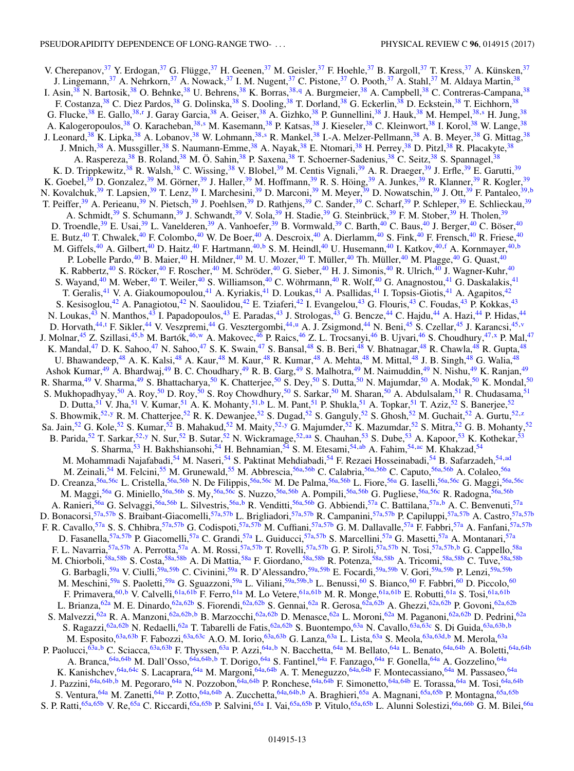V. Cherepanov, <sup>[37](#page-16-0)</sup> Y. Erdogan, <sup>37</sup> G. Flügge, <sup>37</sup> H. Geenen, <sup>37</sup> M. Geisler, <sup>37</sup> F. Hoehle, <sup>37</sup> B. Kargoll, <sup>37</sup> T. Kress, <sup>37</sup> A. Künsken, <sup>37</sup> J. Lingemann,<sup>[37](#page-16-0)</sup> A. Nehrkorn,<sup>37</sup> A. Nowack,<sup>37</sup> I. M. Nugent,<sup>37</sup> C. Pistone,<sup>37</sup> O. Pooth,<sup>37</sup> A. Stahl,<sup>37</sup> M. Aldaya Martin,<sup>38</sup> I. Asin,<sup>[38](#page-16-0)</sup> N. Bartosik,<sup>38</sup> O. Behnke,<sup>38</sup> U. Behrens,<sup>38</sup> K. Borras,<sup>38,[q](#page-19-0)</sup> A. Burgmeier,<sup>38</sup> A. Campbell,<sup>38</sup> C. Contreras-Campana,<sup>38</sup> F. Costanza,<sup>[38](#page-16-0)</sup> C. Diez Pardos,<sup>38</sup> G. Dolinska,<sup>38</sup> S. Dooling,<sup>38</sup> T. Dorland,<sup>38</sup> G. Eckerlin,<sup>38</sup> D. Eckstein,<sup>38</sup> T. Eichhorn,<sup>38</sup> G. Flucke, <sup>[38](#page-16-0)</sup> E. Gallo, <sup>38</sup>, [r](#page-19-0) J. Garay Garcia, <sup>38</sup> A. Geiser, <sup>38</sup> A. Gizhko, <sup>38</sup> P. Gunnellini, <sup>38</sup> J. Hauk, <sup>38</sup> M. Hempel, <sup>38</sup>, s H. Jung, <sup>38</sup> A. Kalogeropoulos,<sup>[38](#page-16-0)</[s](#page-19-0)up> O. Karacheban,<sup>38,s</sup> M. Kasemann,<sup>38</sup> P. Katsas,<sup>38</sup> J. Kieseler,<sup>38</sup> C. Kleinwort,<sup>38</sup> I. Korol,<sup>38</sup> W. Lange,<sup>38</sup> J. Leonard,<sup>[38](#page-16-0)</sup> K. Lipka,<sup>38</sup> A. Lobanov,<sup>38</sup> W. Lohmann,<sup>38[,s](#page-19-0)</sup> R. Mankel,<sup>38</sup> I.-A. Melzer-Pellmann,<sup>38</sup> A. B. Meyer,<sup>38</sup> G. Mittag,<sup>38</sup> J. Mnich,<sup>[38](#page-16-0)</sup> A. Mussgiller,<sup>38</sup> S. Naumann-Emme,<sup>38</sup> A. Nayak,<sup>38</sup> E. Ntomari,<sup>38</sup> H. Perrey,<sup>38</sup> D. Pitzl,<sup>38</sup> R. Placakyte,<sup>38</sup> A. Raspereza,<sup>[38](#page-16-0)</sup> B. Roland,<sup>38</sup> M. Ö. Sahin,<sup>38</sup> P. Saxena,<sup>38</sup> T. Schoerner-Sadenius,<sup>38</sup> C. Seitz,<sup>38</sup> S. Spannagel,<sup>38</sup> K. D. Trippkewitz,<sup>[38](#page-16-0)</sup> R. Walsh,<sup>38</sup> C. Wissing,<sup>38</sup> V. Blobel,<sup>[39](#page-16-0)</sup> M. Centis Vignali,<sup>39</sup> A. R. Draeger,<sup>39</sup> J. Erfle,<sup>39</sup> E. Garutti,<sup>39</sup> K. Goebel,<sup>[39](#page-16-0)</sup> D. Gonzalez,<sup>39</sup> M. Görner,<sup>39</sup> J. Haller,<sup>39</sup> M. Hoffmann,<sup>39</sup> R. S. Höing,<sup>39</sup> A. Junkes,<sup>39</sup> R. Klanner,<sup>39</sup> R. Kogler,<sup>39</sup> N. Kovalchuk,<sup>[39](#page-16-0)</sup> T. Lapsien,<sup>39</sup> T. Lenz,<sup>39</sup> I. Marchesini,<sup>39</sup> D. Marconi,<sup>39</sup> M. Meyer,<sup>39</sup> D. Nowatschin,<sup>39</sup> J. Ott,<sup>39</sup> F. Pantaleo,<sup>[39,](#page-16-0)[b](#page-19-0)</sup> T. Peiffer,<sup>[39](#page-16-0)</sup> A. Perieanu,<sup>39</sup> N. Pietsch,<sup>39</sup> J. Poehlsen,<sup>39</sup> D. Rathjens,<sup>39</sup> C. Sander,<sup>39</sup> C. Scharf,<sup>39</sup> P. Schleper,<sup>39</sup> E. Schlieckau,<sup>39</sup> A. Schmidt,<sup>[39](#page-16-0)</sup> S. Schumann,<sup>39</sup> J. Schwandt,<sup>39</sup> V. Sola,<sup>39</sup> H. Stadie,<sup>39</sup> G. Steinbrück,<sup>39</sup> F. M. Stober,<sup>39</sup> H. Tholen,<sup>39</sup> D. Troendle,<sup>[39](#page-16-0)</sup> E. Usai,<sup>39</sup> L. Vanelderen,<sup>39</sup> A. Vanhoefer,<sup>39</sup> B. Vormwald,<sup>39</sup> C. Barth,<sup>[40](#page-16-0)</sup> C. Baus,<sup>40</sup> J. Berger,<sup>40</sup> C. Böser,<sup>40</sup> E. Butz,<sup>[40](#page-16-0)</sup> T. Chwalek,<sup>40</sup> F. Colombo,<sup>40</sup> W. De Boer,<sup>40</sup> A. Descroix,<sup>40</sup> A. Dierlamm,<sup>40</sup> S. Fink,<sup>40</sup> F. Frensch,<sup>40</sup> R. Friese,<sup>40</sup> M. Giffels,<sup>[40](#page-16-0)</sup> A. Gilbert,<sup>40</sup> D. Haitz,<sup>40</sup> F. Hartmann,<sup>40[,b](#page-19-0)</sup> S. M. Heindl,<sup>40</sup> U. Husemann,<sup>40</sup> I. Katkov,<sup>40,[f](#page-19-0)</sup> A. Kornmayer,<sup>40,b</sup> P. Lobelle Pardo,<sup>[40](#page-16-0)</sup> B. Maier,<sup>40</sup> H. Mildner,<sup>40</sup> M. U. Mozer,<sup>40</sup> T. Müller,<sup>40</sup> Th. Müller,<sup>40</sup> M. Plagge,<sup>40</sup> G. Quast,<sup>40</sup> K. Rabbertz,<sup>[40](#page-16-0)</sup> S. Röcker,<sup>40</sup> F. Roscher,<sup>40</sup> M. Schröder,<sup>40</sup> G. Sieber,<sup>40</sup> H. J. Simonis,<sup>40</sup> R. Ulrich,<sup>40</sup> J. Wagner-Kuhr,<sup>40</sup> S. Wayand,<sup>[40](#page-16-0)</sup> M. Weber,<sup>40</sup> T. Weiler,<sup>40</sup> S. Williamson,<sup>40</sup> C. Wöhrmann,<sup>40</sup> R. Wolf,<sup>40</sup> G. Anagnostou,<sup>41</sup> G. Daskalakis,<sup>41</sup> T. Geralis,<sup>[41](#page-16-0)</sup> V. A. Giakoumopoulou,<sup>41</sup> A. Kyriakis,<sup>41</sup> D. Loukas,<sup>41</sup> A. Psallidas,<sup>41</sup> I. Topsis-Giotis,<sup>41</sup> A. Agapitos,<sup>[42](#page-16-0)</sup> S. Kesisoglou,<sup>[42](#page-16-0)</sup> A. Panagiotou,<sup>42</sup> N. Saoulidou,<sup>42</sup> E. Tziaferi,<sup>42</sup> I. Evangelou,<sup>[43](#page-16-0)</sup> G. Flouris,<sup>43</sup> C. Foudas,<sup>43</sup> P. Kokkas,<sup>43</sup> N. Loukas,<sup>[43](#page-16-0)</sup> N. Manthos,<sup>43</sup> I. Papadopoulos,<sup>43</sup> E. Paradas,<sup>43</sup> J. Strologas,<sup>43</sup> G. Bencze,<sup>[44](#page-16-0)</sup> C. Hajdu,<sup>44</sup> A. Hazi,<sup>44</sup> P. Hidas,<sup>44</sup> D. Horvath,<sup>44[,t](#page-19-0)</sup> F. Sikler,<sup>[44](#page-16-0)</sup> V. Veszpremi,<sup>44</sup> G. Vesztergombi,<sup>44[,u](#page-19-0)</sup> A. J. Zsigmond,<sup>44</sup> N. Beni,<sup>[45](#page-16-0)</sup> S. Czellar,<sup>45</sup> J. Karancsi,<sup>45[,v](#page-19-0)</sup> J. Molnar,<sup>[45](#page-16-0)</sup> Z. Szillasi,<sup>45[,b](#page-19-0)</sup> M. Bartók,<sup>[46,](#page-16-0)[w](#page-19-0)</sup> A. Makovec,<sup>[46](#page-16-0)</sup> P. Raics,<sup>46</sup> Z. L. Trocsanyi,<sup>46</sup> B. Ujvari,<sup>46</sup> S. Choudhury,<sup>47[,x](#page-19-0)</sup> P. Mal,<sup>[47](#page-16-0)</sup> K. Mandal,<sup>[47](#page-16-0)</sup> D. K. Sahoo,<sup>47</sup> N. Sahoo,<sup>47</sup> S. K. Swain,<sup>47</sup> S. Bansal,<sup>[48](#page-16-0)</sup> S. B. Beri,<sup>48</sup> V. Bhatnagar,<sup>48</sup> R. Chawla,<sup>48</sup> R. Gupta,<sup>48</sup> U. Bhawandeep,<sup>[48](#page-16-0)</sup> A. K. Kalsi,<sup>48</sup> A. Kaur,<sup>48</sup> M. Kaur,<sup>48</sup> R. Kumar,<sup>48</sup> A. Mehta,<sup>48</sup> M. Mittal,<sup>48</sup> J. B. Singh,<sup>48</sup> G. Walia,<sup>48</sup> Ashok Kumar,<sup>[49](#page-17-0)</sup> A. Bhardwaj,<sup>49</sup> B. C. Choudhary,<sup>49</sup> R. B. Garg,<sup>49</sup> S. Malhotra,<sup>49</sup> M. Naimuddin,<sup>49</sup> N. Nishu,<sup>49</sup> K. Ranjan,<sup>49</sup> R. Sharma, <sup>[49](#page-17-0)</sup> V. Sharma, <sup>49</sup> S. Bhattacharya, <sup>[50](#page-17-0)</sup> K. Chatterjee, <sup>50</sup> S. Dey, <sup>50</sup> S. Dutta, <sup>50</sup> N. Majumdar, <sup>50</sup> A. Modak, <sup>50</sup> K. Mondal, <sup>50</sup> S. Mukhopadhyay,<sup>[50](#page-17-0)</sup> A. Roy,<sup>50</sup> D. Roy,<sup>50</sup> S. Roy Chowdhury,<sup>50</sup> S. Sarkar,<sup>50</sup> M. Sharan,<sup>50</sup> A. Abdulsalam,<sup>[51](#page-17-0)</sup> R. Chudasama,<sup>51</sup> D. Dutta,<sup>[51](#page-17-0)</sup> V. Jha,<sup>51</sup> V. Kumar,<sup>51</sup> A. K. Mohanty,<sup>51[,b](#page-19-0)</sup> L. M. Pant,<sup>51</sup> P. Shukla,<sup>51</sup> A. Topkar,<sup>51</sup> T. Aziz,<sup>[52](#page-17-0)</sup> S. Banerjee,<sup>52</sup> S. Bhowmik,<sup>[52](#page-17-0)[,y](#page-19-0)</sup> R. M. Chatterjee,<sup>52</sup> R. K. Dewanjee,<sup>52</sup> S. Dugad,<sup>52</sup> S. Ganguly,<sup>52</sup> S. Ghosh,<sup>52</sup> M. Guchait,<sup>52</sup> A. Gurtu,<sup>52,2</sup> Sa. Jain,<sup>[52](#page-17-0)</sup> G. Kole,<sup>52</sup> S. Kumar,<sup>52</sup> B. Mahakud,<sup>52</sup> M. Maity,<sup>52[,y](#page-19-0)</sup> G. Majumder,<sup>52</sup> K. Mazumdar,<sup>52</sup> S. Mitra,<sup>52</sup> G. B. Mohanty,<sup>52</sup> B. Parida,<sup>[52](#page-17-0)</sup> T. Sarkar,<sup>52[,y](#page-19-0)</sup> N. Sur,<sup>52</sup> B. Sutar,<sup>52</sup> N. Wickramage,<sup>[52,](#page-17-0)[aa](#page-19-0)</sup> S. Chauhan,<sup>[53](#page-17-0)</sup> S. Dube,<sup>53</sup> A. Kapoor,<sup>53</sup> K. Kothekar,<sup>53</sup> S. Sharma,<sup>[53](#page-17-0)</sup> H. Bakhshiansohi,<sup>[54](#page-17-0)</sup> H. Behnamian,<sup>54</sup> S. M. Etesami,<sup>54[,ab](#page-19-0)</sup> A. Fahim,<sup>[54,](#page-17-0)[ac](#page-19-0)</sup> M. Khakzad,<sup>54</sup> M. Mohammadi Najafabadi,<sup>[54](#page-17-0)</sup> M. Naseri,<sup>54</sup> S. Paktinat Mehdiabadi,<sup>54</sup> F. Rezaei Hosseinabadi,<sup>54</sup> B. Safarzadeh,<sup>54[,ad](#page-19-0)</sup> M. Zeinali,<sup>[54](#page-17-0)</sup> M. Felcini,<sup>[55](#page-17-0)</sup> M. Grunewald,<sup>55</sup> M. Abbrescia,<sup>[56a,56b](#page-17-0)</sup> C. Calabria,<sup>[56a](#page-17-0),56b</sup> C. Caputo,<sup>56a,56b</sup> A. Colaleo,<sup>56a</sup> D. Creanza,<sup>[56a,56c](#page-17-0)</sup> L. Cristella,<sup>[56a,56b](#page-17-0)</sup> N. De Filippis,<sup>[56a](#page-17-0),56c</sup> M. De Palma,<sup>56a,56b</sup> L. Fiore,<sup>56a</sup> G. Iaselli,<sup>56a,56c</sup> G. Maggi,<sup>56a,56c</sup> M. Maggi,<sup>[56a](#page-17-0)</sup> G. Miniello,<sup>[56a,56b](#page-17-0)</sup> S. My,<sup>[56a,56c](#page-17-0)</sup> S. Nuzzo,<sup>56a,56b</sup> A. Pompili,<sup>56a,56b</sup> G. Pugliese,<sup>56a,56c</sup> R. Radogna,<sup>56a,56b</sup> A. Ranieri,<sup>[56a](#page-17-0)</sup> G. Selvaggi,<sup>56a,56b</sup> L. Silvestris,<sup>56a[,b](#page-19-0)</sup> R. Venditti,<sup>[56a,56b](#page-17-0)</sup> G. Abbiendi,<sup>57a</sup> C. Battilana,<sup>[57a,](#page-17-0)[b](#page-19-0)</sup> A. C. Benvenuti,<sup>57a</sup> D. Bonacorsi,<sup>[57a,57b](#page-17-0)</sup> S. Braibant-Giacomelli,<sup>57a,57b</sup> L. Brigliadori,<sup>57a,57b</sup> R. Campanini,<sup>57a,57b</sup> P. Capiluppi,<sup>57a,57b</sup> A. Castro,<sup>57a,57b</sup> F. R. Cavallo,<sup>[57a](#page-17-0)</sup> S. S. Chhibra,<sup>[57a,57b](#page-17-0)</sup> G. Codispoti,<sup>57a,57b</sup> M. Cuffiani,<sup>57a,57b</sup> G. M. Dallavalle,<sup>57a</sup> F. Fabbri,<sup>57a</sup> A. Fanfani,<sup>57a,57b</sup> D. Fasanella, [57a](#page-17-0), 57b P. Giacomelli, 57a C. Grandi, 57a L. Guiducci, 57a, 57b S. Marcellini, 57a G. Masetti, 57a A. Montanari, 57a F. L. Navarria,<sup>[57a,57b](#page-17-0)</sup> A. Perrotta,<sup>[57a](#page-17-0)</sup> A. M. Rossi,<sup>57a,57b</sup> T. Rovelli,<sup>57a,57b</sup> G. P. Siroli,<sup>57a,57b</sup> N. Tosi,<sup>57a,57b[,b](#page-19-0)</sup> G. Cappello,<sup>58a</sup> M. Chiorboli,<sup>[58a,58b](#page-17-0)</sup> S. Costa,<sup>[58a](#page-17-0),58b</sup> A. Di Mattia,<sup>58a</sup> F. Giordano,<sup>58a,58b</sup> R. Potenza,<sup>58a,58b</sup> A. Tricomi,<sup>58a,58b</sup> C. Tuve,<sup>58a,58b</sup> G. Barbagli,<sup>59a</sup> V. Ciulli,<sup>[59a,59b](#page-17-0)</sup> C. Civinini,<sup>[59a](#page-17-0)</sup> R. D'Alessandro,<sup>59a,59b</sup> E. Focardi,<sup>59a,59b</sup> V. Gori,<sup>59a,59b</sup> P. Lenzi,<sup>59a,59b</sup> M. Meschini,<sup>[59a](#page-17-0)</sup> S. Paoletti,<sup>59a</sup> G. Sguazzoni,<sup>59</sup>a L. Viliani,<sup>[59a,59b](#page-17-0)[,b](#page-19-0)</sup> L. Benussi,<sup>[60](#page-17-0)</sup> S. Bianco,<sup>60</sup> F. Fabbri,<sup>60</sup> D. Piccolo,<sup>60</sup> F. Primavera,<sup>[60](#page-17-0)[,b](#page-19-0)</sup> V. Calvelli,<sup>[61a,61b](#page-17-0)</sup> F. Ferro,<sup>[61a](#page-17-0)</sup> M. Lo Vetere,<sup>61a,61b</sup> M. R. Monge,<sup>61a,61b</sup> E. Robutti,<sup>61a</sup> S. Tosi,<sup>61a,61b</sup> L. Brianza,<sup>[62a](#page-17-0)</sup> M. E. Dinardo,<sup>[62a,62b](#page-17-0)</sup> S. Fiorendi,<sup>62a,62b</sup> S. Gennai,<sup>62a</sup> R. Gerosa,<sup>62a,62b</sup> A. Ghezzi,<sup>62a,62b</sup> P. Govoni,<sup>62a,62b</sup> S. Malvezzi,<sup>[62a](#page-17-0)</sup> R. A. Manzoni,<sup>[62a,62b,](#page-17-0)[b](#page-19-0)</sup> B. Marzocchi,<sup>62a,62b</sup> D. Menasce,<sup>62a</sup> L. Moroni,<sup>62a</sup> M. Paganoni,<sup>62a,62b</sup> D. Pedrini,<sup>62a</sup> S. Ragazzi,<sup>[62a,62b](#page-17-0)</sup> N. Redaelli,<sup>62a</sup> T. Tabarelli de Fatis,<sup>62a,62b</sup> S. Buontempo,<sup>63a</sup> N. Cavallo,<sup>[63a,63c](#page-17-0)</sup> S. Di Guida,<sup>[63a,63b](#page-17-0)[,b](#page-19-0)</sup> M. Esposito,<sup>[63a,63b](#page-17-0)</sup> F. Fabozzi,<sup>[63a,63c](#page-17-0)</sup> A.O. M. Iorio,<sup>[63a](#page-17-0),63b</sup> G. Lanza,<sup>63a</sup> L. Lista,<sup>63a</sup> S. Meola,<sup>[63a,63d,](#page-17-0)[b](#page-19-0)</sup> M. Merola,<sup>63a</sup> P. Paolucci,<sup>63a[,b](#page-19-0)</sup> C. Sciacca,<sup>[63a](#page-17-0),63b</sup> F. Thyssen,<sup>63a</sup> P. Azzi,<sup>[64a,](#page-17-0)[b](#page-19-0)</sup> N. Bacchetta,<sup>[64a](#page-17-0)</sup> M. Bellato,<sup>64a</sup> L. Benato,<sup>[64a,64b](#page-17-0)</sup> A. Boletti,<sup>64a,64b</sup> A. Branca,  $64a,64b$  M. Dall'Osso,  $64a,64b,b$  $64a,64b,b$  T. Dorigo,  $64a$  S. Fantinel,  $64a$  F. Fanzago,  $64a$  F. Gonella,  $64a$  A. Gozzelino,  $64a$ K. Kanishchev,<sup>[64a](#page-17-0),64c</sup> S. Lacaprara,<sup>64a</sup> M. Margoni,<sup>64a,64b</sup> A. T. Meneguzzo,<sup>64a,64b</sup> F. Montecassiano,<sup>64a</sup> M. Passaseo,<sup>64a</sup> J. Pazzini,<sup>[64a,64b](#page-17-0)[,b](#page-19-0)</sup> M. Pegoraro,<sup>[64a](#page-17-0)</sup> N. Pozzobon,<sup>64a,64b</sup> P. Ronchese,<sup>64a,64b</sup> F. Simonetto,<sup>64a,64b</sup> E. Torassa,<sup>64a</sup> M. Tosi,<sup>64a,64b</sup> S. Ventura,<sup>[64a](#page-17-0)</sup> M. Zanetti,<sup>64a</sup> P. Zotto,<sup>64a,64b</sup> A. Zucchetta,<sup>64a,64b[,b](#page-19-0)</sup> A. Braghieri,<sup>[65a](#page-17-0)</sup> A. Magnani,<sup>[65a,65b](#page-17-0)</sup> P. Montagna,<sup>65a,65b</sup> S. P. Ratti,<sup>[65a,65b](#page-17-0)</sup> V. Re,<sup>[65a](#page-17-0)</sup> C. Riccardi,<sup>65a,65b</sup> P. Salvini,<sup>65a</sup> I. Vai,<sup>65a,65b</sup> P. Vitulo,<sup>65a,65b</sup> L. Alunni Solestizi,<sup>[66a](#page-17-0),66b</sup> G. M. Bilei,<sup>66a</sup>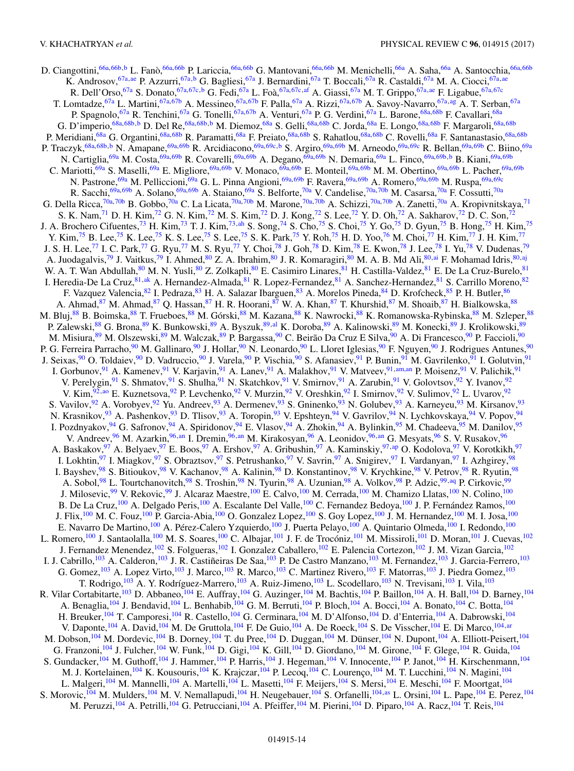D. Ciangottini,<sup>66a,66[b](#page-19-0),b</sup> L. Fanò,<sup>[66a,66b](#page-17-0)</sup> P. Lariccia,<sup>66a,66b</sup> G. Mantovani,<sup>66a,66b</sup> M. Menichelli,<sup>66a</sup> A. Saha,<sup>66a</sup> A. Santocchia,<sup>66a,66b</sup> K. Androsov,<sup>67a[,ae](#page-19-0)</sup> P. Azzurri,<sup>[67a](#page-17-0)[,b](#page-19-0)</sup> G. Bagliesi,<sup>67a</sup> J. Bernardini,<sup>67a</sup> T. Boccali,<sup>67a</sup> R. Castaldi,<sup>67a</sup> M. A. Ciocci,<sup>[67a,](#page-17-0)[ae](#page-19-0)</sup> R. Dell'Orso,<sup>[67a](#page-17-0)</sup> S. Donato,<sup>[67a,67c,](#page-17-0)[b](#page-19-0)</sup> G. Fedi,<sup>67a</sup> L. Foà,<sup>[67a,67c](#page-17-0)[,af](#page-19-0)</sup> A. Giassi,<sup>67a</sup> M. T. Grippo,<sup>67a[,ae](#page-19-0)</sup> F. Ligabue,<sup>67a,67c</sup> T. Lomtadze,<sup>[67a](#page-17-0)</sup> L. Martini,<sup>[67a,67b](#page-17-0)</sup> A. Messineo,<sup>[67a,](#page-17-0)67b</sup> F. Palla,<sup>67a</sup> A. Rizzi,<sup>67a,67b</sup> A. Savoy-Navarro,<sup>67a,[ag](#page-19-0)</sup> A. T. Serban,<sup>67a</sup> P. Spagnolo,<sup>67a</sup> R. Tenchini,<sup>67a</sup> G. Tonelli,<sup>[67a,67b](#page-17-0)</sup> A. Venturi,<sup>[67a](#page-17-0)</sup> P. G. Verdini,<sup>67a</sup> L. Barone,<sup>[68a,68b](#page-17-0)</sup> F. Cavallari,<sup>[68a](#page-17-0)</sup> G. D'imperio,<sup>[68a,68b,](#page-17-0)[b](#page-19-0)</sup> D. Del Re,<sup>[68a,68b](#page-17-0)[,b](#page-19-0)</sup> M. Diemoz,<sup>[68a](#page-17-0)</sup> S. Gelli,<sup>68a,68b</sup> C. Jorda,<sup>68a</sup> E. Longo,<sup>68a,68b</sup> F. Margaroli,<sup>68a,68b</sup> P. Meridiani,<sup>[68a](#page-17-0)</sup> G. Organtini,<sup>[68a,68b](#page-17-0)</sup> R. Paramatti,<sup>68a</sup> F. Preiato,<sup>68a,68b</sup> S. Rahatlou,<sup>68a,68b</sup> C. Rovelli,<sup>68a</sup> F. Santanastasio,<sup>68a,68b</sup> P. Traczyk,<sup>68a,68[b](#page-19-0)[,b](#page-19-0)</sup> N. Amapane,<sup>[69a,69b](#page-17-0)</sup> R. Arcidiacono,<sup>[69a](#page-17-0),69c,b</sup> S. Argiro,<sup>69a,69b</sup> M. Arneodo,<sup>69a,69c</sup> R. Bellan,<sup>69a,69b</sup> C. Biino,<sup>69a</sup> N. Cartiglia,<sup>[69a](#page-17-0)</sup> M. Costa,<sup>[69a,69b](#page-17-0)</sup> R. Covarelli,<sup>69a,69b</sup> A. Degano,<sup>69a,69b</sup> N. Demaria,<sup>69a</sup> L. Finco,<sup>69a,69b[,b](#page-19-0)</sup> B. Kiani,<sup>69a,69b</sup> C. Mariotti,<sup>[69a](#page-17-0)</sup> S. Maselli,<sup>69a</sup> E. Migliore,<sup>[69a,69b](#page-17-0)</sup> V. Monaco,<sup>69a,69b</sup> E. Monteil,<sup>69a,69b</sup> M. M. Obertino,<sup>69a,69b</sup> L. Pacher,<sup>69a,69b</sup> N. Pastrone,<sup>[69a](#page-17-0)</sup> M. Pelliccioni,<sup>69a</sup> G. L. Pinna Angioni,<sup>[69a,69b](#page-17-0)</sup> F. Ravera,<sup>69a,69b</sup> A. Romero,<sup>69a,69b</sup> M. Ruspa,<sup>[69a,69c](#page-17-0)</sup> R. Sacchi,<sup>[69a,69b](#page-17-0)</sup> A. Solano,<sup>69a,69b</sup> A. Staiano,<sup>69a</sup> S. Belforte,<sup>[70a](#page-17-0)</sup> V. Candelise,<sup>[70a,70b](#page-17-0)</sup> M. Casarsa,<sup>70a</sup> F. Cossutti,<sup>70a</sup> G. Della Ricca,<sup>[70a,70b](#page-17-0)</sup> B. Gobbo,<sup>[70a](#page-17-0)</sup> C. La Licata,<sup>70a,70b</sup> M. Marone,<sup>70a,70b</sup> A. Schizzi,<sup>70a,70b</sup> A. Zanetti,<sup>70a</sup> A. Kropivnitskaya,<sup>[71](#page-17-0)</sup> S. K. Nam,<sup>[71](#page-17-0)</sup> D. H. Kim,<sup>[72](#page-17-0)</sup> G. N. Kim,<sup>72</sup> M. S. Kim,<sup>72</sup> D. J. Kong,<sup>72</sup> S. Lee,<sup>72</sup> Y. D. Oh,<sup>72</sup> A. Sakharov,<sup>72</sup> D. C. Son,<sup>72</sup> J. A. Brochero Cifuentes,<sup>[73](#page-17-0)</sup> H. Kim,<sup>73</sup> T. J. Kim,<sup>73,[ah](#page-19-0)</sup> S. Song,<sup>[74](#page-17-0)</sup> S. Cho,<sup>[75](#page-17-0)</sup> S. Choi,<sup>75</sup> Y. Go,<sup>75</sup> D. Gyun,<sup>75</sup> B. Hong,<sup>75</sup> H. Kim,<sup>75</sup> Y. Kim,<sup>[75](#page-17-0)</sup> B. Lee,<sup>75</sup> K. Lee,<sup>75</sup> K. S. Lee,<sup>75</sup> S. Lee,<sup>75</sup> S. K. Park,<sup>75</sup> Y. Roh,<sup>75</sup> H. D. Yoo,<sup>[76](#page-17-0)</sup> M. Choi,<sup>[77](#page-17-0)</sup> H. Kim,<sup>77</sup> J. H. Kim,<sup>77</sup> J. S. H. Lee,<sup>[77](#page-17-0)</sup> I. C. Park,<sup>77</sup> G. Ryu,<sup>77</sup> M. S. Ryu,<sup>77</sup> Y. Choi,<sup>[78](#page-17-0)</sup> J. Goh,<sup>78</sup> D. Kim,<sup>78</sup> E. Kwon,<sup>78</sup> J. Lee,<sup>78</sup> I. Yu,<sup>78</sup> V. Dudenas,<sup>[79](#page-17-0)</sup> A. Juodagalvis,<sup>79</sup> J. Vaitkus,<sup>79</sup> I. Ahmed, <sup>[80](#page-17-0)</sup> Z. A. Ibrahim, <sup>80</sup> J. R. Komaragiri, <sup>80</sup> M. A. B. Md Ali, <sup>[80,](#page-17-0)[aj](#page-19-0)</sup> F. Mohamad Idris, <sup>80,aj</sup> W. A. T. Wan Abdullah, <sup>[80](#page-17-0)</sup> M. N. Yusli, <sup>80</sup> Z. Zolkapli, <sup>80</sup> E. Casimiro Linares, <sup>[81](#page-17-0)</sup> H. Castilla-Valdez, <sup>81</sup> E. De La Cruz-Burelo, <sup>81</sup> I. Heredia-De La Cruz, 81[,ak](#page-20-0) A. Hernandez-Almada, 81 R. Lopez-Fernandez, 81 A. Sanchez-Hernandez, 81 S. Carrillo Moreno, [82](#page-17-0) F. Vazquez Valencia, <sup>82</sup> I. Pedraza, <sup>[83](#page-17-0)</sup> H. A. Salazar Ibarguen, <sup>83</sup> A. Morelos Pineda, <sup>[84](#page-17-0)</sup> D. Krofcheck, <sup>85</sup> P. H. Butler, <sup>86</sup> A. Ahmad,<sup>[87](#page-17-0)</sup> M. Ahmad,<sup>87</sup> Q. Hassan,<sup>87</sup> H. R. Hoorani,<sup>87</sup> W. A. Khan,<sup>87</sup> T. Khurshid,<sup>87</sup> M. Shoaib,<sup>87</sup> H. Bialkowska,<sup>[88](#page-18-0)</sup> M. Bluj, <sup>[88](#page-18-0)</sup> B. Boimska, <sup>88</sup> T. Frueboes, <sup>88</sup> M. Górski, <sup>88</sup> M. Kazana, <sup>88</sup> K. Nawrocki, <sup>88</sup> K. Romanowska-Rybinska, <sup>88</sup> M. Szleper, <sup>88</sup> P. Zalewski,<sup>[88](#page-18-0)</sup> G. Brona,<sup>[89](#page-18-0)</sup> K. Bunkowski,<sup>89</sup> A. Byszuk,<sup>89[,al](#page-20-0)</sup> K. Doroba,<sup>89</sup> A. Kalinowski,<sup>89</sup> M. Konecki,<sup>89</sup> J. Krolikowski,<sup>89</sup> M. Misiura,<sup>[89](#page-18-0)</sup> M. Olszewski,<sup>89</sup> M. Walczak,<sup>89</sup> P. Bargassa,<sup>[90](#page-18-0)</sup> C. Beirão Da Cruz E Silva,<sup>90</sup> A. Di Francesco,<sup>90</sup> P. Faccioli,<sup>90</sup> P. G. Ferreira Parracho,<sup>[90](#page-18-0)</sup> M. Gallinaro,<sup>90</sup> J. Hollar,<sup>90</sup> N. Leonardo,<sup>90</sup> L. Lloret Iglesias,<sup>90</sup> F. Nguyen,<sup>90</sup> J. Rodrigues Antunes,<sup>90</sup> J. Seixas,<sup>[90](#page-18-0)</sup> O. Toldaiev,<sup>90</sup> D. Vadruccio,<sup>90</sup> J. Varela,<sup>90</sup> P. Vischia,<sup>90</sup> S. Afanasiev,<sup>[91](#page-18-0)</sup> P. Bunin,<sup>91</sup> M. Gavrilenko,<sup>91</sup> I. Golutvin,<sup>91</sup> I. Gorbunov, <sup>[91](#page-18-0)</sup> A. Kamenev, <sup>91</sup> V. Karjavin, <sup>91</sup> A. Lanev, <sup>91</sup> A. Malakhov, <sup>91</sup> V. Matveev, <sup>[91,](#page-18-0) am,an</sup> P. Moisenz, <sup>91</sup> V. Palichik, <sup>91</sup> V. Perelygin, <sup>[91](#page-18-0)</sup> S. Shmatov, <sup>91</sup> S. Shulha, <sup>91</sup> N. Skatchkov, <sup>91</sup> V. Smirnov, <sup>91</sup> A. Zarubin, <sup>91</sup> V. Golovtsov, <sup>[92](#page-18-0)</sup> Y. Ivanov, <sup>92</sup> V. Kim, [92](#page-18-0)[,ao](#page-20-0) E. Kuznetsova, 92 P. Levchenko, 92 V. Murzin, 92 V. Oreshkin, 92 I. Smirnov, 92 V. Sulimov, 92 L. Uvarov, 92 S. Vavilov, <sup>[92](#page-18-0)</sup> A. Vorobyev, <sup>92</sup> Yu. Andreev, <sup>[93](#page-18-0)</sup> A. Dermenev, <sup>93</sup> S. Gninenko, <sup>93</sup> N. Golubev, <sup>93</sup> A. Karneyeu, <sup>93</sup> M. Kirsanov, <sup>93</sup> N. Krasnikov,<sup>[93](#page-18-0)</sup> A. Pashenkov,<sup>93</sup> D. Tlisov,<sup>93</sup> A. Toropin,<sup>93</sup> V. Epshteyn,<sup>[94](#page-18-0)</sup> V. Gavrilov,<sup>94</sup> N. Lychkovskaya,<sup>94</sup> V. Popov,<sup>94</sup> I. Pozdnyakov, <sup>[94](#page-18-0)</sup> G. Safronov, <sup>94</sup> A. Spiridonov, <sup>94</sup> E. Vlasov, <sup>94</sup> A. Zhokin, <sup>94</sup> A. Bylinkin, <sup>[95](#page-18-0)</sup> M. Chadeeva, <sup>95</sup> M. Danilov, <sup>95</sup> V. Andreev, <sup>[96](#page-18-0)</sup> M. Azarkin, <sup>[96,](#page-18-0) [an](#page-20-0)</sup> I. Dremin, <sup>96, an</sup> M. Kirakosyan, <sup>96</sup> A. Leonidov, <sup>96, an</sup> G. Mesyats, <sup>96</sup> S. V. Rusakov, <sup>96</sup> A. Baskakov,<sup>[97](#page-18-0)</sup> A. Belyaev,<sup>97</sup> E. Boos,<sup>97</sup> A. Ershov,<sup>97</sup> A. Gribushin,<sup>97</sup> A. Kaminskiy,<sup>[97,](#page-18-0)[ap](#page-20-0)</sup> O. Kodolova,<sup>97</sup> V. Korotkikh,<sup>97</sup> I. Lokhtin, <sup>[97](#page-18-0)</sup> I. Miagkov, <sup>97</sup> S. Obraztsov, <sup>97</sup> S. Petrushanko, <sup>97</sup> V. Savrin, <sup>97</sup> A. Snigirev, <sup>97</sup> I. Vardanyan, <sup>97</sup> I. Azhgirey, <sup>98</sup> I. Bayshev,<sup>[98](#page-18-0)</sup> S. Bitioukov,<sup>98</sup> V. Kachanov,<sup>98</sup> A. Kalinin,<sup>98</sup> D. Konstantinov,<sup>98</sup> V. Krychkine,<sup>98</sup> V. Petrov,<sup>98</sup> R. Ryutin,<sup>98</sup> A. Sobol,<sup>[98](#page-18-0)</sup> L. Tourtchanovitch,<sup>98</sup> S. Troshin,<sup>98</sup> N. Tyurin,<sup>98</sup> A. Uzunian,<sup>98</sup> A. Volkov,<sup>98</sup> P. Adzic,<sup>[99](#page-18-0)[,aq](#page-20-0)</sup> P. Cirkovic,<sup>99</sup> J. Milosevic,<sup>[99](#page-18-0)</sup> V. Rekovic,<sup>99</sup> J. Alcaraz Maestre,<sup>[100](#page-18-0)</sup> E. Calvo,<sup>100</sup> M. Cerrada,<sup>100</sup> M. Chamizo Llatas,<sup>100</sup> N. Colino,<sup>100</sup> B. De La Cruz,<sup>[100](#page-18-0)</sup> A. Delgado Peris,<sup>100</sup> A. Escalante Del Valle,<sup>100</sup> C. Fernandez Bedoya,<sup>100</sup> J. P. Fernández Ramos,<sup>100</sup> J. Flix,<sup>[100](#page-18-0)</sup> M. C. Fouz,<sup>100</sup> P. Garcia-Abia,<sup>100</sup> O. Gonzalez Lopez,<sup>100</sup> S. Goy Lopez,<sup>100</sup> J. M. Hernandez,<sup>100</sup> M. I. Josa,<sup>100</sup> E. Navarro De Martino,<sup>[100](#page-18-0)</sup> A. Pérez-Calero Yzquierdo,<sup>100</sup> J. Puerta Pelayo,<sup>100</sup> A. Quintario Olmeda,<sup>100</sup> I. Redondo,<sup>100</sup> L. Romero,<sup>[100](#page-18-0)</sup> J. Santaolalla,<sup>100</sup> M. S. Soares,<sup>100</sup> C. Albajar,<sup>[101](#page-18-0)</sup> J. F. de Trocóniz,<sup>101</sup> M. Missiroli,<sup>101</sup> D. Moran,<sup>101</sup> J. Cuevas,<sup>102</sup> J. Fernandez Menendez,<sup>[102](#page-18-0)</sup> S. Folgueras,<sup>102</sup> I. Gonzalez Caballero,<sup>102</sup> E. Palencia Cortezon,<sup>102</sup> J. M. Vizan Garcia,<sup>102</sup> I. J. Cabrillo,<sup>[103](#page-18-0)</sup> A. Calderon,<sup>103</sup> J. R. Castiñeiras De Saa,<sup>103</sup> P. De Castro Manzano,<sup>103</sup> M. Fernandez,<sup>103</sup> J. Garcia-Ferrero,<sup>103</sup> G. Gomez, <sup>[103](#page-18-0)</sup> A. Lopez Virto, <sup>103</sup> J. Marco, <sup>103</sup> R. Marco, <sup>103</sup> C. Martinez Rivero, <sup>103</sup> F. Matorras, <sup>103</sup> J. Piedra Gomez, <sup>103</sup> T. Rodrigo,<sup>[103](#page-18-0)</sup> A. Y. Rodríguez-Marrero,<sup>103</sup> A. Ruiz-Jimeno,<sup>103</sup> L. Scodellaro,<sup>103</sup> N. Trevisani,<sup>103</sup> I. Vila,<sup>103</sup> R. Vilar Cortabitarte,<sup>[103](#page-18-0)</sup> D. Abbaneo,<sup>[104](#page-18-0)</sup> E. Auffray,<sup>104</sup> G. Auzinger,<sup>104</sup> M. Bachtis,<sup>104</sup> P. Baillon,<sup>104</sup> A. H. Ball,<sup>104</sup> D. Barney,<sup>104</sup> A. Benaglia,<sup>[104](#page-18-0)</sup> J. Bendavid,<sup>104</sup> L. Benhabib,<sup>104</sup> G. M. Berruti,<sup>104</sup> P. Bloch,<sup>104</sup> A. Bocci,<sup>104</sup> A. Bonato,<sup>104</sup> C. Botta,<sup>104</sup> H. Breuker, <sup>[104](#page-18-0)</sup> T. Camporesi, <sup>104</sup> R. Castello, <sup>104</sup> G. Cerminara, <sup>104</sup> M. D'Alfonso, <sup>104</sup> D. d'Enterria, <sup>104</sup> A. Dabrowski, <sup>104</sup> V. Daponte, <sup>[104](#page-18-0)</sup> A. David, <sup>104</sup> M. De Gruttola, <sup>104</sup> F. De Guio, <sup>104</sup> A. De Roeck, <sup>104</sup> S. De Visscher, <sup>104</sup> E. Di Marco, <sup>[104,](#page-18-0) [ar](#page-20-0)</sup> M. Dobson, <sup>[104](#page-18-0)</sup> M. Dordevic, <sup>104</sup> B. Dorney, <sup>104</sup> T. du Pree, <sup>104</sup> D. Duggan, <sup>104</sup> M. Dünser, <sup>104</sup> N. Dupont, <sup>104</sup> A. Elliott-Peisert, <sup>104</sup> G. Franzoni,<sup>[104](#page-18-0)</sup> J. Fulcher,<sup>104</sup> W. Funk,<sup>104</sup> D. Gigi,<sup>104</sup> K. Gill,<sup>104</sup> D. Giordano,<sup>104</sup> M. Girone,<sup>104</sup> F. Glege,<sup>104</sup> R. Guida,<sup>104</sup> S. Gundacker, <sup>[104](#page-18-0)</sup> M. Guthoff, <sup>104</sup> J. Hammer, <sup>104</sup> P. Harris, <sup>104</sup> J. Hegeman, <sup>104</sup> V. Innocente, <sup>104</sup> P. Janot, <sup>104</sup> H. Kirschenmann, <sup>104</sup> M. J. Kortelainen,<sup>[104](#page-18-0)</sup> K. Kousouris,<sup>104</sup> K. Krajczar,<sup>104</sup> P. Lecoq,<sup>104</sup> C. Lourenço,<sup>104</sup> M. T. Lucchini,<sup>104</sup> N. Magini,<sup>104</sup> L. Malgeri,<sup>[104](#page-18-0)</sup> M. Mannelli,<sup>104</sup> A. Martelli,<sup>104</sup> L. Masetti,<sup>104</sup> F. Meijers,<sup>104</sup> S. Mersi,<sup>104</sup> E. Meschi,<sup>104</sup> F. Moortgat,<sup>104</sup> S. Morovic, <sup>[104](#page-18-0)</sup> M. Mulders, <sup>104</sup> M. V. Nemallapudi, <sup>104</sup> H. Neugebauer, <sup>104</sup> S. Orfanelli, <sup>104</sup>, <sup>as</sup> L. Orsini, <sup>104</sup> L. Pape, <sup>104</sup> E. Perez, <sup>104</sup> M. Peruzzi,<sup>[104](#page-18-0)</sup> A. Petrilli,<sup>104</sup> G. Petrucciani,<sup>104</sup> A. Pfeiffer,<sup>104</sup> M. Pierini,<sup>104</sup> D. Piparo,<sup>104</sup> A. Racz,<sup>104</sup> T. Reis,<sup>104</sup>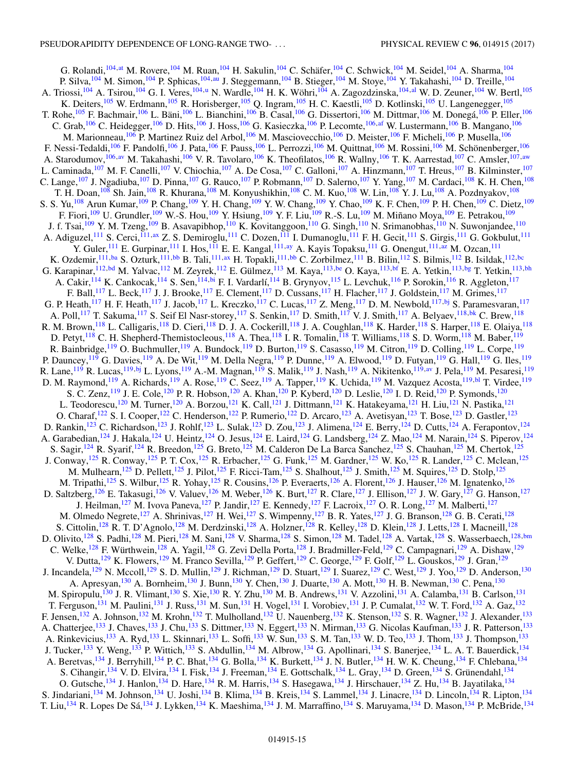G. Rolandi, <sup>[104,](#page-18-0)[at](#page-20-0)</sup> M. Rovere, <sup>[104](#page-18-0)</sup> M. Ruan, <sup>104</sup> H. Sakulin, <sup>104</sup> C. Schäfer, <sup>104</sup> C. Schwick, <sup>104</sup> M. Seidel, <sup>104</sup> A. Sharma, <sup>104</sup> P. Silva,<sup>[104](#page-18-0)</sup> M. Simon,<sup>104</sup> P. Sphicas,<sup>[104,](#page-18-0)[au](#page-20-0)</sup> J. Steggemann,<sup>104</sup> B. Stieger,<sup>104</sup> M. Stoye,<sup>104</sup> Y. Takahashi,<sup>104</sup> D. Treille,<sup>104</sup> A. Triossi,<sup>[104](#page-18-0)</sup> A. Tsirou,<sup>104</sup> G. I. Veres,<sup>[104,](#page-18-0)[u](#page-19-0)</sup> N. Wardle,<sup>104</sup> H. K. Wöhri,<sup>104</sup> A. Zagozdzinska,<sup>104,[al](#page-20-0)</sup> W. D. Zeuner,<sup>104</sup> W. Bertl,<sup>[105](#page-18-0)</sup> K. Deiters,<sup>[105](#page-18-0)</sup> W. Erdmann,<sup>105</sup> R. Horisberger,<sup>105</sup> Q. Ingram,<sup>105</sup> H. C. Kaestli,<sup>105</sup> D. Kotlinski,<sup>105</sup> U. Langenegger,<sup>105</sup> T. Rohe, <sup>[105](#page-18-0)</sup> F. Bachmair, <sup>[106](#page-18-0)</sup> L. Bäni, <sup>106</sup> L. Bianchini, <sup>106</sup> B. Casal, <sup>106</sup> G. Dissertori, <sup>106</sup> M. Dittmar, <sup>106</sup> M. Donegá, <sup>106</sup> P. Eller, <sup>106</sup> C. Grab,<sup>[106](#page-18-0)</sup> C. Heidegger,<sup>106</sup> D. Hits,<sup>106</sup> J. Hoss,<sup>106</sup> G. Kasieczka,<sup>106</sup> P. Lecomte,<sup>[106,](#page-18-0)[af](#page-19-0)</sup> W. Lustermann,<sup>106</sup> B. Mangano,<sup>106</sup> M. Marionneau,<sup>[106](#page-18-0)</sup> P. Martinez Ruiz del Arbol,<sup>106</sup> M. Masciovecchio,<sup>106</sup> D. Meister,<sup>106</sup> F. Micheli,<sup>106</sup> P. Musella,<sup>106</sup> F. Nessi-Tedaldi,<sup>[106](#page-18-0)</sup> F. Pandolfi,<sup>106</sup> J. Pata,<sup>106</sup> F. Pauss,<sup>106</sup> L. Perrozzi,<sup>106</sup> M. Quittnat,<sup>106</sup> M. Rossini,<sup>106</sup> M. Schönenberger,<sup>106</sup> A. Starodumov,<sup>[106](#page-18-0)[,av](#page-20-0)</sup> M. Takahashi,<sup>106</sup> V. R. Tavolaro,<sup>106</sup> K. Theofilatos,<sup>106</sup> R. Wallny,<sup>106</sup> T. K. Aarrestad,<sup>[107](#page-18-0)</sup> C. Amsler,<sup>[107,](#page-18-0)[aw](#page-20-0)</sup> L. Caminada,<sup>[107](#page-18-0)</sup> M. F. Canelli,<sup>107</sup> V. Chiochia,<sup>107</sup> A. De Cosa,<sup>107</sup> C. Galloni,<sup>107</sup> A. Hinzmann,<sup>107</sup> T. Hreus,<sup>107</sup> B. Kilminster,<sup>107</sup> C. Lange,  $^{107}$  $^{107}$  $^{107}$  J. Ngadiuba,  $^{107}$  D. Pinna,  $^{107}$  G. Rauco,  $^{107}$  P. Robmann,  $^{107}$  D. Salerno,  $^{107}$  Y. Yang,  $^{107}$  M. Cardaci,  $^{108}$  $^{108}$  $^{108}$  K. H. Chen,  $^{108}$ T. H. Doan,<sup>[108](#page-18-0)</sup> Sh. Jain,<sup>108</sup> R. Khurana,<sup>108</sup> M. Konyushikhin,<sup>108</sup> C. M. Kuo,<sup>108</sup> W. Lin,<sup>108</sup> Y. J. Lu,<sup>108</sup> A. Pozdnyakov,<sup>108</sup> S. S. Yu,<sup>[108](#page-18-0)</sup> Arun Kumar,<sup>[109](#page-18-0)</sup> P. Chang,<sup>109</sup> Y. H. Chang,<sup>109</sup> Y. W. Chang,<sup>109</sup> Y. Chao,<sup>109</sup> K. F. Chen,<sup>109</sup> P. H. Chen,<sup>109</sup> C. Dietz,<sup>109</sup> F. Fiori,<sup>[109](#page-18-0)</sup> U. Grundler,<sup>109</sup> W.-S. Hou,<sup>109</sup> Y. Hsiung,<sup>109</sup> Y. F. Liu,<sup>109</sup> R.-S. Lu,<sup>109</sup> M. Miñano Moya,<sup>109</sup> E. Petrakou,<sup>109</sup> J. f. Tsai,<sup>109</sup> Y. M. Tzeng,<sup>109</sup> B. Asavapibhop,<sup>[110](#page-18-0)</sup> K. Kovitanggoon,<sup>110</sup> G. Singh,<sup>110</sup> N. Srimanobhas,<sup>110</sup> N. Suwonjandee,<sup>110</sup> A. Adiguzel,<sup>[111](#page-18-0)</sup> S. Cerci,<sup>111[,ax](#page-20-0)</sup> Z. S. Demiroglu,<sup>111</sup> C. Dozen,<sup>111</sup> I. Dumanoglu,<sup>111</sup> F. H. Gecit,<sup>111</sup> S. Girgis,<sup>111</sup> G. Gokbulut,<sup>111</sup> Y. Guler,<sup>[111](#page-18-0)</sup> E. Gurpinar,<sup>111</sup> I. Hos,<sup>111</sup> E. E. Kangal,<sup>[111,](#page-18-0)[ay](#page-20-0)</sup> A. Kayis Topaksu,<sup>111</sup> G. Onengut,<sup>111[,az](#page-20-0)</sup> M. Ozcan,<sup>111</sup> K. Ozdemir,<sup>[111](#page-18-0)[,ba](#page-20-0)</sup> S. Ozturk,<sup>[111,](#page-18-0)[bb](#page-20-0)</sup> B. Tali,<sup>111</sup>[,ax](#page-20-0) H. Topakli,<sup>111,bb</sup> C. Zorbilmez,<sup>111</sup> B. Bilin,<sup>[112](#page-18-0)</sup> S. Bilmis,<sup>112</sup> B. Isildak,<sup>[112,](#page-18-0)[bc](#page-20-0)</sup> G. Karapinar, <sup>[112](#page-18-0)[,bd](#page-20-0)</sup> M. Yalvac, <sup>112</sup> M. Zeyrek, <sup>112</sup> E. Gülmez, <sup>[113](#page-18-0)</sup> M. Kaya, <sup>113[,be](#page-20-0)</sup> O. Kaya, <sup>113,[bf](#page-20-0)</sup> E. A. Yetkin, <sup>113[,bg](#page-20-0)</sup> T. Yetkin, <sup>[113,](#page-18-0)[bh](#page-20-0)</sup> A. Cakir, <sup>[114](#page-18-0)</sup> K. Cankocak, <sup>114</sup> S. Sen, <sup>114, bi</sup> F. I. Vardarlí, <sup>114</sup> B. Grynyov, <sup>[115](#page-18-0)</sup> L. Levchuk, <sup>[116](#page-18-0)</sup> P. Sorokin, <sup>116</sup> R. Aggleton, <sup>[117](#page-18-0)</sup> F. Ball,<sup>[117](#page-18-0)</sup> L. Beck,<sup>117</sup> J. J. Brooke,<sup>117</sup> E. Clement,<sup>117</sup> D. Cussans,<sup>117</sup> H. Flacher,<sup>117</sup> J. Goldstein,<sup>117</sup> M. Grimes,<sup>117</sup> G. P. Heath,<sup>[117](#page-18-0)</sup> H. F. Heath,<sup>117</sup> J. Jacob,<sup>117</sup> L. Kreczko,<sup>117</sup> C. Lucas,<sup>117</sup> Z. Meng,<sup>117</sup> D. M. Newbold,<sup>[117,](#page-18-0)[bj](#page-20-0)</sup> S. Paramesvaran,<sup>117</sup> A. Poll,<sup>[117](#page-18-0)</sup> T. Sakuma,<sup>117</sup> S. Seif El Nasr-storey,<sup>117</sup> S. Senkin,<sup>117</sup> D. Smith,<sup>117</sup> V. J. Smith,<sup>117</sup> A. Belyaev,<sup>[118](#page-18-0)[,bk](#page-20-0)</sup> C. Brew,<sup>118</sup> R. M. Brown,<sup>[118](#page-18-0)</sup> L. Calligaris,<sup>118</sup> D. Cieri,<sup>118</sup> D. J. A. Cockerill,<sup>118</sup> J. A. Coughlan,<sup>118</sup> K. Harder,<sup>118</sup> S. Harper,<sup>118</sup> E. Olaiya,<sup>118</sup> D. Petyt,<sup>[118](#page-18-0)</sup> C. H. Shepherd-Themistocleous,<sup>118</sup> A. Thea,<sup>118</sup> I. R. Tomalin,<sup>118</sup> T. Williams,<sup>118</sup> S. D. Worm,<sup>118</sup> M. Baber,<sup>[119](#page-18-0)</sup> R. Bainbridge,<sup>[119](#page-18-0)</sup> O. Buchmuller,<sup>119</sup> A. Bundock,<sup>119</sup> D. Burton,<sup>119</sup> S. Casasso,<sup>119</sup> M. Citron,<sup>119</sup> D. Colling,<sup>119</sup> L. Corpe,<sup>119</sup> P. Dauncey,<sup>[119](#page-18-0)</sup> G. Davies,<sup>119</sup> A. De Wit,<sup>119</sup> M. Della Negra,<sup>119</sup> P. Dunne,<sup>119</sup> A. Elwood,<sup>119</sup> D. Futyan,<sup>119</sup> G. Hall,<sup>119</sup> G. Iles,<sup>119</sup> R. Lane,<sup>[119](#page-18-0)</sup> R. Lucas,<sup>119,[bj](#page-20-0)</sup> L. Lyons,<sup>119</sup> A.-M. Magnan,<sup>119</sup> S. Malik,<sup>119</sup> J. Nash,<sup>119</sup> A. Nikitenko,<sup>119[,av](#page-20-0)</sup> J. Pela,<sup>119</sup> M. Pesaresi,<sup>119</sup> D. M. Raymond,<sup>[119](#page-18-0)</sup> A. Richards,<sup>119</sup> A. Rose,<sup>119</sup> C. Seez,<sup>119</sup> A. Tapper,<sup>119</sup> K. Uchida,<sup>119</sup> M. Vazquez Acosta,<sup>119[,bl](#page-20-0)</sup> T. Virdee,<sup>119</sup> S. C. Zenz,<sup>[119](#page-18-0)</sup> J. E. Cole,<sup>[120](#page-18-0)</sup> P. R. Hobson,<sup>120</sup> A. Khan,<sup>120</sup> P. Kyberd,<sup>120</sup> D. Leslie,<sup>120</sup> I. D. Reid,<sup>120</sup> P. Symonds,<sup>120</sup> L. Teodorescu,<sup>[120](#page-18-0)</sup> M. Turner,<sup>120</sup> A. Borzou,<sup>[121](#page-18-0)</sup> K. Call,<sup>121</sup> J. Dittmann,<sup>121</sup> K. Hatakeyama,<sup>121</sup> H. Liu,<sup>121</sup> N. Pastika,<sup>121</sup> O. Charaf, <sup>[122](#page-18-0)</sup> S. I. Cooper, <sup>122</sup> C. Henderson, <sup>122</sup> P. Rumerio, <sup>122</sup> D. Arcaro, <sup>[123](#page-18-0)</sup> A. Avetisyan, <sup>123</sup> T. Bose, <sup>123</sup> D. Gastler, <sup>123</sup> D. Rankin,<sup>[123](#page-18-0)</sup> C. Richardson,<sup>123</sup> J. Rohlf,<sup>123</sup> L. Sulak,<sup>123</sup> D. Zou,<sup>123</sup> J. Alimena,<sup>[124](#page-18-0)</sup> E. Berry,<sup>124</sup> D. Cutts,<sup>124</sup> A. Ferapontov,<sup>124</sup> A. Garabedian, <sup>[124](#page-18-0)</sup> J. Hakala, <sup>124</sup> U. Heintz, <sup>124</sup> O. Jesus, <sup>124</sup> E. Laird, <sup>124</sup> G. Landsberg, <sup>124</sup> Z. Mao, <sup>124</sup> M. Narain, <sup>124</sup> S. Piperov, <sup>124</sup> S. Sagir,<sup>[124](#page-18-0)</sup> R. Syarif,<sup>124</sup> R. Breedon,<sup>[125](#page-18-0)</sup> G. Breto,<sup>125</sup> M. Calderon De La Barca Sanchez,<sup>125</sup> S. Chauhan,<sup>125</sup> M. Chertok,<sup>125</sup> J. Conway,<sup>[125](#page-18-0)</sup> R. Conway,<sup>125</sup> P. T. Cox,<sup>125</sup> R. Erbacher,<sup>125</sup> G. Funk,<sup>125</sup> M. Gardner,<sup>125</sup> W. Ko,<sup>125</sup> R. Lander,<sup>125</sup> C. Mclean,<sup>125</sup> M. Mulhearn,<sup>[125](#page-18-0)</sup> D. Pellett,<sup>125</sup> J. Pilot,<sup>125</sup> F. Ricci-Tam,<sup>125</sup> S. Shalhout,<sup>125</sup> J. Smith,<sup>125</sup> M. Squires,<sup>125</sup> D. Stolp,<sup>125</sup> M. Tripathi,<sup>[125](#page-18-0)</sup> S. Wilbur,<sup>125</sup> R. Yohay,<sup>125</sup> R. Cousins,<sup>[126](#page-18-0)</sup> P. Everaerts,<sup>126</sup> A. Florent,<sup>126</sup> J. Hauser,<sup>126</sup> M. Ignatenko,<sup>126</sup> D. Saltzberg, <sup>[126](#page-18-0)</sup> E. Takasugi, <sup>126</sup> V. Valuev, <sup>126</sup> M. Weber, <sup>126</sup> K. Burt, <sup>[127](#page-18-0)</sup> R. Clare, <sup>127</sup> J. Ellison, <sup>127</sup> J. W. Gary, <sup>127</sup> G. Hanson, <sup>127</sup> J. Heilman,<sup>[127](#page-18-0)</sup> M. Ivova Paneva,<sup>127</sup> P. Jandir,<sup>127</sup> E. Kennedy,<sup>127</sup> F. Lacroix,<sup>127</sup> O. R. Long,<sup>127</sup> M. Malberti,<sup>127</sup> M. Olmedo Negrete,<sup>[127](#page-18-0)</sup> A. Shrinivas,<sup>127</sup> H. Wei,<sup>127</sup> S. Wimpenny,<sup>127</sup> B. R. Yates,<sup>127</sup> J. G. Branson,<sup>[128](#page-18-0)</sup> G. B. Cerati,<sup>128</sup> S. Cittolin,<sup>[128](#page-18-0)</sup> R. T. D'Agnolo,<sup>128</sup> M. Derdzinski,<sup>128</sup> A. Holzner,<sup>128</sup> R. Kelley,<sup>128</sup> D. Klein,<sup>128</sup> J. Letts,<sup>128</sup> I. Macneill,<sup>128</sup> D. Olivito,<sup>[128](#page-18-0)</sup> S. Padhi,<sup>128</sup> M. Pieri,<sup>128</sup> M. Sani,<sup>128</sup> V. Sharma,<sup>128</sup> S. Simon,<sup>128</sup> M. Tadel,<sup>128</sup> A. Vartak,<sup>128</sup> S. Wasserbaech,<sup>[128,](#page-18-0)[bm](#page-20-0)</sup> C. Welke,<sup>[128](#page-18-0)</sup> F. Würthwein,<sup>128</sup> A. Yagil,<sup>128</sup> G. Zevi Della Porta,<sup>128</sup> J. Bradmiller-Feld,<sup>[129](#page-18-0)</sup> C. Campagnari,<sup>129</sup> A. Dishaw,<sup>129</sup> V. Dutta,  $^{129}$  $^{129}$  $^{129}$  K. Flowers,  $^{129}$  M. Franco Sevilla,  $^{129}$  P. Geffert,  $^{129}$  C. George,  $^{129}$  F. Golf,  $^{129}$  L. Gouskos,  $^{129}$  J. Gran,  $^{129}$ J. Incandela,<sup>[129](#page-18-0)</sup> N. Mccoll,<sup>129</sup> S. D. Mullin,<sup>129</sup> J. Richman,<sup>129</sup> D. Stuart,<sup>129</sup> I. Suarez,<sup>129</sup> C. West,<sup>129</sup> J. Yoo,<sup>129</sup> D. Anderson,<sup>[130](#page-18-0)</sup> A. Apresyan, <sup>[130](#page-18-0)</sup> A. Bornheim, <sup>130</sup> J. Bunn, <sup>130</sup> Y. Chen, <sup>130</sup> J. Duarte, <sup>130</sup> A. Mott, <sup>130</sup> H. B. Newman, <sup>130</sup> C. Pena, <sup>130</sup> M. Spiropulu,<sup>[130](#page-18-0)</sup> J. R. Vlimant,<sup>130</sup> S. Xie,<sup>130</sup> R. Y. Zhu,<sup>130</sup> M. B. Andrews,<sup>[131](#page-18-0)</sup> V. Azzolini,<sup>131</sup> A. Calamba,<sup>131</sup> B. Carlson,<sup>131</sup> T. Ferguson,<sup>[131](#page-18-0)</sup> M. Paulini,<sup>131</sup> J. Russ,<sup>131</sup> M. Sun,<sup>131</sup> H. Vogel,<sup>131</sup> I. Vorobiev,<sup>131</sup> J. P. Cumalat,<sup>[132](#page-18-0)</sup> W. T. Ford,<sup>132</sup> A. Gaz,<sup>132</sup> F. Jensen,<sup>[132](#page-18-0)</sup> A. Johnson,<sup>132</sup> M. Krohn,<sup>132</sup> T. Mulholland,<sup>132</sup> U. Nauenberg,<sup>132</sup> K. Stenson,<sup>132</sup> S. R. Wagner,<sup>132</sup> J. Alexander,<sup>133</sup> A. Chatterjee,<sup>[133](#page-18-0)</sup> J. Chaves,<sup>133</sup> J. Chu,<sup>133</sup> S. Dittmer,<sup>133</sup> N. Eggert,<sup>133</sup> N. Mirman,<sup>133</sup> G. Nicolas Kaufman,<sup>133</sup> J. R. Patterson,<sup>133</sup> A. Rinkevicius,<sup>[133](#page-18-0)</sup> A. Ryd,<sup>133</sup> L. Skinnari,<sup>133</sup> L. Soffi,<sup>133</sup> W. Sun,<sup>133</sup> S. M. Tan,<sup>133</sup> W. D. Teo,<sup>133</sup> J. Thom,<sup>133</sup> J. Thompson,<sup>133</sup> J. Tucker,<sup>[133](#page-18-0)</sup> Y. Weng,<sup>133</sup> P. Wittich,<sup>133</sup> S. Abdullin,<sup>[134](#page-18-0)</sup> M. Albrow,<sup>134</sup> G. Apollinari,<sup>134</sup> S. Banerjee,<sup>134</sup> L. A. T. Bauerdick,<sup>134</sup> A. Beretvas,<sup>[134](#page-18-0)</sup> J. Berryhill,<sup>134</sup> P. C. Bhat,<sup>134</sup> G. Bolla,<sup>134</sup> K. Burkett,<sup>134</sup> J. N. Butler,<sup>134</sup> H. W. K. Cheung,<sup>134</sup> F. Chlebana,<sup>134</sup> S. Cihangir,<sup>[134](#page-18-0)</sup> V. D. Elvira,<sup>134</sup> I. Fisk,<sup>134</sup> J. Freeman,<sup>134</sup> E. Gottschalk,<sup>134</sup> L. Gray,<sup>134</sup> D. Green,<sup>134</sup> S. Grünendahl,<sup>134</sup> O. Gutsche, <sup>[134](#page-18-0)</sup> J. Hanlon, <sup>134</sup> D. Hare, <sup>134</sup> R. M. Harris, <sup>134</sup> S. Hasegawa, <sup>134</sup> J. Hirschauer, <sup>134</sup> Z. Hu, <sup>134</sup> B. Jayatilaka, <sup>134</sup> S. Jindariani,<sup>[134](#page-18-0)</sup> M. Johnson,<sup>134</sup> U. Joshi,<sup>134</sup> B. Klima,<sup>134</sup> B. Kreis,<sup>134</sup> S. Lammel,<sup>134</sup> J. Linacre,<sup>134</sup> D. Lincoln,<sup>134</sup> R. Lipton,<sup>134</sup> T. Liu,<sup>[134](#page-18-0)</sup> R. Lopes De Sá,<sup>134</sup> J. Lykken,<sup>134</sup> K. Maeshima,<sup>134</sup> J. M. Marraffino,<sup>134</sup> S. Maruyama,<sup>134</sup> D. Mason,<sup>134</sup> P. McBride,<sup>134</sup>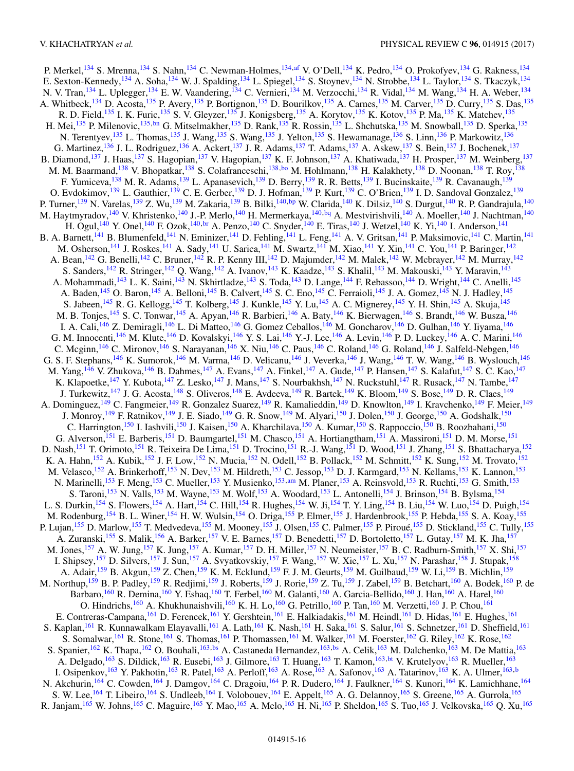P. Merkel,<sup>[134](#page-18-0)</sup> S. Mrenna,<sup>134</sup> S. Nahn,<sup>134</sup> C. Newman-Holmes,<sup>134[,af](#page-19-0)</sup> V. O'Dell,<sup>134</sup> K. Pedro,<sup>134</sup> O. Prokofyev,<sup>134</sup> G. Rakness,<sup>134</sup> E. Sexton-Kennedy, <sup>[134](#page-18-0)</sup> A. Soha, <sup>134</sup> W. J. Spalding, <sup>134</sup> L. Spiegel, <sup>134</sup> S. Stoynev, <sup>134</sup> N. Strobbe, <sup>134</sup> L. Taylor, <sup>134</sup> S. Tkaczyk, <sup>134</sup> N. V. Tran,<sup>[134](#page-18-0)</sup> L. Uplegger,<sup>134</sup> E. W. Vaandering,<sup>134</sup> C. Vernieri,<sup>134</sup> M. Verzocchi,<sup>134</sup> R. Vidal,<sup>134</sup> M. Wang,<sup>134</sup> H. A. Weber,<sup>134</sup> A. Whitbeck,<sup>[134](#page-18-0)</sup> D. Acosta,<sup>[135](#page-18-0)</sup> P. Avery,<sup>135</sup> P. Bortignon,<sup>135</sup> D. Bourilkov,<sup>135</sup> A. Carnes,<sup>135</sup> M. Carver,<sup>135</sup> D. Curry,<sup>135</sup> S. Das,<sup>135</sup> R. D. Field,<sup>[135](#page-18-0)</sup> I. K. Furic,<sup>135</sup> S. V. Gleyzer,<sup>135</sup> J. Konigsberg,<sup>135</sup> A. Korytov,<sup>135</sup> K. Kotov,<sup>135</sup> P. Ma,<sup>135</sup> K. Matchev,<sup>135</sup> H. Mei,<sup>[135](#page-18-0)</sup> P. Milenovic,<sup>135[,bn](#page-20-0)</sup> G. Mitselmakher,<sup>135</sup> D. Rank,<sup>135</sup> R. Rossin,<sup>135</sup> L. Shchutska,<sup>135</sup> M. Snowball,<sup>135</sup> D. Sperka,<sup>135</sup> N. Terentyev,<sup>[135](#page-18-0)</sup> L. Thomas,<sup>135</sup> J. Wang,<sup>135</sup> S. Wang,<sup>135</sup> J. Yelton,<sup>135</sup> S. Hewamanage,<sup>[136](#page-18-0)</sup> S. Linn,<sup>136</sup> P. Markowitz,<sup>136</sup> G. Martinez, <sup>[136](#page-18-0)</sup> J. L. Rodriguez, <sup>136</sup> A. Ackert, <sup>[137](#page-18-0)</sup> J. R. Adams, <sup>137</sup> T. Adams, <sup>137</sup> A. Askew, <sup>137</sup> S. Bein, <sup>137</sup> J. Bochenek, <sup>137</sup> B. Diamond,<sup>[137](#page-18-0)</sup> J. Haas,<sup>137</sup> S. Hagopian,<sup>137</sup> V. Hagopian,<sup>137</sup> K. F. Johnson,<sup>137</sup> A. Khatiwada,<sup>137</sup> H. Prosper,<sup>137</sup> M. Weinberg,<sup>137</sup> M. M. Baarmand,<sup>[138](#page-18-0)</sup> V. Bhopatkar,<sup>138</sup> S. Colafranceschi,<sup>138[,bo](#page-20-0)</sup> M. Hohlmann,<sup>138</sup> H. Kalakhety,<sup>138</sup> D. Noonan,<sup>138</sup> T. Roy,<sup>138</sup> F. Yumiceva, <sup>[138](#page-18-0)</sup> M. R. Adams, <sup>[139](#page-18-0)</sup> L. Apanasevich, <sup>139</sup> D. Berry, <sup>139</sup> R. R. Betts, <sup>139</sup> I. Bucinskaite, <sup>139</sup> R. Cavanaugh, <sup>139</sup> O. Evdokimov,<sup>[139](#page-18-0)</sup> L. Gauthier,<sup>139</sup> C. E. Gerber,<sup>139</sup> D. J. Hofman,<sup>139</sup> P. Kurt,<sup>139</sup> C. O'Brien,<sup>139</sup> I. D. Sandoval Gonzalez,<sup>139</sup> P. Turner,<sup>[139](#page-18-0)</sup> N. Varelas,<sup>139</sup> Z. Wu,<sup>139</sup> M. Zakaria,<sup>139</sup> B. Bilki,<sup>[140,](#page-18-0)[bp](#page-20-0)</sup> W. Clarida,<sup>[140](#page-18-0)</sup> K. Dilsiz,<sup>140</sup> S. Durgut,<sup>140</sup> R. P. Gandrajula,<sup>140</sup> M. Haytmyradov,<sup>[140](#page-18-0)</sup> V. Khristenko,<sup>140</sup> J.-P. Merlo,<sup>140</sup> H. Mermerkaya,<sup>140[,bq](#page-20-0)</sup> A. Mestvirishvili,<sup>140</sup> A. Moeller,<sup>140</sup> J. Nachtman,<sup>140</sup> H. Ogul,<sup>[140](#page-18-0)</sup> Y. Onel,<sup>140</sup> F. Ozok,<sup>140[,br](#page-20-0)</sup> A. Penzo,<sup>140</sup> C. Snyder,<sup>140</sup> E. Tiras,<sup>140</sup> J. Wetzel,<sup>140</sup> K. Yi,<sup>140</sup> I. Anderson,<sup>141</sup> B. A. Barnett,<sup>[141](#page-18-0)</sup> B. Blumenfeld,<sup>141</sup> N. Eminizer,<sup>141</sup> D. Fehling,<sup>141</sup> L. Feng,<sup>141</sup> A. V. Gritsan,<sup>141</sup> P. Maksimovic,<sup>141</sup> C. Martin,<sup>141</sup> M. Osherson,<sup>[141](#page-18-0)</sup> J. Roskes,<sup>141</sup> A. Sady,<sup>141</sup> U. Sarica,<sup>141</sup> M. Swartz,<sup>141</sup> M. Xiao,<sup>141</sup> Y. Xin,<sup>141</sup> C. You,<sup>141</sup> P. Baringer,<sup>142</sup> A. Bean, <sup>[142](#page-18-0)</sup> G. Benelli, <sup>142</sup> C. Bruner, <sup>142</sup> R. P. Kenny III, <sup>142</sup> D. Majumder, <sup>142</sup> M. Malek, <sup>142</sup> W. Mcbrayer, <sup>142</sup> M. Murray, <sup>142</sup> S. Sanders,<sup>[142](#page-18-0)</sup> R. Stringer,<sup>142</sup> Q. Wang,<sup>142</sup> A. Ivanov,<sup>[143](#page-18-0)</sup> K. Kaadze,<sup>143</sup> S. Khalil,<sup>143</sup> M. Makouski,<sup>143</sup> Y. Maravin,<sup>143</sup> A. Mohammadi,<sup>[143](#page-18-0)</sup> L. K. Saini,<sup>143</sup> N. Skhirtladze,<sup>143</sup> S. Toda,<sup>143</sup> D. Lange,<sup>[144](#page-18-0)</sup> F. Rebassoo,<sup>144</sup> D. Wright,<sup>144</sup> C. Anelli,<sup>[145](#page-18-0)</sup> A. Baden,<sup>[145](#page-18-0)</sup> O. Baron,<sup>145</sup> A. Belloni,<sup>145</sup> B. Calvert,<sup>145</sup> S. C. Eno,<sup>145</sup> C. Ferraioli,<sup>145</sup> J. A. Gomez,<sup>145</sup> N. J. Hadley,<sup>145</sup> S. Jabeen,<sup>[145](#page-18-0)</sup> R. G. Kellogg,<sup>145</sup> T. Kolberg,<sup>145</sup> J. Kunkle,<sup>145</sup> Y. Lu,<sup>145</sup> A. C. Mignerey,<sup>145</sup> Y. H. Shin,<sup>145</sup> A. Skuja,<sup>145</sup> M. B. Tonjes,<sup>[145](#page-18-0)</sup> S. C. Tonwar,<sup>145</sup> A. Apyan,<sup>[146](#page-18-0)</sup> R. Barbieri,<sup>146</sup> A. Baty,<sup>146</sup> K. Bierwagen,<sup>146</sup> S. Brandt,<sup>146</sup> W. Busza,<sup>146</sup> I. A. Cali,<sup>[146](#page-18-0)</sup> Z. Demiragli,<sup>146</sup> L. Di Matteo,<sup>146</sup> G. Gomez Ceballos,<sup>146</sup> M. Goncharov,<sup>146</sup> D. Gulhan,<sup>146</sup> Y. Iiyama,<sup>146</sup> G. M. Innocenti,<sup>[146](#page-18-0)</sup> M. Klute,<sup>146</sup> D. Kovalskyi,<sup>146</sup> Y. S. Lai,<sup>146</sup> Y.-J. Lee,<sup>146</sup> A. Levin,<sup>146</sup> P. D. Luckey,<sup>146</sup> A. C. Marini,<sup>146</sup> C. Mcginn,<sup>[146](#page-18-0)</sup> C. Mironov,<sup>146</sup> S. Narayanan,<sup>146</sup> X. Niu,<sup>146</sup> C. Paus,<sup>146</sup> C. Roland,<sup>146</sup> G. Roland,<sup>146</sup> J. Salfeld-Nebgen,<sup>146</sup> G. S. F. Stephans, <sup>[146](#page-18-0)</sup> K. Sumorok, <sup>146</sup> M. Varma, <sup>146</sup> D. Velicanu, <sup>146</sup> J. Veverka, <sup>146</sup> J. Wang, <sup>146</sup> T. W. Wang, <sup>146</sup> B. Wyslouch, <sup>146</sup> M. Yang,<sup>[146](#page-18-0)</sup> V. Zhukova,<sup>146</sup> B. Dahmes,<sup>[147](#page-19-0)</sup> A. Evans,<sup>147</sup> A. Finkel,<sup>147</sup> A. Gude,<sup>147</sup> P. Hansen,<sup>147</sup> S. Kalafut,<sup>147</sup> S. C. Kao,<sup>147</sup> K. Klapoetke,<sup>[147](#page-19-0)</sup> Y. Kubota,<sup>147</sup> Z. Lesko,<sup>147</sup> J. Mans,<sup>147</sup> S. Nourbakhsh,<sup>147</sup> N. Ruckstuhl,<sup>147</sup> R. Rusack,<sup>147</sup> N. Tambe,<sup>147</sup> J. Turkewitz,<sup>147</sup> J. G. Acosta,<sup>[148](#page-19-0)</sup> S. Oliveros,<sup>148</sup> E. Avdeeva,<sup>[149](#page-19-0)</sup> R. Bartek,<sup>149</sup> K. Bloom,<sup>149</sup> S. Bose,<sup>149</sup> D. R. Claes,<sup>149</sup> A. Dominguez, <sup>[149](#page-19-0)</sup> C. Fangmeier, <sup>149</sup> R. Gonzalez Suarez, <sup>149</sup> R. Kamalieddin, <sup>149</sup> D. Knowlton, <sup>149</sup> I. Kravchenko, <sup>149</sup> F. Meier, <sup>149</sup> J. Monroy,<sup>[149](#page-19-0)</sup> F. Ratnikov,<sup>149</sup> J. E. Siado,<sup>149</sup> G. R. Snow,<sup>149</sup> M. Alyari,<sup>[150](#page-19-0)</sup> J. Dolen,<sup>150</sup> J. George,<sup>150</sup> A. Godshalk,<sup>150</sup> C. Harrington,<sup>[150](#page-19-0)</sup> I. Iashvili,<sup>150</sup> J. Kaisen,<sup>150</sup> A. Kharchilava,<sup>150</sup> A. Kumar,<sup>150</sup> S. Rappoccio,<sup>150</sup> B. Roozbahani,<sup>150</sup> G. Alverson,<sup>[151](#page-19-0)</sup> E. Barberis,<sup>151</sup> D. Baumgartel,<sup>151</sup> M. Chasco,<sup>151</sup> A. Hortiangtham,<sup>151</sup> A. Massironi,<sup>151</sup> D. M. Morse,<sup>151</sup> D. Nash,<sup>[151](#page-19-0)</sup> T. Orimoto,<sup>151</sup> R. Teixeira De Lima,<sup>151</sup> D. Trocino,<sup>151</sup> R.-J. Wang,<sup>151</sup> D. Wood,<sup>151</sup> J. Zhang,<sup>151</sup> S. Bhattacharya,<sup>[152](#page-19-0)</sup> K. A. Hahn,<sup>[152](#page-19-0)</sup> A. Kubik,<sup>152</sup> J. F. Low,<sup>152</sup> N. Mucia,<sup>152</sup> N. Odell,<sup>152</sup> B. Pollack,<sup>152</sup> M. Schmitt,<sup>152</sup> K. Sung,<sup>152</sup> M. Trovato,<sup>152</sup> M. Velasco,<sup>[152](#page-19-0)</sup> A. Brinkerhoff,<sup>[153](#page-19-0)</sup> N. Dev,<sup>153</sup> M. Hildreth,<sup>153</sup> C. Jessop,<sup>153</sup> D. J. Karmgard,<sup>153</sup> N. Kellams,<sup>153</sup> K. Lannon,<sup>153</sup> N. Marinelli,<sup>[153](#page-19-0)</sup> F. Meng,<sup>153</sup> C. Mueller,<sup>153</sup> Y. Musienko,<sup>153[,am](#page-20-0)</sup> M. Planer,<sup>153</sup> A. Reinsvold,<sup>153</sup> R. Ruchti,<sup>153</sup> G. Smith,<sup>153</sup> S. Taroni,<sup>[153](#page-19-0)</sup> N. Valls,<sup>153</sup> M. Wayne,<sup>153</sup> M. Wolf,<sup>153</sup> A. Woodard,<sup>153</sup> L. Antonelli,<sup>[154](#page-19-0)</sup> J. Brinson,<sup>154</sup> B. Bylsma,<sup>154</sup> L. S. Durkin, <sup>[154](#page-19-0)</sup> S. Flowers, <sup>154</sup> A. Hart, <sup>154</sup> C. Hill, <sup>154</sup> R. Hughes, <sup>154</sup> W. Ji, <sup>154</sup> T. Y. Ling, <sup>154</sup> B. Liu, <sup>154</sup> W. Luo, <sup>154</sup> D. Puigh, <sup>154</sup> M. Rodenburg, <sup>[154](#page-19-0)</sup> B. L. Winer, <sup>154</sup> H. W. Wulsin, <sup>154</sup> O. Driga, <sup>[155](#page-19-0)</sup> P. Elmer, <sup>155</sup> J. Hardenbrook, <sup>155</sup> P. Hebda, <sup>155</sup> S. A. Koay, <sup>155</sup> P. Lujan,<sup>[155](#page-19-0)</sup> D. Marlow,<sup>155</sup> T. Medvedeva,<sup>155</sup> M. Mooney,<sup>155</sup> J. Olsen,<sup>155</sup> C. Palmer,<sup>155</sup> P. Piroué,<sup>155</sup> D. Stickland,<sup>155</sup> C. Tully,<sup>155</sup> A. Zuranski,<sup>155</sup> S. Malik,<sup>[156](#page-19-0)</sup> A. Barker,<sup>[157](#page-19-0)</sup> V. E. Barnes,<sup>157</sup> D. Benedetti,<sup>157</sup> D. Bortoletto,<sup>157</sup> L. Gutay,<sup>157</sup> M. K. Jha,<sup>157</sup> M. Jones,<sup>[157](#page-19-0)</sup> A. W. Jung,<sup>157</sup> K. Jung,<sup>157</sup> A. Kumar,<sup>157</sup> D. H. Miller,<sup>157</sup> N. Neumeister,<sup>157</sup> B. C. Radburn-Smith,<sup>157</sup> X. Shi,<sup>157</sup> I. Shipsey,<sup>[157](#page-19-0)</sup> D. Silvers,<sup>157</sup> J. Sun,<sup>157</sup> A. Svyatkovskiy,<sup>157</sup> F. Wang,<sup>157</sup> W. Xie,<sup>157</sup> L. Xu,<sup>157</sup> N. Parashar,<sup>[158](#page-19-0)</sup> J. Stupak,<sup>158</sup> A. Adair,<sup>[159](#page-19-0)</sup> B. Akgun,<sup>159</sup> Z. Chen,<sup>159</sup> K. M. Ecklund,<sup>159</sup> F. J. M. Geurts,<sup>159</sup> M. Guilbaud,<sup>159</sup> W. Li,<sup>159</sup> B. Michlin,<sup>159</sup> M. Northup, <sup>[159](#page-19-0)</sup> B. P. Padley, <sup>159</sup> R. Redjimi, <sup>159</sup> J. Roberts, <sup>159</sup> J. Rorie, <sup>159</sup> Z. Tu, <sup>159</sup> J. Zabel, <sup>159</sup> B. Betchart, <sup>160</sup> A. Bodek, <sup>160</sup> P. de Barbaro,<sup>[160](#page-19-0)</sup> R. Demina,<sup>160</sup> Y. Eshaq,<sup>160</sup> T. Ferbel,<sup>160</sup> M. Galanti,<sup>160</sup> A. Garcia-Bellido,<sup>160</sup> J. Han,<sup>160</sup> A. Harel,<sup>160</sup> O. Hindrichs,<sup>[160](#page-19-0)</sup> A. Khukhunaishvili,<sup>160</sup> K. H. Lo,<sup>160</sup> G. Petrillo,<sup>160</sup> P. Tan,<sup>160</sup> M. Verzetti,<sup>160</sup> J. P. Chou,<sup>161</sup> E. Contreras-Campana, <sup>[161](#page-19-0)</sup> D. Ferencek, <sup>161</sup> Y. Gershtein, <sup>161</sup> E. Halkiadakis, <sup>161</sup> M. Heindl, <sup>161</sup> D. Hidas, <sup>161</sup> E. Hughes, <sup>161</sup> S. Kaplan,<sup>[161](#page-19-0)</sup> R. Kunnawalkam Elayavalli,<sup>161</sup> A. Lath,<sup>161</sup> K. Nash,<sup>161</sup> H. Saka,<sup>161</sup> S. Salur,<sup>161</sup> S. Schnetzer,<sup>161</sup> D. Sheffield,<sup>161</sup> S. Somalwar, <sup>[161](#page-19-0)</sup> R. Stone, <sup>161</sup> S. Thomas, <sup>161</sup> P. Thomassen, <sup>161</sup> M. Walker, <sup>161</sup> M. Foerster, <sup>[162](#page-19-0)</sup> G. Riley, <sup>162</sup> K. Rose, <sup>162</sup> S. Spanier, <sup>[162](#page-19-0)</sup> K. Thapa, <sup>162</sup> O. Bouhali, <sup>[163](#page-19-0), bs</sup> A. Castaneda Hernandez, <sup>163, bs</sup> A. Celik, <sup>163</sup> M. Dalchenko, <sup>163</sup> M. De Mattia, <sup>163</sup> A. Delgado,<sup>[163](#page-19-0)</sup> S. Dildick,<sup>163</sup> R. Eusebi,<sup>163</sup> J. Gilmore,<sup>163</sup> T. Huang,<sup>163</sup> T. Kamon,<sup>163[,bt](#page-0-0)</sup> V. Krutelyov,<sup>163</sup> R. Mueller,<sup>163</sup> I. Osipenkov,<sup>[163](#page-19-0)</sup> Y. Pakhotin,<sup>163</sup> R. Patel,<sup>163</sup> A. Perloff,<sup>163</sup> A. Rose,<sup>163</sup> A. Safonov,<sup>163</sup> A. Tatarinov,<sup>163</sup> K. A. Ulmer,<sup>[163,b](#page-19-0)</sup> N. Akchurin,<sup>[164](#page-19-0)</sup> C. Cowden,<sup>164</sup> J. Damgov,<sup>164</sup> C. Dragoiu,<sup>164</sup> P. R. Dudero,<sup>164</sup> J. Faulkner,<sup>164</sup> S. Kunori,<sup>164</sup> K. Lamichhane,<sup>164</sup> S. W. Lee,<sup>[164](#page-19-0)</sup> T. Libeiro,<sup>164</sup> S. Undleeb,<sup>164</sup> I. Volobouev,<sup>164</sup> E. Appelt,<sup>[165](#page-19-0)</sup> A. G. Delannoy,<sup>165</sup> S. Greene,<sup>165</sup> A. Gurrola,<sup>165</sup> R. Janjam, <sup>[165](#page-19-0)</sup> W. Johns, <sup>165</sup> C. Maguire, <sup>165</sup> Y. Mao, <sup>165</sup> A. Melo, <sup>165</sup> H. Ni, <sup>165</sup> P. Sheldon, <sup>165</sup> S. Tuo, <sup>165</sup> J. Velkovska, <sup>165</sup> Q. Xu, <sup>165</sup>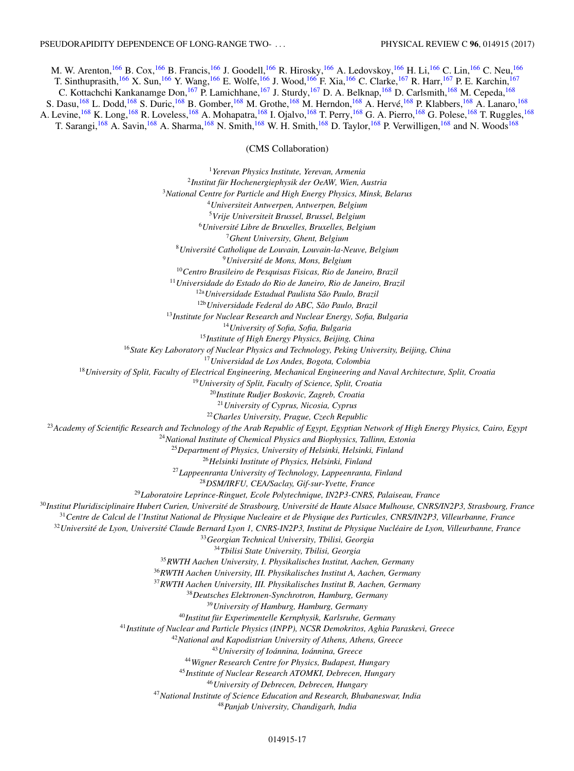<span id="page-16-0"></span>M. W. Arenton,<sup>[166](#page-19-0)</sup> B. Cox,<sup>166</sup> B. Francis,<sup>166</sup> J. Goodell,<sup>166</sup> R. Hirosky,<sup>166</sup> A. Ledovskoy,<sup>166</sup> H. Li,<sup>166</sup> C. Lin,<sup>166</sup> C. Neu,<sup>166</sup> T. Sinthuprasith,<sup>[166](#page-19-0)</sup> X. Sun,<sup>166</sup> Y. Wang,<sup>166</sup> E. Wolfe,<sup>166</sup> J. Wood,<sup>166</sup> F. Xia,<sup>166</sup> C. Clarke,<sup>[167](#page-19-0)</sup> R. Harr,<sup>167</sup> P. E. Karchin,<sup>167</sup> C. Kottachchi Kankanamge Don,<sup>[167](#page-19-0)</sup> P. Lamichhane,<sup>167</sup> J. Sturdy,<sup>167</sup> D. A. Belknap,<sup>[168](#page-19-0)</sup> D. Carlsmith,<sup>168</sup> M. Cepeda,<sup>168</sup> S. Dasu, <sup>[168](#page-19-0)</sup> L. Dodd, <sup>168</sup> S. Duric, <sup>168</sup> B. Gomber, <sup>168</sup> M. Grothe, <sup>168</sup> M. Herndon, <sup>168</sup> A. Hervé, <sup>168</sup> P. Klabbers, <sup>168</sup> A. Lanaro, <sup>168</sup> A. Levine, <sup>[168](#page-19-0)</sup> K. Long, <sup>168</sup> R. Loveless, <sup>168</sup> A. Mohapatra, <sup>168</sup> I. Ojalvo, <sup>168</sup> T. Perry, <sup>168</sup> G. A. Pierro, <sup>168</sup> G. Polese, <sup>168</sup> T. Ruggles, <sup>168</sup> T. Sarangi,<sup>[168](#page-19-0)</sup> A. Savin,<sup>168</sup> A. Sharma,<sup>168</sup> N. Smith,<sup>168</sup> W. H. Smith,<sup>168</sup> D. Taylor,<sup>168</sup> P. Verwilligen,<sup>168</sup> and N. Woods<sup>168</sup>

## (CMS Collaboration)

*Yerevan Physics Institute, Yerevan, Armenia Institut für Hochenergiephysik der OeAW, Wien, Austria National Centre for Particle and High Energy Physics, Minsk, Belarus Universiteit Antwerpen, Antwerpen, Belgium Vrije Universiteit Brussel, Brussel, Belgium Université Libre de Bruxelles, Bruxelles, Belgium Ghent University, Ghent, Belgium Université Catholique de Louvain, Louvain-la-Neuve, Belgium Université de Mons, Mons, Belgium Centro Brasileiro de Pesquisas Fisicas, Rio de Janeiro, Brazil Universidade do Estado do Rio de Janeiro, Rio de Janeiro, Brazil* 12a*Universidade Estadual Paulista São Paulo, Brazil* 12b*Universidade Federal do ABC, São Paulo, Brazil Institute for Nuclear Research and Nuclear Energy, Sofia, Bulgaria University of Sofia, Sofia, Bulgaria Institute of High Energy Physics, Beijing, China State Key Laboratory of Nuclear Physics and Technology, Peking University, Beijing, China Universidad de Los Andes, Bogota, Colombia University of Split, Faculty of Electrical Engineering, Mechanical Engineering and Naval Architecture, Split, Croatia University of Split, Faculty of Science, Split, Croatia Institute Rudjer Boskovic, Zagreb, Croatia University of Cyprus, Nicosia, Cyprus Charles University, Prague, Czech Republic Academy of Scientific Research and Technology of the Arab Republic of Egypt, Egyptian Network of High Energy Physics, Cairo, Egypt National Institute of Chemical Physics and Biophysics, Tallinn, Estonia Department of Physics, University of Helsinki, Helsinki, Finland Helsinki Institute of Physics, Helsinki, Finland Lappeenranta University of Technology, Lappeenranta, Finland DSM/IRFU, CEA/Saclay, Gif-sur-Yvette, France Laboratoire Leprince-Ringuet, Ecole Polytechnique, IN2P3-CNRS, Palaiseau, France Institut Pluridisciplinaire Hubert Curien, Université de Strasbourg, Université de Haute Alsace Mulhouse, CNRS/IN2P3, Strasbourg, France Centre de Calcul de l'Institut National de Physique Nucleaire et de Physique des Particules, CNRS/IN2P3, Villeurbanne, France Université de Lyon, Université Claude Bernard Lyon 1, CNRS-IN2P3, Institut de Physique Nucléaire de Lyon, Villeurbanne, France Georgian Technical University, Tbilisi, Georgia Tbilisi State University, Tbilisi, Georgia RWTH Aachen University, I. Physikalisches Institut, Aachen, Germany RWTH Aachen University, III. Physikalisches Institut A, Aachen, Germany RWTH Aachen University, III. Physikalisches Institut B, Aachen, Germany Deutsches Elektronen-Synchrotron, Hamburg, Germany University of Hamburg, Hamburg, Germany Institut für Experimentelle Kernphysik, Karlsruhe, Germany Institute of Nuclear and Particle Physics (INPP), NCSR Demokritos, Aghia Paraskevi, Greece National and Kapodistrian University of Athens, Athens, Greece University of Ioánnina, Ioánnina, Greece Wigner Research Centre for Physics, Budapest, Hungary Institute of Nuclear Research ATOMKI, Debrecen, Hungary University of Debrecen, Debrecen, Hungary National Institute of Science Education and Research, Bhubaneswar, India*

*Panjab University, Chandigarh, India*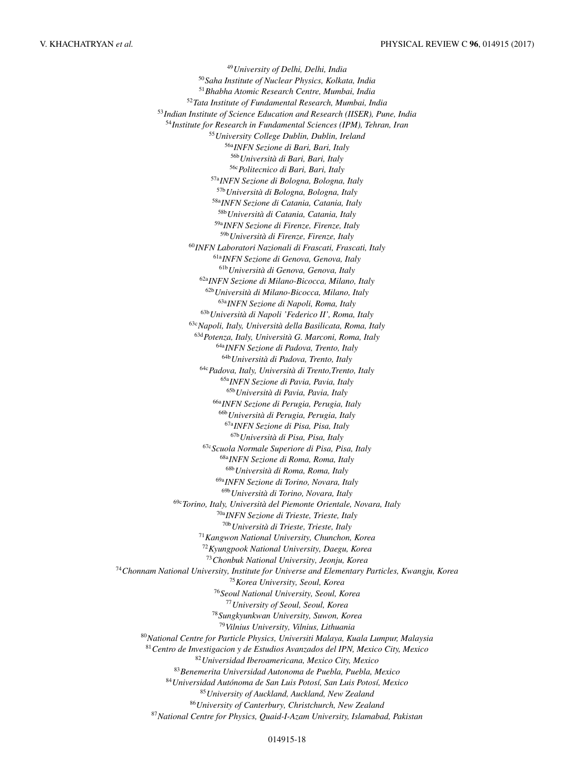<span id="page-17-0"></span><sup>49</sup>*University of Delhi, Delhi, India* <sup>50</sup>*Saha Institute of Nuclear Physics, Kolkata, India* <sup>51</sup>*Bhabha Atomic Research Centre, Mumbai, India* <sup>52</sup>*Tata Institute of Fundamental Research, Mumbai, India* <sup>53</sup>*Indian Institute of Science Education and Research (IISER), Pune, India* <sup>54</sup>*Institute for Research in Fundamental Sciences (IPM), Tehran, Iran* <sup>55</sup>*University College Dublin, Dublin, Ireland* 56a*INFN Sezione di Bari, Bari, Italy* 56b*Università di Bari, Bari, Italy* 56c*Politecnico di Bari, Bari, Italy* 57a*INFN Sezione di Bologna, Bologna, Italy* 57b*Università di Bologna, Bologna, Italy* 58a*INFN Sezione di Catania, Catania, Italy* 58b*Università di Catania, Catania, Italy* 59a*INFN Sezione di Firenze, Firenze, Italy* 59b*Università di Firenze, Firenze, Italy* <sup>60</sup>*INFN Laboratori Nazionali di Frascati, Frascati, Italy* 61a*INFN Sezione di Genova, Genova, Italy* 61b*Università di Genova, Genova, Italy* 62a*INFN Sezione di Milano-Bicocca, Milano, Italy* 62b*Università di Milano-Bicocca, Milano, Italy* 63a*INFN Sezione di Napoli, Roma, Italy* 63b*Università di Napoli 'Federico II', Roma, Italy* 63c*Napoli, Italy, Università della Basilicata, Roma, Italy* 63d*Potenza, Italy, Università G. Marconi, Roma, Italy* 64a*INFN Sezione di Padova, Trento, Italy* 64b*Università di Padova, Trento, Italy* 64c*Padova, Italy, Università di Trento,Trento, Italy* 65a*INFN Sezione di Pavia, Pavia, Italy* 65b*Università di Pavia, Pavia, Italy* 66a*INFN Sezione di Perugia, Perugia, Italy* 66b*Università di Perugia, Perugia, Italy* 67a*INFN Sezione di Pisa, Pisa, Italy* 67b*Università di Pisa, Pisa, Italy* 67c*Scuola Normale Superiore di Pisa, Pisa, Italy* 68a*INFN Sezione di Roma, Roma, Italy* 68b*Università di Roma, Roma, Italy* 69a*INFN Sezione di Torino, Novara, Italy* 69b*Università di Torino, Novara, Italy* 69c*Torino, Italy, Università del Piemonte Orientale, Novara, Italy* 70a*INFN Sezione di Trieste, Trieste, Italy* 70b*Università di Trieste, Trieste, Italy* <sup>71</sup>*Kangwon National University, Chunchon, Korea* <sup>72</sup>*Kyungpook National University, Daegu, Korea* <sup>73</sup>*Chonbuk National University, Jeonju, Korea* <sup>74</sup>*Chonnam National University, Institute for Universe and Elementary Particles, Kwangju, Korea* <sup>75</sup>*Korea University, Seoul, Korea* <sup>76</sup>*Seoul National University, Seoul, Korea* <sup>77</sup>*University of Seoul, Seoul, Korea* <sup>78</sup>*Sungkyunkwan University, Suwon, Korea* <sup>79</sup>*Vilnius University, Vilnius, Lithuania* <sup>80</sup>*National Centre for Particle Physics, Universiti Malaya, Kuala Lumpur, Malaysia* <sup>81</sup>*Centro de Investigacion y de Estudios Avanzados del IPN, Mexico City, Mexico* <sup>82</sup>*Universidad Iberoamericana, Mexico City, Mexico* <sup>83</sup>*Benemerita Universidad Autonoma de Puebla, Puebla, Mexico* <sup>84</sup>*Universidad Autónoma de San Luis Potosí, San Luis Potosí, Mexico* <sup>85</sup>*University of Auckland, Auckland, New Zealand* <sup>86</sup>*University of Canterbury, Christchurch, New Zealand* <sup>87</sup>*National Centre for Physics, Quaid-I-Azam University, Islamabad, Pakistan*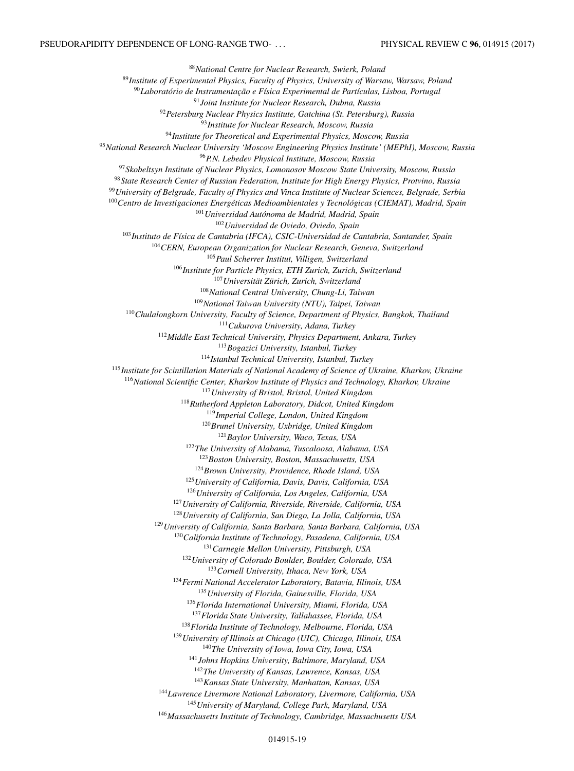<span id="page-18-0"></span>*National Centre for Nuclear Research, Swierk, Poland Institute of Experimental Physics, Faculty of Physics, University of Warsaw, Warsaw, Poland Laboratório de Instrumentação e Física Experimental de Partículas, Lisboa, Portugal Joint Institute for Nuclear Research, Dubna, Russia Petersburg Nuclear Physics Institute, Gatchina (St. Petersburg), Russia Institute for Nuclear Research, Moscow, Russia Institute for Theoretical and Experimental Physics, Moscow, Russia National Research Nuclear University 'Moscow Engineering Physics Institute' (MEPhI), Moscow, Russia P.N. Lebedev Physical Institute, Moscow, Russia Skobeltsyn Institute of Nuclear Physics, Lomonosov Moscow State University, Moscow, Russia State Research Center of Russian Federation, Institute for High Energy Physics, Protvino, Russia University of Belgrade, Faculty of Physics and Vinca Institute of Nuclear Sciences, Belgrade, Serbia Centro de Investigaciones Energéticas Medioambientales y Tecnológicas (CIEMAT), Madrid, Spain Universidad Autónoma de Madrid, Madrid, Spain Universidad de Oviedo, Oviedo, Spain Instituto de Física de Cantabria (IFCA), CSIC-Universidad de Cantabria, Santander, Spain CERN, European Organization for Nuclear Research, Geneva, Switzerland Paul Scherrer Institut, Villigen, Switzerland Institute for Particle Physics, ETH Zurich, Zurich, Switzerland Universität Zürich, Zurich, Switzerland National Central University, Chung-Li, Taiwan National Taiwan University (NTU), Taipei, Taiwan Chulalongkorn University, Faculty of Science, Department of Physics, Bangkok, Thailand Cukurova University, Adana, Turkey Middle East Technical University, Physics Department, Ankara, Turkey Bogazici University, Istanbul, Turkey Istanbul Technical University, Istanbul, Turkey Institute for Scintillation Materials of National Academy of Science of Ukraine, Kharkov, Ukraine National Scientific Center, Kharkov Institute of Physics and Technology, Kharkov, Ukraine University of Bristol, Bristol, United Kingdom Rutherford Appleton Laboratory, Didcot, United Kingdom Imperial College, London, United Kingdom Brunel University, Uxbridge, United Kingdom Baylor University, Waco, Texas, USA The University of Alabama, Tuscaloosa, Alabama, USA Boston University, Boston, Massachusetts, USA Brown University, Providence, Rhode Island, USA University of California, Davis, Davis, California, USA University of California, Los Angeles, California, USA University of California, Riverside, Riverside, California, USA University of California, San Diego, La Jolla, California, USA University of California, Santa Barbara, Santa Barbara, California, USA California Institute of Technology, Pasadena, California, USA Carnegie Mellon University, Pittsburgh, USA University of Colorado Boulder, Boulder, Colorado, USA Cornell University, Ithaca, New York, USA Fermi National Accelerator Laboratory, Batavia, Illinois, USA University of Florida, Gainesville, Florida, USA Florida International University, Miami, Florida, USA Florida State University, Tallahassee, Florida, USA Florida Institute of Technology, Melbourne, Florida, USA University of Illinois at Chicago (UIC), Chicago, Illinois, USA The University of Iowa, Iowa City, Iowa, USA Johns Hopkins University, Baltimore, Maryland, USA The University of Kansas, Lawrence, Kansas, USA Kansas State University, Manhattan, Kansas, USA Lawrence Livermore National Laboratory, Livermore, California, USA University of Maryland, College Park, Maryland, USA Massachusetts Institute of Technology, Cambridge, Massachusetts USA*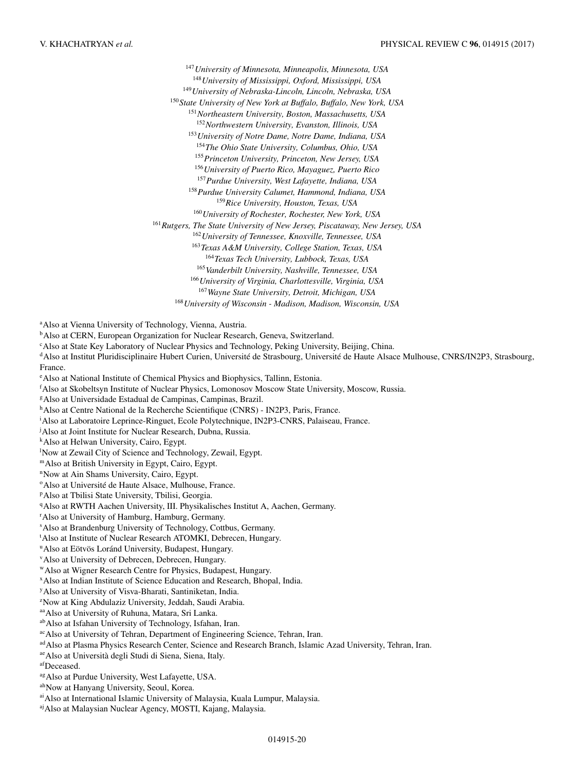<span id="page-19-0"></span>*University of Minnesota, Minneapolis, Minnesota, USA University of Mississippi, Oxford, Mississippi, USA University of Nebraska-Lincoln, Lincoln, Nebraska, USA State University of New York at Buffalo, Buffalo, New York, USA Northeastern University, Boston, Massachusetts, USA Northwestern University, Evanston, Illinois, USA University of Notre Dame, Notre Dame, Indiana, USA The Ohio State University, Columbus, Ohio, USA Princeton University, Princeton, New Jersey, USA University of Puerto Rico, Mayaguez, Puerto Rico Purdue University, West Lafayette, Indiana, USA Purdue University Calumet, Hammond, Indiana, USA Rice University, Houston, Texas, USA University of Rochester, Rochester, New York, USA Rutgers, The State University of New Jersey, Piscataway, New Jersey, USA University of Tennessee, Knoxville, Tennessee, USA Texas A&M University, College Station, Texas, USA Texas Tech University, Lubbock, Texas, USA Vanderbilt University, Nashville, Tennessee, USA University of Virginia, Charlottesville, Virginia, USA Wayne State University, Detroit, Michigan, USA University of Wisconsin - Madison, Madison, Wisconsin, USA*

<sup>a</sup> Also at Vienna University of Technology, Vienna, Austria.

<sup>b</sup>Also at CERN, European Organization for Nuclear Research, Geneva, Switzerland.

c Also at State Key Laboratory of Nuclear Physics and Technology, Peking University, Beijing, China.

<sup>d</sup>Also at Institut Pluridisciplinaire Hubert Curien, Université de Strasbourg, Université de Haute Alsace Mulhouse, CNRS/IN2P3, Strasbourg, France.

e Also at National Institute of Chemical Physics and Biophysics, Tallinn, Estonia.

f Also at Skobeltsyn Institute of Nuclear Physics, Lomonosov Moscow State University, Moscow, Russia.

gAlso at Universidade Estadual de Campinas, Campinas, Brazil.

hAlso at Centre National de la Recherche Scientifique (CNRS) - IN2P3, Paris, France.

i Also at Laboratoire Leprince-Ringuet, Ecole Polytechnique, IN2P3-CNRS, Palaiseau, France.

j Also at Joint Institute for Nuclear Research, Dubna, Russia.

kAlso at Helwan University, Cairo, Egypt.

l Now at Zewail City of Science and Technology, Zewail, Egypt.

mAlso at British University in Egypt, Cairo, Egypt.

<sup>n</sup>Now at Ain Shams University, Cairo, Egypt.

<sup>o</sup>Also at Université de Haute Alsace, Mulhouse, France.

pAlso at Tbilisi State University, Tbilisi, Georgia.

<sup>q</sup>Also at RWTH Aachen University, III. Physikalisches Institut A, Aachen, Germany.

r Also at University of Hamburg, Hamburg, Germany.

s Also at Brandenburg University of Technology, Cottbus, Germany.

t Also at Institute of Nuclear Research ATOMKI, Debrecen, Hungary.

<sup>u</sup>Also at Eötvös Loránd University, Budapest, Hungary.

vAlso at University of Debrecen, Debrecen, Hungary.

wAlso at Wigner Research Centre for Physics, Budapest, Hungary.

xAlso at Indian Institute of Science Education and Research, Bhopal, India.

yAlso at University of Visva-Bharati, Santiniketan, India.

<sup>z</sup>Now at King Abdulaziz University, Jeddah, Saudi Arabia.

aa Also at University of Ruhuna, Matara, Sri Lanka.

abAlso at Isfahan University of Technology, Isfahan, Iran.

acAlso at University of Tehran, Department of Engineering Science, Tehran, Iran.

adAlso at Plasma Physics Research Center, Science and Research Branch, Islamic Azad University, Tehran, Iran.

aeAlso at Università degli Studi di Siena, Siena, Italy.

afDeceased.

agAlso at Purdue University, West Lafayette, USA.

ahNow at Hanyang University, Seoul, Korea.

aiAlso at International Islamic University of Malaysia, Kuala Lumpur, Malaysia.

aj Also at Malaysian Nuclear Agency, MOSTI, Kajang, Malaysia.